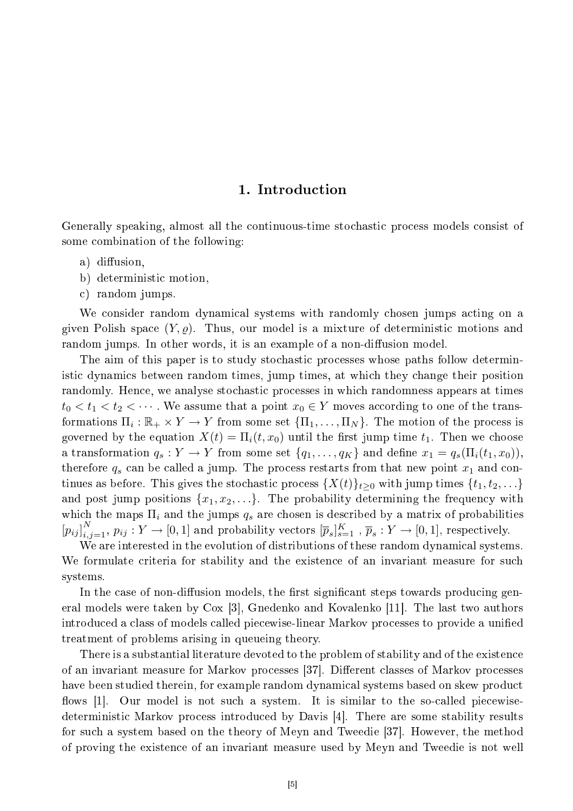# 1. Introdu
tion

Generally speaking, almost all the continuous-time stochastic process models consist of some combination of the following:

- a) diffusion,
- b) deterministi motion,
- ) random jumps.

We consider random dynamical systems with randomly chosen jumps acting on a given Polish space  $(Y, \varrho)$ . Thus, our model is a mixture of deterministic motions and random jumps. In other words, it is an example of a non-diffusion model.

The aim of this paper is to study stochastic processes whose paths follow deterministi dynami
s between random times, jump times, at whi
h they hange their position randomly. Hence, we analyse stochastic processes in which randomness appears at times  $t_0 < t_1 < t_2 < \cdots$ . We assume that a point  $x_0 \in Y$  moves according to one of the transformations  $\Pi_i : \mathbb{R}_+ \times Y \to Y$  from some set  $\{\Pi_1, \ldots, \Pi_N\}$ . The motion of the process is governed by the equation  $X(t) = \Pi_i(t, x_0)$  until the first jump time  $t_1$ . Then we choose a transformation  $q_s: Y \to Y$  from some set  $\{q_1, \ldots, q_K\}$  and define  $x_1 = q_s(\Pi_i(t_1, x_0)),$ therefore  $q_s$  can be called a jump. The process restarts from that new point  $x_1$  and continues as before. This gives the stochastic process  $\{X(t)\}_{t>0}$  with jump times  $\{t_1, t_2, \ldots\}$ and post jump positions  $\{x_1, x_2, \ldots\}$ . The probability determining the frequency with which the maps  $\Pi_i$  and the jumps  $q_s$  are chosen is described by a matrix of probabilities  $[p_{ij}]_{i,j=1}^N$ ,  $p_{ij}: Y \to [0,1]$  and probability vectors  $[\overline{p}_s]_{s=1}^K$ ,  $\overline{p}_s: Y \to [0,1]$ , respectively.

We are interested in the evolution of distributions of these random dynamical systems. We formulate criteria for stability and the existence of an invariant measure for such systems.

In the case of non-diffusion models, the first significant steps towards producing general models were taken by Cox [3], Gnedenko and Kovalenko [11]. The last two authors introduced a class of models called piecewise-linear Markov processes to provide a unified treatment of problems arising in queueing theory.

There is a substantial literature devoted to the problem of stability and of the existen
e of an invariant measure for Markov processes [37]. Different classes of Markov processes have been studied therein, for example random dynamical systems based on skew product flows [1]. Our model is not such a system. It is similar to the so-called piecewisedeterministic Markov process introduced by Davis [4]. There are some stability results for such a system based on the theory of Meyn and Tweedie [37]. However, the method of proving the existen
e of an invariant measure used by Meyn and Tweedie is not well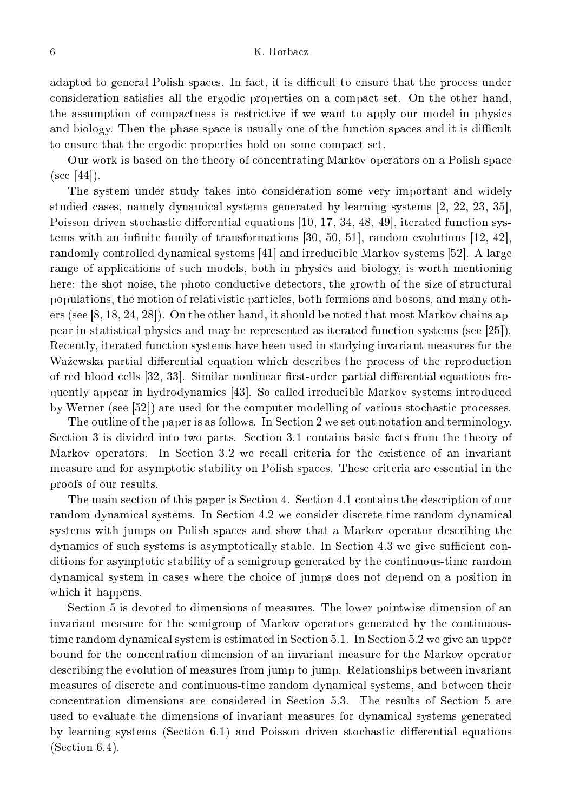## K. Horbacz

adapted to general Polish spaces. In fact, it is difficult to ensure that the process under consideration satisfies all the ergodic properties on a compact set. On the other hand, the assumption of compactness is restrictive if we want to apply our model in physics and biology. Then the phase space is usually one of the function spaces and it is difficult to ensure that the ergodic properties hold on some compact set.

Our work is based on the theory of concentrating Markov operators on a Polish space  $(see [44]).$ 

The system under study takes into onsideration some very important and widely studied cases, namely dynamical systems generated by learning systems  $[2, 22, 23, 35]$ , Poisson driven stochastic differential equations [10, 17, 34, 48, 49], iterated function systems with an infinite family of transformations  $[30, 50, 51]$ , random evolutions  $[12, 42]$ , randomly controlled dynamical systems [41] and irreducible Markov systems [52]. A large range of applications of such models, both in physics and biology, is worth mentioning here: the shot noise, the photo conductive detectors, the growth of the size of structural populations, the motion of relativistic particles, both fermions and bosons, and many others (see  $[8, 18, 24, 28]$ ). On the other hand, it should be noted that most Markov chains appear in statistical physics and may be represented as iterated function systems (see [25]). Re
ently, iterated fun
tion systems have been used in studying invariant measures for the Ważewska partial differential equation which describes the process of the reproduction of red blood cells [32, 33]. Similar nonlinear first-order partial differential equations frequently appear in hydrodynamics [43]. So called irreducible Markov systems introduced by Werner (see [52]) are used for the computer modelling of various stochastic processes.

The outline of the paper is as follows. In Section 2 we set out notation and terminology. Section 3 is divided into two parts. Section 3.1 contains basic facts from the theory of Markov operators. In Section 3.2 we recall criteria for the existence of an invariant measure and for asymptotic stability on Polish spaces. These criteria are essential in the proofs of our results.

The main se
tion of this paper is Se
tion 4. Se
tion 4.1 ontains the des
ription of our random dynamical systems. In Section 4.2 we consider discrete-time random dynamical systems with jumps on Polish spa
es and show that a Markov operator des
ribing the dynamics of such systems is asymptotically stable. In Section 4.3 we give sufficient conditions for asymptotic stability of a semigroup generated by the continuous-time random dynami
al system in ases where the hoi
e of jumps does not depend on a position in which it happens.

Se
tion 5 is devoted to dimensions of measures. The lower pointwise dimension of an invariant measure for the semigroup of Markov operators generated by the ontinuoustime random dynamical system is estimated in Section 5.1. In Section 5.2 we give an upper bound for the on
entration dimension of an invariant measure for the Markov operator des
ribing the evolution of measures from jump to jump. Relationships between invariant measures of dis
rete and ontinuous-time random dynami
al systems, and between their concentration dimensions are considered in Section 5.3. The results of Section 5 are used to evaluate the dimensions of invariant measures for dynamical systems generated by learning systems (Section 6.1) and Poisson driven stochastic differential equations  $(Section 6.4)$ .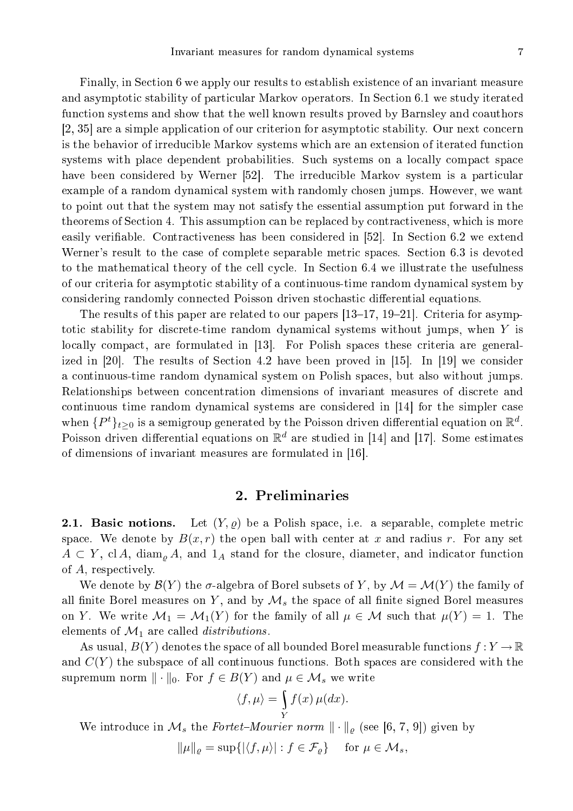Finally, in Se
tion 6 we apply our results to establish existen
e of an invariant measure and asymptotic stability of particular Markov operators. In Section 6.1 we study iterated function systems and show that the well known results proved by Barnsley and coauthors  $[2, 35]$  are a simple application of our criterion for asymptotic stability. Our next concern is the behavior of irreducible Markov systems which are an extension of iterated function systems with place dependent probabilities. Such systems on a locally compact space have been considered by Werner [52]. The irreducible Markov system is a particular example of a random dynamical system with randomly chosen jumps. However, we want to point out that the system may not satisfy the essential assumption put forward in the theorems of Se
tion 4. This assumption an be repla
ed by ontra
tiveness, whi
h is more easily verifiable. Contractiveness has been considered in [52]. In Section 6.2 we extend Werner's result to the case of complete separable metric spaces. Section 6.3 is devoted to the mathematical theory of the cell cycle. In Section 6.4 we illustrate the usefulness of our criteria for asymptotic stability of a continuous-time random dynamical system by onsidering randomly onne
ted Poisson driven sto
hasti dierential equations.

The results of this paper are related to our papers  $[13-17, 19-21]$ . Criteria for asymptotic stability for discrete-time random dynamical systems without jumps, when Y is locally compact, are formulated in [13]. For Polish spaces these criteria are generalized in [20]. The results of Section 4.2 have been proved in  $|15|$ . In [19] we consider a ontinuous-time random dynami
al system on Polish spa
es, but also without jumps. Relationships between on
entration dimensions of invariant measures of dis
rete and continuous time random dynamical systems are considered in  $[14]$  for the simpler case when  $\{P^t\}_{t\geq 0}$  is a semigroup generated by the Poisson driven differential equation on  $\mathbb{R}^d$ . Poisson driven differential equations on  $\mathbb{R}^d$  are studied in [14] and [17]. Some estimates of dimensions of invariant measures are formulated in  $[16]$ .

# 2. Preliminaries

**2.1. Basic notions.** Let  $(Y, \rho)$  be a Polish space, i.e. a separable, complete metric space. We denote by  $B(x, r)$  the open ball with center at x and radius r. For any set  $A \subset Y$ , cl A, diam<sub>o</sub> A, and  $1_A$  stand for the closure, diameter, and indicator function of A, respe
tively.

We denote by  $\mathcal{B}(Y)$  the  $\sigma$ -algebra of Borel subsets of Y, by  $\mathcal{M} = \mathcal{M}(Y)$  the family of all finite Borel measures on Y, and by  $\mathcal{M}_s$  the space of all finite signed Borel measures on Y. We write  $\mathcal{M}_1 = \mathcal{M}_1(Y)$  for the family of all  $\mu \in \mathcal{M}$  such that  $\mu(Y) = 1$ . The elements of  $\mathcal{M}_1$  are called *distributions*.

As usual,  $B(Y)$  denotes the space of all bounded Borel measurable functions  $f: Y \to \mathbb{R}$ and  $C(Y)$  the subspace of all continuous functions. Both spaces are considered with the supremum norm  $\|\cdot\|_0$ . For  $f \in B(Y)$  and  $\mu \in \mathcal{M}_s$  we write

$$
\langle f, \mu \rangle = \int\limits_Y f(x) \, \mu(dx).
$$

We introduce in  $\mathcal{M}_s$  the Fortet-Mourier norm  $\|\cdot\|_{\rho}$  (see [6, 7, 9]) given by

$$
\|\mu\|_{\varrho} = \sup\{ |\langle f, \mu \rangle| : f \in \mathcal{F}_{\varrho} \} \quad \text{ for } \mu \in \mathcal{M}_s,
$$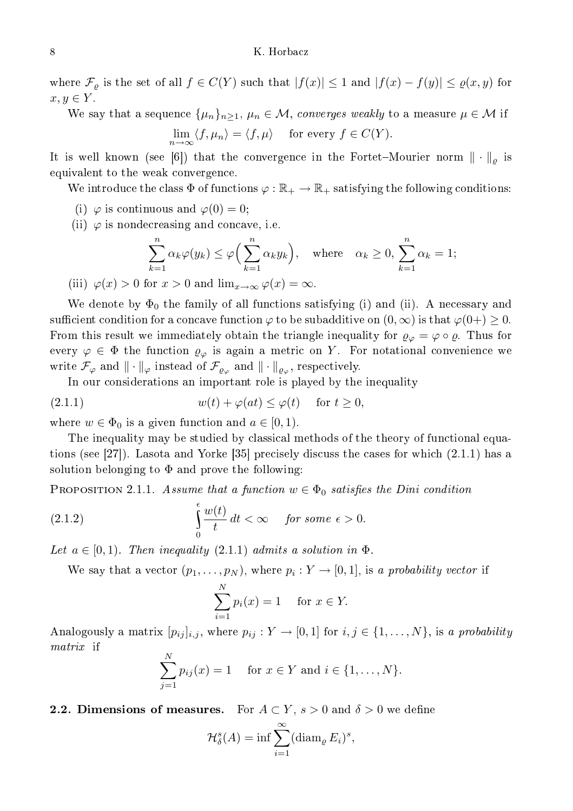where  $\mathcal{F}_{\varrho}$  is the set of all  $f \in C(Y)$  such that  $|f(x)| \leq 1$  and  $|f(x) - f(y)| \leq \varrho(x, y)$  for  $x, y \in Y$ .

We say that a sequence  $\{\mu_n\}_{n\geq 1}$ ,  $\mu_n \in \mathcal{M}$ , converges weakly to a measure  $\mu \in \mathcal{M}$  if

$$
\lim_{n \to \infty} \langle f, \mu_n \rangle = \langle f, \mu \rangle \quad \text{ for every } f \in C(Y).
$$

It is well known (see [6]) that the convergence in the Fortet–Mourier norm  $\|\cdot\|_{\rho}$  is equivalent to the weak onvergen
e.

We introduce the class  $\Phi$  of functions  $\varphi : \mathbb{R}_+ \to \mathbb{R}_+$  satisfying the following conditions:

(i)  $\varphi$  is continuous and  $\varphi(0) = 0$ ;

(ii)  $\varphi$  is nondecreasing and concave, i.e.

$$
\sum_{k=1}^{n} \alpha_k \varphi(y_k) \le \varphi\left(\sum_{k=1}^{n} \alpha_k y_k\right), \quad \text{where} \quad \alpha_k \ge 0, \sum_{k=1}^{n} \alpha_k = 1;
$$

(iii)  $\varphi(x) > 0$  for  $x > 0$  and  $\lim_{x \to \infty} \varphi(x) = \infty$ .

We denote by  $\Phi_0$  the family of all functions satisfying (i) and (ii). A necessary and sufficient condition for a concave function  $\varphi$  to be subadditive on  $(0, \infty)$  is that  $\varphi(0+) \geq 0$ . From this result we immediately obtain the triangle inequality for  $\varrho_{\varphi} = \varphi \circ \varrho$ . Thus for every  $\varphi \in \Phi$  the function  $\varrho_{\varphi}$  is again a metric on Y. For notational convenience we write  $\mathcal{F}_{\varphi}$  and  $\|\cdot\|_{\varphi}$  instead of  $\mathcal{F}_{\varrho_{\varphi}}$  and  $\|\cdot\|_{\varrho_{\varphi}},$  respectively.

In our considerations an important role is played by the inequality

(2.1.1) 
$$
w(t) + \varphi(at) \leq \varphi(t) \quad \text{for } t \geq 0,
$$

where  $w \in \Phi_0$  is a given function and  $a \in [0,1)$ .

The inequality may be studied by classical methods of the theory of functional equations (see [27]). Lasota and Yorke [35] precisely discuss the cases for which  $(2.1.1)$  has a solution belonging to  $\Phi$  and prove the following:

PROPOSITION 2.1.1. Assume that a function  $w \in \Phi_0$  satisfies the Dini condition

(2.1.2) 
$$
\int_{0}^{\epsilon} \frac{w(t)}{t} dt < \infty \quad \text{for some } \epsilon > 0.
$$

Let  $a \in [0, 1)$ . Then inequality  $(2.1.1)$  admits a solution in  $\Phi$ .

We say that a vector  $(p_1, \ldots, p_N)$ , where  $p_i: Y \to [0, 1]$ , is a probability vector if

$$
\sum_{i=1}^{N} p_i(x) = 1 \quad \text{for } x \in Y.
$$

Analogously a matrix  $[p_{ij}]_{i,j}$ , where  $p_{ij}: Y \to [0,1]$  for  $i,j \in \{1,\ldots,N\}$ , is a probability matrix if  $\overline{N}$ 

$$
\sum_{j=1}^{N} p_{ij}(x) = 1 \quad \text{ for } x \in Y \text{ and } i \in \{1, ..., N\}.
$$

**2.2. Dimensions of measures.** For  $A \subset Y$ ,  $s > 0$  and  $\delta > 0$  we define

$$
\mathcal{H}_{\delta}^{s}(A) = \inf \sum_{i=1}^{\infty} (\operatorname{diam}_{\varrho} E_{i})^{s},
$$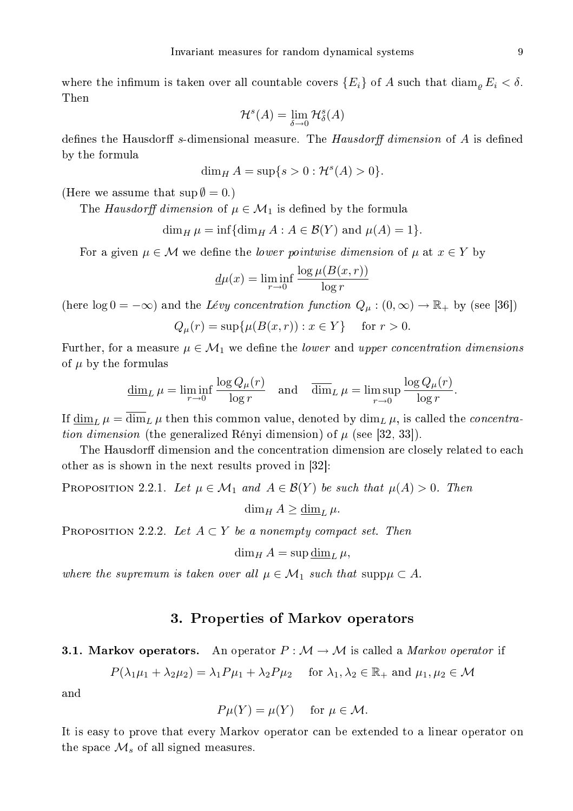where the infimum is taken over all countable covers  $\{E_i\}$  of A such that  $\dim_{\rho} E_i < \delta$ . Then

$$
\mathcal{H}^s(A)=\lim_{\delta\to 0}\mathcal{H}^s_\delta(A)
$$

defines the Hausdorff s-dimensional measure. The  $Hausdorff$  dimension of A is defined by the formula

$$
\dim_H A = \sup\{s > 0 : \mathcal{H}^s(A) > 0\}.
$$

(Here we assume that  $\sup \emptyset = 0.$ )

The Hausdorff dimension of  $\mu \in \mathcal{M}_1$  is defined by the formula

$$
\dim_H \mu = \inf \{ \dim_H A : A \in \mathcal{B}(Y) \text{ and } \mu(A) = 1 \}.
$$

For a given  $\mu \in \mathcal{M}$  we define the *lower pointwise dimension* of  $\mu$  at  $x \in Y$  by

$$
\underline{d}\mu(x) = \liminf_{r \to 0} \frac{\log \mu(B(x, r))}{\log r}
$$

(here  $\log 0 = -\infty$ ) and the Lévy concentration function  $Q_{\mu} : (0, \infty) \to \mathbb{R}_+$  by (see [36])

$$
Q_{\mu}(r) = \sup \{ \mu(B(x, r)) : x \in Y \}
$$
 for  $r > 0$ .

Further, for a measure  $\mu \in \mathcal{M}_1$  we define the *lower* and *upper concentration dimensions* of  $\mu$  by the formulas

$$
\underline{\dim}_L \mu = \liminf_{r \to 0} \frac{\log Q_{\mu}(r)}{\log r} \quad \text{and} \quad \overline{\dim}_L \mu = \limsup_{r \to 0} \frac{\log Q_{\mu}(r)}{\log r}.
$$

If  $\dim_L \mu = \dim_L \mu$  then this common value, denoted by  $\dim_L \mu$ , is called the *concentra*tion dimension (the generalized Rényi dimension) of  $\mu$  (see [32, 33]).

The Hausdorff dimension and the concentration dimension are closely related to each other as is shown in the next results proved in  $[32]$ :

PROPOSITION 2.2.1. Let  $\mu \in \mathcal{M}_1$  and  $A \in \mathcal{B}(Y)$  be such that  $\mu(A) > 0$ . Then

 $\dim_H A \geq \underline{\dim}_L \mu$ .

PROPOSITION 2.2.2. Let  $A \subset Y$  be a nonempty compact set. Then

$$
\dim_H A = \sup \underline{\dim}_L \mu,
$$

where the supremum is taken over all  $\mu \in \mathcal{M}_1$  such that supp $\mu \subset A$ .

# 3. Properties of Markov operators

**3.1. Markov operators.** An operator  $P : \mathcal{M} \to \mathcal{M}$  is called a *Markov operator* if

$$
P(\lambda_1\mu_1 + \lambda_2\mu_2) = \lambda_1 P \mu_1 + \lambda_2 P \mu_2 \quad \text{ for } \lambda_1, \lambda_2 \in \mathbb{R}_+ \text{ and } \mu_1, \mu_2 \in \mathcal{M}
$$

and

$$
P\mu(Y) = \mu(Y) \quad \text{ for } \mu \in \mathcal{M}.
$$

It is easy to prove that every Markov operator an be extended to a linear operator on the space  $\mathcal{M}_s$  of all signed measures.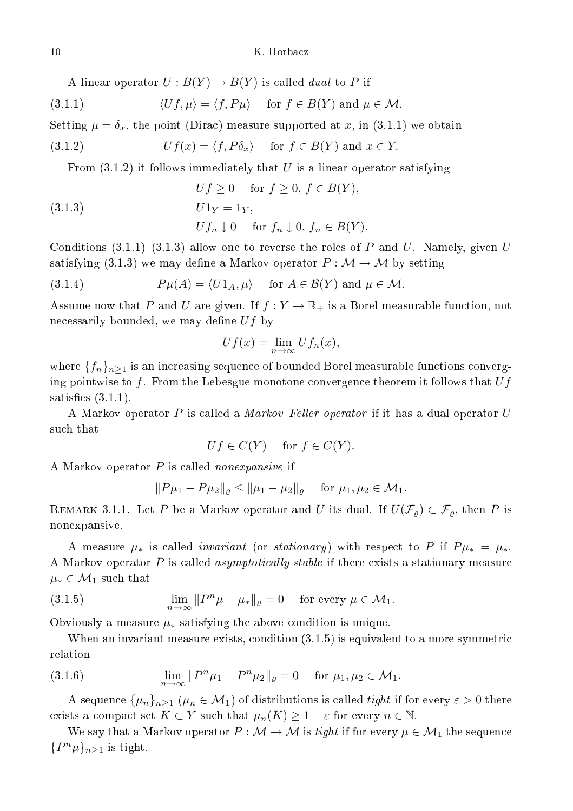## K. Horbacz

A linear operator  $U: B(Y) \to B(Y)$  is called *dual* to P if

(3.1.1) 
$$
\langle Uf, \mu \rangle = \langle f, P\mu \rangle
$$
 for  $f \in B(Y)$  and  $\mu \in \mathcal{M}$ .

Setting  $\mu = \delta_x$ , the point (Dirac) measure supported at x, in (3.1.1) we obtain

(3.1.2) 
$$
Uf(x) = \langle f, P\delta_x \rangle \quad \text{for } f \in B(Y) \text{ and } x \in Y.
$$

From  $(3.1.2)$  it follows immediately that U is a linear operator satisfying

(3.1.3) 
$$
Uf \geq 0 \quad \text{for } f \geq 0, f \in B(Y),
$$

$$
U1Y = 1Y,
$$

$$
Ufn \downarrow 0 \quad \text{for } fn \downarrow 0, fn \in B(Y).
$$

Conditions  $(3.1.1)-(3.1.3)$  allow one to reverse the roles of P and U. Namely, given U satisfying (3.1.3) we may define a Markov operator  $P : \mathcal{M} \to \mathcal{M}$  by setting

(3.1.4) 
$$
P\mu(A) = \langle U1_A, \mu \rangle \quad \text{for } A \in \mathcal{B}(Y) \text{ and } \mu \in \mathcal{M}.
$$

Assume now that P and U are given. If  $f: Y \to \mathbb{R}_+$  is a Borel measurable function, not necessarily bounded, we may define  $Uf$  by

$$
Uf(x) = \lim_{n \to \infty} Uf_n(x),
$$

where  $\{f_n\}_{n\geq 1}$  is an increasing sequence of bounded Borel measurable functions converging pointwise to f. From the Lebesgue monotone convergence theorem it follows that  $Uf$ satisfies  $(3.1.1)$ .

A Markov operator P is called a *Markov–Feller operator* if it has a dual operator U such that

$$
Uf \in C(Y) \quad \text{ for } f \in C(Y).
$$

A Markov operator  $P$  is called *nonexpansive* if

$$
||P\mu_1 - P\mu_2||_{\varrho} \le ||\mu_1 - \mu_2||_{\varrho} \quad \text{ for } \mu_1, \mu_2 \in \mathcal{M}_1.
$$

REMARK 3.1.1. Let P be a Markov operator and U its dual. If  $U(\mathcal{F}_{\rho}) \subset \mathcal{F}_{\rho}$ , then P is nonexpansive.

A measure  $\mu_*$  is called *invariant* (or *stationary*) with respect to P if  $P\mu_* = \mu_*$ . A Markov operator  $P$  is called *asymptotically stable* if there exists a stationary measure  $\mu_* \in \mathcal{M}_1$  such that

(3.1.5) 
$$
\lim_{n \to \infty} ||P^n \mu - \mu_*||_{\varrho} = 0 \quad \text{for every } \mu \in \mathcal{M}_1.
$$

Obviously a measure  $\mu_*$  satisfying the above condition is unique.

When an invariant measure exists, ondition (3.1.5) is equivalent to a more symmetri relation

(3.1.6) 
$$
\lim_{n \to \infty} ||P^n \mu_1 - P^n \mu_2||_{\varrho} = 0 \quad \text{for } \mu_1, \mu_2 \in \mathcal{M}_1.
$$

A sequence  $\{\mu_n\}_{n>1}$   $(\mu_n \in \mathcal{M}_1)$  of distributions is called *tight* if for every  $\varepsilon > 0$  there exists a compact set  $K \subset Y$  such that  $\mu_n(K) \geq 1 - \varepsilon$  for every  $n \in \mathbb{N}$ .

We say that a Markov operator  $P: \mathcal{M} \to \mathcal{M}$  is tight if for every  $\mu \in \mathcal{M}_1$  the sequence  $\{P^n\mu\}_{n\geq 1}$  is tight.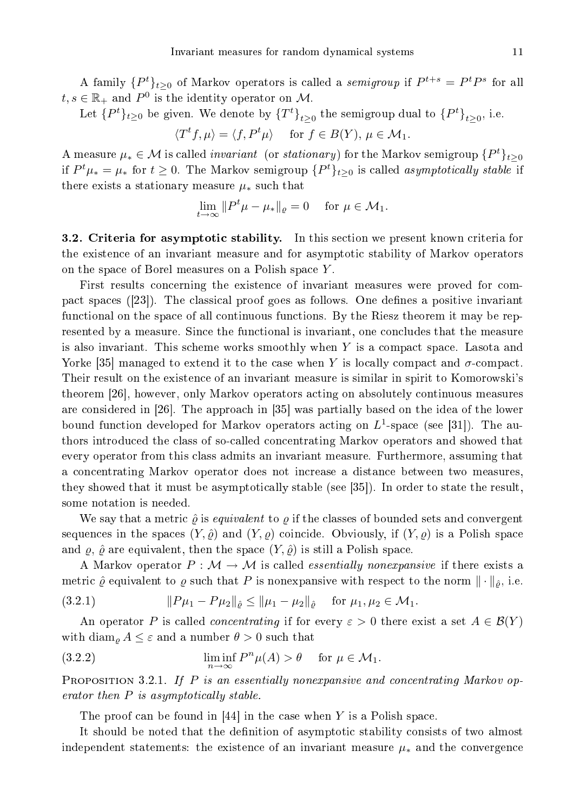A family  $\{P^t\}_{t\geq 0}$  of Markov operators is called a *semigroup* if  $P^{t+s} = P^t P^s$  for all  $t, s \in \mathbb{R}_+$  and  $P^0$  is the identity operator on M.

Let  $\{P^t\}_{t\geq 0}$  be given. We denote by  $\{T^t\}_{t\geq 0}$  the semigroup dual to  $\{P^t\}_{t\geq 0}$ , i.e.

$$
\langle T^t f, \mu \rangle = \langle f, P^t \mu \rangle \quad \text{ for } f \in B(Y), \, \mu \in \mathcal{M}_1.
$$

A measure  $\mu_* \in \mathcal{M}$  is called *invariant* (or *stationary*) for the Markov semigroup  $\{P^t\}_{t\geq 0}$ if  $P^t\mu_* = \mu_*$  for  $t \geq 0$ . The Markov semigroup  $\{P^t\}_{t \geq 0}$  is called *asymptotically stable* if there exists a stationary measure  $\mu_*$  such that

$$
\lim_{t \to \infty} \|P^t \mu - \mu_*\|_{\varrho} = 0 \quad \text{for } \mu \in \mathcal{M}_1.
$$

3.2. Criteria for asymptotic stability. In this section we present known criteria for the existence of an invariant measure and for asymptotic stability of Markov operators on the spa
e of Borel measures on a Polish spa
e Y .

First results concerning the existence of invariant measures were proved for compact spaces ([23]). The classical proof goes as follows. One defines a positive invariant functional on the space of all continuous functions. By the Riesz theorem it may be represented by a measure. Since the functional is invariant, one concludes that the measure is also invariant. This scheme works smoothly when  $Y$  is a compact space. Lasota and Yorke [35] managed to extend it to the case when Y is locally compact and  $\sigma$ -compact. Their result on the existen
e of an invariant measure is similar in spirit to Komorowski's theorem [26], however, only Markov operators acting on absolutely continuous measures are considered in [26]. The approach in [35] was partially based on the idea of the lower bound function developed for Markov operators acting on  $L^1$ -space (see [31]). The authors introdu
ed the lass of soalled on
entrating Markov operators and showed that every operator from this lass admits an invariant measure. Furthermore, assuming that a on
entrating Markov operator does not in
rease a distan
e between two measures, they showed that it must be asymptotically stable (see  $[35]$ ). In order to state the result, some notation is needed.

We say that a metric  $\hat{\varrho}$  is *equivalent* to  $\varrho$  if the classes of bounded sets and convergent sequences in the spaces  $(Y, \hat{\varrho})$  and  $(Y, \varrho)$  coincide. Obviously, if  $(Y, \varrho)$  is a Polish space and  $\varrho$ ,  $\hat{\varrho}$  are equivalent, then the space  $(Y, \hat{\varrho})$  is still a Polish space.

A Markov operator  $P : \mathcal{M} \to \mathcal{M}$  is called *essentially nonexpansive* if there exists a metric  $\hat{\varrho}$  equivalent to  $\varrho$  such that P is nonexpansive with respect to the norm  $\|\cdot\|_{\hat{\varrho}}$ , i.e.

$$
(3.2.1) \t\t\t ||P\mu_1 - P\mu_2||_{\hat{e}} \le ||\mu_1 - \mu_2||_{\hat{e}} \tfor \mu_1, \mu_2 \in \mathcal{M}_1.
$$

An operator P is called *concentrating* if for every  $\varepsilon > 0$  there exist a set  $A \in \mathcal{B}(Y)$ with  $\dim_{\rho} A \leq \varepsilon$  and a number  $\theta > 0$  such that

(3.2.2) 
$$
\liminf_{n \to \infty} P^n \mu(A) > \theta \quad \text{ for } \mu \in \mathcal{M}_1.
$$

**PROPOSITION** 3.2.1. If P is an essentially nonexpansive and concentrating Markov operator then  $P$  is asymptotically stable.

The proof can be found in  $[44]$  in the case when Y is a Polish space.

It should be noted that the definition of asymptotic stability consists of two almost independent statements: the existence of an invariant measure  $\mu_*$  and the convergence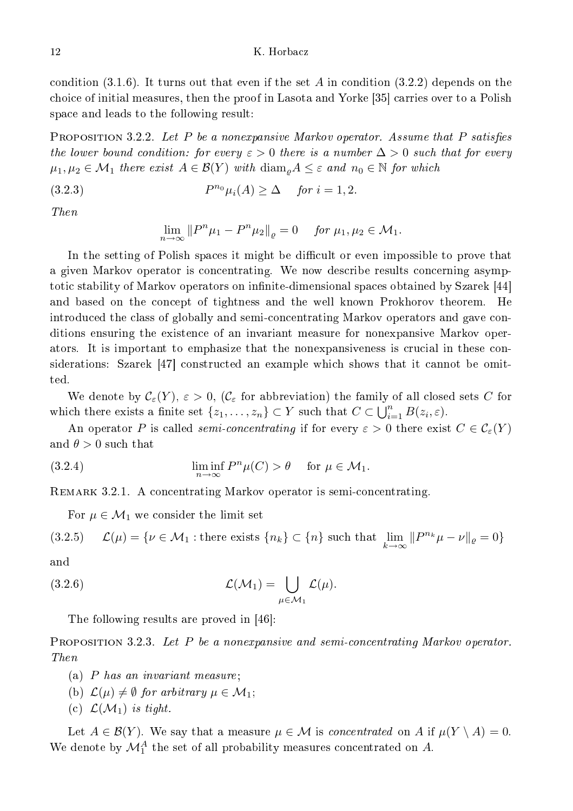condition  $(3.1.6)$ . It turns out that even if the set A in condition  $(3.2.2)$  depends on the choice of initial measures, then the proof in Lasota and Yorke [35] carries over to a Polish spa
e and leads to the following result:

**PROPOSITION 3.2.2.** Let P be a nonexpansive Markov operator. Assume that P satisfies the lower bound condition: for every  $\varepsilon > 0$  there is a number  $\Delta > 0$  such that for every  $\mu_1, \mu_2 \in \mathcal{M}_1$  there exist  $A \in \mathcal{B}(Y)$  with  $\text{diam}_{\rho} A \leq \varepsilon$  and  $n_0 \in \mathbb{N}$  for which

$$
(3.2.3) \t Pn0\mui(A) \ge \Delta \quad \text{for } i = 1, 2.
$$

 $Then$ 

$$
\lim_{n \to \infty} ||P^n \mu_1 - P^n \mu_2||_{\varrho} = 0 \quad \text{for } \mu_1, \mu_2 \in \mathcal{M}_1.
$$

In the setting of Polish spaces it might be difficult or even impossible to prove that a given Markov operator is concentrating. We now describe results concerning asymptotic stability of Markov operators on infinite-dimensional spaces obtained by Szarek [44] and based on the concept of tightness and the well known Prokhorov theorem. He introdu
ed the lass of globally and semion
entrating Markov operators and gave onditions ensuring the existence of an invariant measure for nonexpansive Markov operators. It is important to emphasize that the nonexpansiveness is crucial in these considerations: Szarek [47] constructed an example which shows that it cannot be omit-

We denote by  $\mathcal{C}_{\varepsilon}(Y), \, \varepsilon > 0, \, (\mathcal{C}_{\varepsilon})$  for abbreviation) the family of all closed sets C for which there exists a finite set  $\{z_1, \ldots, z_n\} \subset Y$  such that  $C \subset \bigcup_{i=1}^n B(z_i, \varepsilon)$ .

An operator P is called *semi-concentrating* if for every  $\varepsilon > 0$  there exist  $C \in \mathcal{C}_{\varepsilon}(Y)$ and  $\theta > 0$  such that

(3.2.4) 
$$
\liminf_{n \to \infty} P^n \mu(C) > \theta \quad \text{ for } \mu \in \mathcal{M}_1.
$$

REMARK 3.2.1. A concentrating Markov operator is semi-concentrating.

For  $\mu \in \mathcal{M}_1$  we consider the limit set

(3.2.5) 
$$
\mathcal{L}(\mu) = \{ \nu \in \mathcal{M}_1 : \text{there exists } \{n_k\} \subset \{n\} \text{ such that } \lim_{k \to \infty} ||P^{n_k}\mu - \nu||_{\varrho} = 0 \}
$$

 $\quad {\rm and} \quad$ 

(3.2.6) 
$$
\mathcal{L}(\mathcal{M}_1) = \bigcup_{\mu \in \mathcal{M}_1} \mathcal{L}(\mu).
$$

The following results are proved in  $[46]$ :

PROPOSITION 3.2.3. Let P be a nonexpansive and semi-concentrating Markov operator. Then

- (a) P has an invariant measure;
- (b)  $\mathcal{L}(\mu) \neq \emptyset$  for arbitrary  $\mu \in \mathcal{M}_1$ ;
- (c)  $\mathcal{L}(\mathcal{M}_1)$  is tight.

Let  $A \in \mathcal{B}(Y)$ . We say that a measure  $\mu \in \mathcal{M}$  is concentrated on A if  $\mu(Y \setminus A) = 0$ . We denote by  $\mathcal{M}^A_1$  the set of all probability measures concentrated on  $A$ .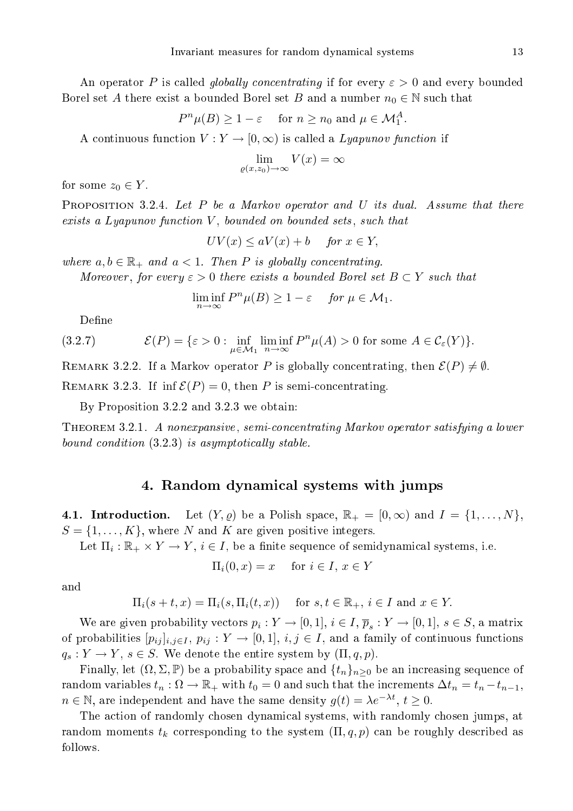An operator P is called *globally concentrating* if for every  $\varepsilon > 0$  and every bounded Borel set A there exist a bounded Borel set B and a number  $n_0 \in \mathbb{N}$  such that

$$
P^n\mu(B) \ge 1 - \varepsilon
$$
 for  $n \ge n_0$  and  $\mu \in \mathcal{M}_1^A$ .

A continuous function  $V: Y \to [0, \infty)$  is called a *Lyapunov function* if

$$
\lim_{\varrho(x,z_0)\to\infty} V(x) = \infty
$$

for some  $z_0 \in Y$ .

**PROPOSITION 3.2.4.** Let  $P$  be a Markov operator and  $U$  its dual. Assume that there  $exists a Lyapunov function V, bounded on bounded sets, such that$ 

$$
UV(x) \le aV(x) + b \quad \text{for } x \in Y,
$$

where  $a, b \in \mathbb{R}_+$  and  $a < 1$ . Then P is globally concentrating.

Moreover, for every  $\varepsilon > 0$  there exists a bounded Borel set  $B \subset Y$  such that

$$
\liminf_{n \to \infty} P^n \mu(B) \ge 1 - \varepsilon \quad \text{for } \mu \in \mathcal{M}_1.
$$

Define

(3.2.7) 
$$
\mathcal{E}(P) = \{ \varepsilon > 0 : \inf_{\mu \in \mathcal{M}_1} \liminf_{n \to \infty} P^n \mu(A) > 0 \text{ for some } A \in \mathcal{C}_{\varepsilon}(Y) \}.
$$

REMARK 3.2.2. If a Markov operator P is globally concentrating, then  $\mathcal{E}(P) \neq \emptyset$ . REMARK 3.2.3. If  $\inf \mathcal{E}(P) = 0$ , then P is semi-concentrating.

By Proposition 3.2.2 and 3.2.3 we obtain:

THEOREM 3.2.1. A nonexpansive, semi-concentrating Markov operator satisfying a lower bound condition  $(3.2.3)$  is asymptotically stable.

## 4. Random dynami
al systems with jumps

**4.1. Introduction.** Let  $(Y, \varrho)$  be a Polish space,  $\mathbb{R}_+ = [0, \infty)$  and  $I = \{1, \ldots, N\}$ ,  $S = \{1, \ldots, K\}$ , where N and K are given positive integers.

Let  $\Pi_i: \mathbb{R}_+ \times Y \to Y$ ,  $i \in I$ , be a finite sequence of semidynamical systems, i.e.

$$
\Pi_i(0, x) = x \quad \text{for } i \in I, x \in Y
$$

and

 $\Pi_i(s+t,x) = \Pi_i(s,\Pi_i(t,x))$  for  $s,t \in \mathbb{R}_+, i \in I$  and  $x \in Y$ .

We are given probability vectors  $p_i: Y \to [0,1], i \in I, \overline{p}_s: Y \to [0,1], s \in S$ , a matrix of probabilities  $[p_{ij}]_{i,j\in I}, p_{ij} : Y \to [0,1], i,j \in I$ , and a family of continuous functions  $q_s: Y \to Y, s \in S$ . We denote the entire system by  $(\Pi, q, p)$ .

Finally, let  $(\Omega, \Sigma, \mathbb{P})$  be a probability space and  $\{t_n\}_{n>0}$  be an increasing sequence of random variables  $t_n : \Omega \to \mathbb{R}_+$  with  $t_0 = 0$  and such that the increments  $\Delta t_n = t_n - t_{n-1}$ ,  $n \in \mathbb{N}$ , are independent and have the same density  $g(t) = \lambda e^{-\lambda t}$ ,  $t \ge 0$ .

The a
tion of randomly hosen dynami
al systems, with randomly hosen jumps, at random moments  $t_k$  corresponding to the system  $(\Pi, q, p)$  can be roughly described as follows.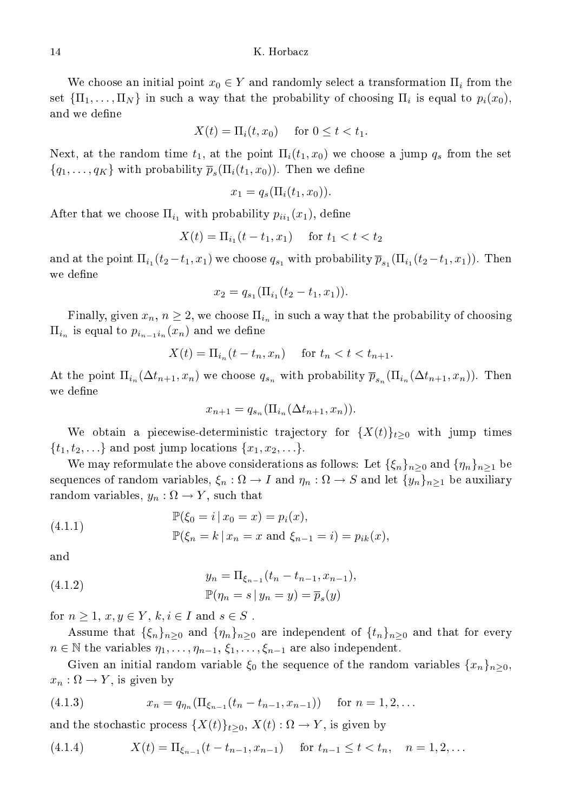We choose an initial point  $x_0 \in Y$  and randomly select a transformation  $\Pi_i$  from the set  $\{\Pi_1, \ldots, \Pi_N\}$  in such a way that the probability of choosing  $\Pi_i$  is equal to  $p_i(x_0)$ , and we define

$$
X(t) = \Pi_i(t, x_0) \quad \text{for } 0 \le t < t_1.
$$

Next, at the random time  $t_1$ , at the point  $\Pi_i(t_1, x_0)$  we choose a jump  $q_s$  from the set  ${q_1, \ldots, q_K}$  with probability  $\overline{p}_s(\Pi_i(t_1, x_0))$ . Then we define

$$
x_1 = q_s(\Pi_i(t_1, x_0)).
$$

After that we choose  $\Pi_{i_1}$  with probability  $p_{ii_1}(x_1)$ , define

$$
X(t) = \Pi_{i_1}(t - t_1, x_1) \quad \text{for } t_1 < t < t_2
$$

and at the point  $\Pi_{i_1}(t_2-t_1,x_1)$  we choose  $q_{s_1}$  with probability  $\overline{p}_{s_1}(\Pi_{i_1}(t_2-t_1,x_1))$ . Then we define

$$
x_2 = q_{s_1}(\Pi_{i_1}(t_2 - t_1, x_1)).
$$

Finally, given  $x_n$ ,  $n \geq 2$ , we choose  $\prod_{i_n}$  in such a way that the probability of choosing  $\Pi_{i_n}$  is equal to  $p_{i_{n-1}i_n}(x_n)$  and we define

$$
X(t) = \Pi_{i_n}(t - t_n, x_n) \quad \text{ for } t_n < t < t_{n+1}.
$$

At the point  $\Pi_{i_n}(\Delta t_{n+1}, x_n)$  we choose  $q_{s_n}$  with probability  $\overline{p}_{s_n}(\Pi_{i_n}(\Delta t_{n+1}, x_n))$ . Then we define

$$
x_{n+1} = q_{s_n}(\Pi_{i_n}(\Delta t_{n+1}, x_n)).
$$

We obtain a piecewise-deterministic trajectory for  $\{X(t)\}_{t>0}$  with jump times  $\{t_1, t_2, \ldots\}$  and post jump locations  $\{x_1, x_2, \ldots\}$ .

We may reformulate the above considerations as follows: Let  $\{\xi_n\}_{n>0}$  and  $\{\eta_n\}_{n>1}$  be sequences of random variables,  $\xi_n : \Omega \to I$  and  $\eta_n : \Omega \to S$  and let  $\{y_n\}_{n \geq 1}$  be auxiliary random variables,  $y_n : \Omega \to Y$ , such that

(4.1.1) 
$$
\mathbb{P}(\xi_0 = i | x_0 = x) = p_i(x),
$$

$$
\mathbb{P}(\xi_n = k | x_n = x \text{ and } \xi_{n-1} = i) = p_{ik}(x),
$$

and

(4.1.2) 
$$
y_n = \Pi_{\xi_{n-1}}(t_n - t_{n-1}, x_{n-1}),
$$

$$
\mathbb{P}(\eta_n = s \, | \, y_n = y) = \overline{p}_s(y)
$$

for  $n \geq 1$ ,  $x, y \in Y$ ,  $k, i \in I$  and  $s \in S$ .

Assume that  $\{\xi_n\}_{n>0}$  and  $\{\eta_n\}_{n>0}$  are independent of  $\{t_n\}_{n>0}$  and that for every  $n \in \mathbb{N}$  the variables  $\eta_1, \ldots, \eta_{n-1}, \xi_1, \ldots, \xi_{n-1}$  are also independent.

Given an initial random variable  $\xi_0$  the sequence of the random variables  $\{x_n\}_{n\geq 0}$ ,  $x_n : \Omega \to Y$ , is given by

(4.1.3) 
$$
x_n = q_{\eta_n}(\Pi_{\xi_{n-1}}(t_n - t_{n-1}, x_{n-1})) \text{ for } n = 1, 2, ...
$$

and the stochastic process  $\{X(t)\}_{t\geq0}$ ,  $X(t):\Omega\to Y,$  is given by

(4.1.4) 
$$
X(t) = \Pi_{\xi_{n-1}}(t - t_{n-1}, x_{n-1}) \quad \text{for } t_{n-1} \le t < t_n, \quad n = 1, 2, ...
$$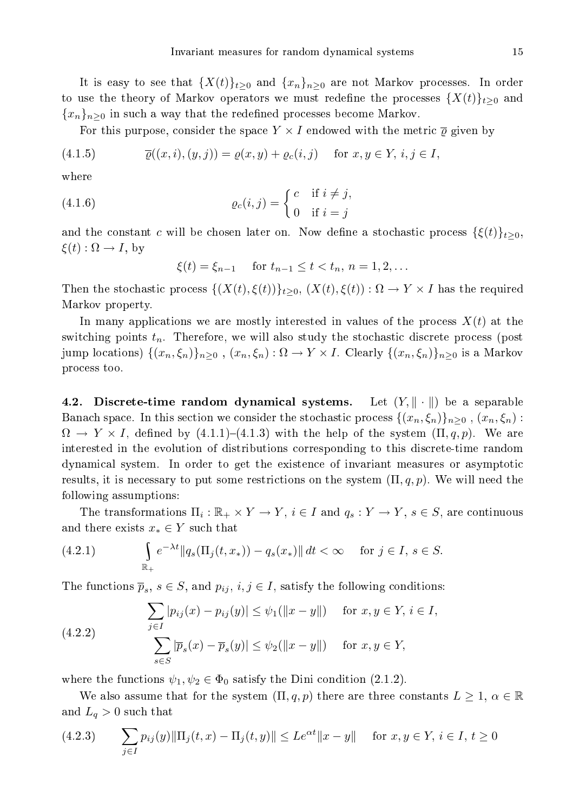15

It is easy to see that  $\{X(t)\}_{t>0}$  and  $\{x_n\}_{n>0}$  are not Markov processes. In order to use the theory of Markov operators we must redefine the processes  $\{X(t)\}_{t>0}$  and  ${x_n}_{n>0}$  in such a way that the redefined processes become Markov.

For this purpose, consider the space  $Y \times I$  endowed with the metric  $\bar{\rho}$  given by

$$
(4.1.5) \qquad \overline{\varrho}((x,i),(y,j)) = \varrho(x,y) + \varrho_c(i,j) \quad \text{for } x, y \in Y, \, i, j \in I,
$$

where

(4.1.6) 
$$
\varrho_c(i,j) = \begin{cases} c & \text{if } i \neq j, \\ 0 & \text{if } i = j \end{cases}
$$

and the constant c will be chosen later on. Now define a stochastic process  $\{\xi(t)\}_{t\geq 0}$ ,  $\xi(t): \Omega \to I$ , by

 $\xi(t) = \xi_{n-1}$  for  $t_{n-1} \le t < t_n$ ,  $n = 1, 2, ...$ 

Then the stochastic process  $\{(X(t), \xi(t))\}_{t>0}, (X(t), \xi(t)) : \Omega \to Y \times I$  has the required Markov property.

In many applications we are mostly interested in values of the process  $X(t)$  at the switching points  $t_n$ . Therefore, we will also study the stochastic discrete process (post jump locations)  $\{(x_n,\xi_n)\}_{n\geq 0}$ ,  $(x_n,\xi_n): \Omega \to Y \times I$ . Clearly  $\{(x_n,\xi_n)\}_{n\geq 0}$  is a Markov pro
ess too.

**4.2.** Discrete-time random dynamical systems. Let  $(Y, \|\cdot\|)$  be a separable Banach space. In this section we consider the stochastic process  $\{(x_n,\xi_n)\}_{n>0}$ ,  $(x_n,\xi_n)$ :  $\Omega \to Y \times I$ , defined by (4.1.1)–(4.1.3) with the help of the system  $(\Pi, q, p)$ . We are interested in the evolution of distributions orresponding to this dis
rete-time random dynami
al system. In order to get the existen
e of invariant measures or asymptoti results, it is necessary to put some restrictions on the system  $(\Pi, q, p)$ . We will need the following assumptions:

The transformations  $\Pi_i : \mathbb{R}_+ \times Y \to Y$ ,  $i \in I$  and  $q_s : Y \to Y$ ,  $s \in S$ , are continuous and there exists  $x_* \in Y$  such that

(4.2.1) 
$$
\int_{\mathbb{R}_+} e^{-\lambda t} \|q_s(\Pi_j(t, x_*)) - q_s(x_*)\| dt < \infty \quad \text{for } j \in I, s \in S.
$$

The functions  $\overline{p}_s$ ,  $s \in S$ , and  $p_{ij}$ ,  $i, j \in I$ , satisfy the following conditions:

(4.2.2) 
$$
\sum_{j \in I} |p_{ij}(x) - p_{ij}(y)| \leq \psi_1(\|x - y\|) \quad \text{for } x, y \in Y, i \in I,
$$

$$
\sum_{s \in S} |\overline{p}_s(x) - \overline{p}_s(y)| \leq \psi_2(\|x - y\|) \quad \text{for } x, y \in Y,
$$

where the functions  $\psi_1, \psi_2 \in \Phi_0$  satisfy the Dini condition (2.1.2).

We also assume that for the system  $(\Pi, q, p)$  there are three constants  $L \geq 1, \alpha \in \mathbb{R}$ and  $L_q > 0$  such that

(4.2.3) 
$$
\sum_{j \in I} p_{ij}(y) \|\Pi_j(t, x) - \Pi_j(t, y)\| \leq Le^{\alpha t} \|x - y\| \quad \text{for } x, y \in Y, \, i \in I, \, t \geq 0
$$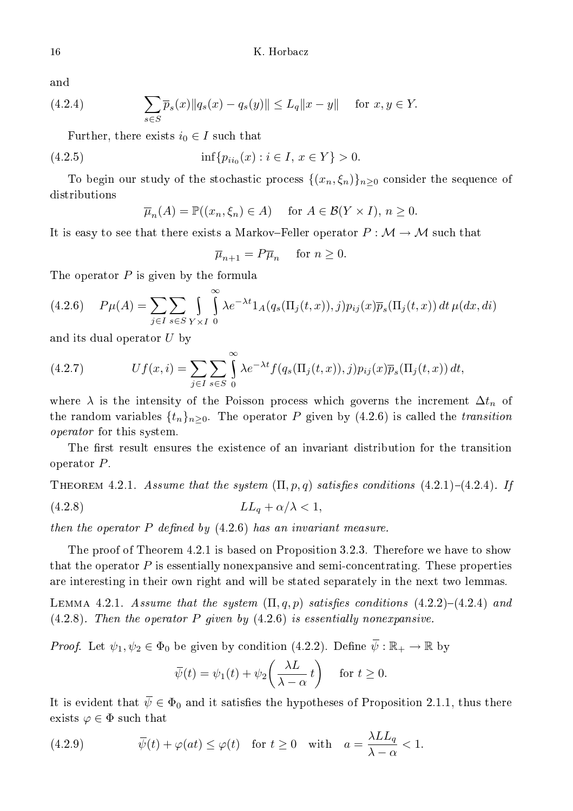and

(4.2.4) 
$$
\sum_{s \in S} \overline{p}_s(x) \|q_s(x) - q_s(y)\| \le L_q \|x - y\| \text{ for } x, y \in Y.
$$

Further, there exists  $i_0 \in I$  such that

(4.2.5) 
$$
\inf \{ p_{ii_0}(x) : i \in I, x \in Y \} > 0.
$$

To begin our study of the stochastic process  $\{(x_n,\xi_n)\}_{n\geq 0}$  consider the sequence of distributions

$$
\overline{\mu}_n(A) = \mathbb{P}((x_n, \xi_n) \in A) \quad \text{for } A \in \mathcal{B}(Y \times I), n \ge 0.
$$

It is easy to see that there exists a Markov-Feller operator  $P : \mathcal{M} \to \mathcal{M}$  such that

$$
\overline{\mu}_{n+1}=P\overline{\mu}_n\quad \ \, \text{for}\,\,n\geq 0.
$$

The operator  $P$  is given by the formula

$$
(4.2.6) \quad P\mu(A) = \sum_{j \in I} \sum_{s \in S} \int_{Y \times I} \int_{0}^{\infty} \lambda e^{-\lambda t} 1_A(q_s(\Pi_j(t, x)), j) p_{ij}(x) \overline{p}_s(\Pi_j(t, x)) dt \,\mu(dx, di)
$$

and its dual operator  $U$  by

(4.2.7) 
$$
Uf(x,i) = \sum_{j\in I}\sum_{s\in S}\int_{0}^{\infty}\lambda e^{-\lambda t}f(q_s(\Pi_j(t,x)),j)p_{ij}(x)\overline{p}_s(\Pi_j(t,x)) dt,
$$

where  $\lambda$  is the intensity of the Poisson process which governs the increment  $\Delta t_n$  of the random variables  $\{t_n\}_{n>0}$ . The operator P given by (4.2.6) is called the transition operator for this system.

The first result ensures the existence of an invariant distribution for the transition operator P .

THEOREM 4.2.1. Assume that the system  $(\Pi, p, q)$  satisfies conditions  $(4.2.1)-(4.2.4)$ . If (4.2.8)  $LL_q + \alpha/\lambda < 1$ ,

then the operator  $P$  defined by  $(4.2.6)$  has an invariant measure.

The proof of Theorem 4.2.1 is based on Proposition 3.2.3. Therefore we have to show that the operator  $P$  is essentially nonexpansive and semi-concentrating. These properties are interesting in their own right and will be stated separately in the next two lemmas.

LEMMA 4.2.1. Assume that the system  $(\Pi, q, p)$  satisfies conditions  $(4.2.2)-(4.2.4)$  and  $(4.2.8)$ . Then the operator P given by  $(4.2.6)$  is essentially nonexpansive.

*Proof.* Let  $\psi_1, \psi_2 \in \Phi_0$  be given by condition (4.2.2). Define  $\overline{\psi}: \mathbb{R}_+ \to \mathbb{R}$  by

$$
\overline{\psi}(t) = \psi_1(t) + \psi_2\left(\frac{\lambda L}{\lambda - \alpha} t\right)
$$
 for  $t \ge 0$ .

It is evident that  $\bar{\psi} \in \Phi_0$  and it satisfies the hypotheses of Proposition 2.1.1, thus there exists  $\varphi \in \Phi$  such that

(4.2.9) 
$$
\overline{\psi}(t) + \varphi(at) \leq \varphi(t) \quad \text{for } t \geq 0 \quad \text{with} \quad a = \frac{\lambda L L_q}{\lambda - \alpha} < 1.
$$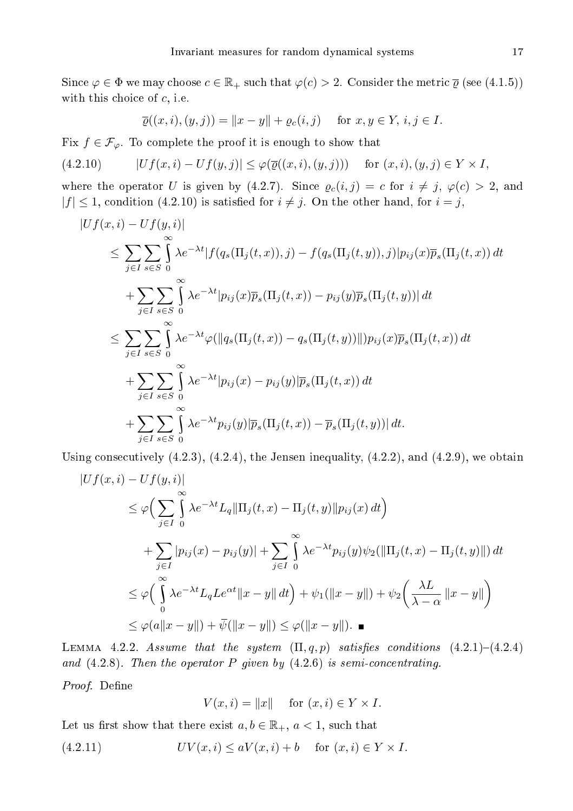Since  $\varphi \in \Phi$  we may choose  $c \in \mathbb{R}_+$  such that  $\varphi(c) > 2$ . Consider the metric  $\overline{\varphi}$  (see (4.1.5)) with this choice of  $c$ , i.e.

$$
\overline{\varrho}((x,i),(y,j)) = \|x - y\| + \varrho_c(i,j) \quad \text{for } x, y \in Y, \, i, j \in I.
$$

Fix  $f \in \mathcal{F}_{\varphi}$ . To complete the proof it is enough to show that

$$
(4.2.10) \t|Uf(x,i) - Uf(y,j)| \leq \varphi(\overline{\varrho}((x,i),(y,j))) \tfor (x,i),(y,j) \in Y \times I,
$$

where the operator U is given by (4.2.7). Since  $\varrho_c(i,j) = c$  for  $i \neq j$ ,  $\varphi(c) > 2$ , and  $|f| \leq 1$ , condition (4.2.10) is satisfied for  $i \neq j$ . On the other hand, for  $i = j$ ,

$$
|Uf(x,i) - Uf(y,i)|
$$
  
\n
$$
\leq \sum_{j\in I} \sum_{s\in S} \int_{0}^{\infty} \lambda e^{-\lambda t} |f(q_s(\Pi_j(t,x)),j) - f(q_s(\Pi_j(t,y)),j)|p_{ij}(x)\overline{p}_s(\Pi_j(t,x)) dt
$$
  
\n
$$
+ \sum_{j\in I} \sum_{s\in S} \int_{0}^{\infty} \lambda e^{-\lambda t} |p_{ij}(x)\overline{p}_s(\Pi_j(t,x)) - p_{ij}(y)\overline{p}_s(\Pi_j(t,y))| dt
$$
  
\n
$$
\leq \sum_{j\in I} \sum_{s\in S} \int_{0}^{\infty} \lambda e^{-\lambda t} \varphi(||q_s(\Pi_j(t,x)) - q_s(\Pi_j(t,y))||)p_{ij}(x)\overline{p}_s(\Pi_j(t,x)) dt
$$
  
\n
$$
+ \sum_{j\in I} \sum_{s\in S} \int_{0}^{\infty} \lambda e^{-\lambda t} |p_{ij}(x) - p_{ij}(y)|\overline{p}_s(\Pi_j(t,x)) dt
$$
  
\n
$$
+ \sum_{j\in I} \sum_{s\in S} \int_{0}^{\infty} \lambda e^{-\lambda t} p_{ij}(y) |\overline{p}_s(\Pi_j(t,x)) - \overline{p}_s(\Pi_j(t,y))| dt.
$$

Using consecutively  $(4.2.3)$ ,  $(4.2.4)$ , the Jensen inequality,  $(4.2.2)$ , and  $(4.2.9)$ , we obtain

$$
|Uf(x,i) - Uf(y,i)|
$$
  
\n
$$
\leq \varphi \Big( \sum_{j\in I} \int_{0}^{\infty} \lambda e^{-\lambda t} L_{q} \|\Pi_{j}(t,x) - \Pi_{j}(t,y)\| p_{ij}(x) dt \Big)
$$
  
\n
$$
+ \sum_{j\in I} |p_{ij}(x) - p_{ij}(y)| + \sum_{j\in I} \int_{0}^{\infty} \lambda e^{-\lambda t} p_{ij}(y) \psi_{2}(\|\Pi_{j}(t,x) - \Pi_{j}(t,y)\|) dt
$$
  
\n
$$
\leq \varphi \Big( \int_{0}^{\infty} \lambda e^{-\lambda t} L_{q} L e^{\alpha t} \|x - y\| dt \Big) + \psi_{1}(\|x - y\|) + \psi_{2} \Big( \frac{\lambda L}{\lambda - \alpha} \|x - y\| \Big)
$$
  
\n
$$
\leq \varphi(a\|x - y\|) + \overline{\psi}(\|x - y\|) \leq \varphi(\|x - y\|).
$$

LEMMA 4.2.2. Assume that the system  $(\Pi, q, p)$  satisfies conditions  $(4.2.1)-(4.2.4)$ and  $(4.2.8)$ . Then the operator P given by  $(4.2.6)$  is semi-concentrating.

Proof. Define

$$
V(x,i) = ||x|| \quad \text{for } (x,i) \in Y \times I.
$$

Let us first show that there exist  $a, b \in \mathbb{R}_+$ ,  $a < 1$ , such that

$$
(4.2.11) \t\t\t UV(x,i) \le aV(x,i) + b \t\t for (x,i) \in Y \times I.
$$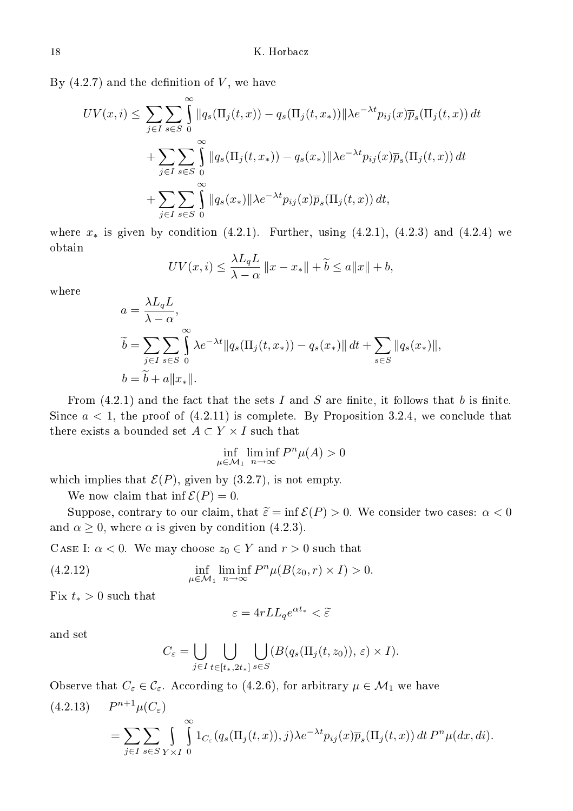By  $(4.2.7)$  and the definition of V, we have

$$
UV(x,i) \leq \sum_{j\in I} \sum_{s\in S} \int_{0}^{\infty} ||q_s(\Pi_j(t,x)) - q_s(\Pi_j(t,x))||\lambda e^{-\lambda t} p_{ij}(x)\overline{p}_s(\Pi_j(t,x)) dt
$$
  
+ 
$$
\sum_{j\in I} \sum_{s\in S} \int_{0}^{\infty} ||q_s(\Pi_j(t,x_*)) - q_s(x_*)||\lambda e^{-\lambda t} p_{ij}(x)\overline{p}_s(\Pi_j(t,x)) dt
$$
  
+ 
$$
\sum_{j\in I} \sum_{s\in S} \int_{0}^{\infty} ||q_s(x_*)||\lambda e^{-\lambda t} p_{ij}(x)\overline{p}_s(\Pi_j(t,x)) dt,
$$

where  $x_*$  is given by condition (4.2.1). Further, using (4.2.1), (4.2.3) and (4.2.4) we obtain

$$
UV(x,i) \le \frac{\lambda L_q L}{\lambda - \alpha} ||x - x_*|| + \tilde{b} \le a||x|| + b,
$$

where

$$
a = \frac{\lambda L_q L}{\lambda - \alpha},
$$
  
\n
$$
\tilde{b} = \sum_{j \in I} \sum_{s \in S} \int_0^\infty \lambda e^{-\lambda t} ||q_s(\Pi_j(t, x_*)) - q_s(x_*)|| dt + \sum_{s \in S} ||q_s(x_*)||,
$$
  
\n
$$
b = \tilde{b} + a||x_*||.
$$

From  $(4.2.1)$  and the fact that the sets I and S are finite, it follows that b is finite. Since  $a < 1$ , the proof of  $(4.2.11)$  is complete. By Proposition 3.2.4, we conclude that there exists a bounded set  $A \subset Y \times I$  such that

$$
\inf_{\mu \in \mathcal{M}_1} \liminf_{n \to \infty} P^n \mu(A) > 0
$$

which implies that  $\mathcal{E}(P)$ , given by (3.2.7), is not empty.

We now claim that inf  $\mathcal{E}(P) = 0$ .

Suppose, contrary to our claim, that  $\tilde{\varepsilon} = \inf \mathcal{E}(P) > 0$ . We consider two cases:  $\alpha < 0$ and  $\alpha \geq 0$ , where  $\alpha$  is given by condition (4.2.3).

CASE I:  $\alpha < 0$ . We may choose  $z_0 \in Y$  and  $r > 0$  such that

(4.2.12) 
$$
\inf_{\mu \in \mathcal{M}_1} \liminf_{n \to \infty} P^n \mu(B(z_0, r) \times I) > 0.
$$

Fix  $t_* > 0$  such that

$$
\varepsilon=4rLL_qe^{\alpha t_*}<\widetilde{\varepsilon}
$$

and set

$$
C_\varepsilon=\bigcup_{j\in I}\bigcup_{t\in[t_*,2t_*]}\bigcup_{s\in S}(B(q_s(\Pi_j(t,z_0)),\,\varepsilon)\times I).
$$

Observe that  $C_{\varepsilon} \in \mathcal{C}_{\varepsilon}$ . According to (4.2.6), for arbitrary  $\mu \in \mathcal{M}_1$  we have

(4.2.13) 
$$
P^{n+1}\mu(C_{\varepsilon}) = \sum_{j\in I} \sum_{s\in S} \int_{Y\times I} \int_{0}^{\infty} 1_{C_{\varepsilon}}(q_s(\Pi_j(t,x)),j)\lambda e^{-\lambda t} p_{ij}(x) \overline{p}_s(\Pi_j(t,x)) dt P^n \mu(dx,di).
$$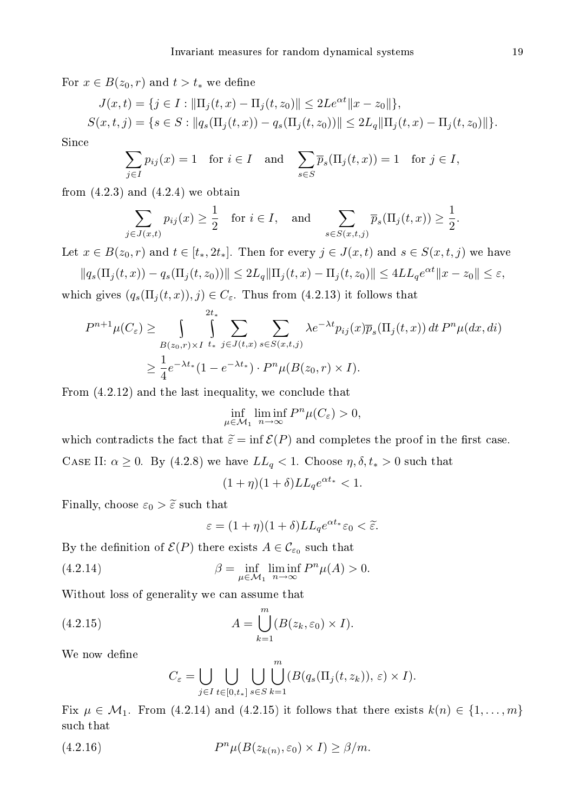For  $x \in B(z_0, r)$  and  $t > t_*$  we define

$$
J(x,t) = \{ j \in I : ||\Pi_j(t,x) - \Pi_j(t,z_0)|| \le 2Le^{\alpha t} ||x - z_0|| \},
$$
  

$$
S(x,t,j) = \{ s \in S : ||q_s(\Pi_j(t,x)) - q_s(\Pi_j(t,z_0))|| \le 2L_q ||\Pi_j(t,x) - \Pi_j(t,z_0)|| \}.
$$

Sin
e

$$
\sum_{j \in I} p_{ij}(x) = 1 \quad \text{for } i \in I \quad \text{and} \quad \sum_{s \in S} \overline{p}_s(\Pi_j(t, x)) = 1 \quad \text{for } j \in I,
$$

from  $(4.2.3)$  and  $(4.2.4)$  we obtain

$$
\sum_{j \in J(x,t)} p_{ij}(x) \ge \frac{1}{2} \quad \text{for } i \in I, \quad \text{and} \quad \sum_{s \in S(x,t,j)} \overline{p}_s(\Pi_j(t,x)) \ge \frac{1}{2}.
$$

Let  $x \in B(z_0, r)$  and  $t \in [t_*, 2t_*]$ . Then for every  $j \in J(x, t)$  and  $s \in S(x, t, j)$  we have

$$
||q_s(\Pi_j(t,x)) - q_s(\Pi_j(t,z_0))|| \le 2L_q ||\Pi_j(t,x) - \Pi_j(t,z_0)|| \le 4LL_q e^{\alpha t} ||x - z_0|| \le \varepsilon,
$$

which gives  $(q_s(\Pi_j(t,x)), j) \in C_{\varepsilon}$ . Thus from (4.2.13) it follows that

$$
P^{n+1}\mu(C_{\varepsilon}) \ge \int\limits_{B(z_0,r)\times I} \int\limits_{t_*}^{2t_*} \sum\limits_{j\in J(t,x)} \sum\limits_{s\in S(x,t,j)} \lambda e^{-\lambda t} p_{ij}(x) \overline{p}_s(\Pi_j(t,x)) dt P^n \mu(dx, di)
$$
  

$$
\ge \frac{1}{4} e^{-\lambda t_*} (1 - e^{-\lambda t_*}) \cdot P^n \mu(B(z_0,r) \times I).
$$

From  $(4.2.12)$  and the last inequality, we conclude that

$$
\inf_{\mu \in \mathcal{M}_1} \liminf_{n \to \infty} P^n \mu(C_{\varepsilon}) > 0,
$$

which contradicts the fact that  $\tilde{\varepsilon} = \inf \mathcal{E}(P)$  and completes the proof in the first case. CASE II:  $\alpha \geq 0$ . By (4.2.8) we have  $LL_q < 1$ . Choose  $\eta, \delta, t_* > 0$  such that

 $(1 + \eta)(1 + \delta)LL_q e^{\alpha t_*} < 1.$ 

Finally, choose  $\varepsilon_0 > \tilde{\varepsilon}$  such that

$$
\varepsilon = (1+\eta)(1+\delta)LL_q e^{\alpha t_*}\varepsilon_0 < \tilde{\varepsilon}.
$$

By the definition of  $\mathcal{E}(P)$  there exists  $A \in \mathcal{C}_{\varepsilon_0}$  such that

(4.2.14) 
$$
\beta = \inf_{\mu \in \mathcal{M}_1} \liminf_{n \to \infty} P^n \mu(A) > 0.
$$

Without loss of generality we an assume that

(4.2.15) 
$$
A = \bigcup_{k=1}^{m} (B(z_k, \varepsilon_0) \times I).
$$

We now define

$$
C_{\varepsilon} = \bigcup_{j \in I} \bigcup_{t \in [0, t_*]} \bigcup_{s \in S} \bigcup_{k=1}^m (B(q_s(\Pi_j(t, z_k)), \varepsilon) \times I).
$$

Fix  $\mu \in \mathcal{M}_1$ . From (4.2.14) and (4.2.15) it follows that there exists  $k(n) \in \{1, \ldots, m\}$ su
h that

(4.2.16) 
$$
P^{n} \mu(B(z_{k(n)}, \varepsilon_0) \times I) \geq \beta/m.
$$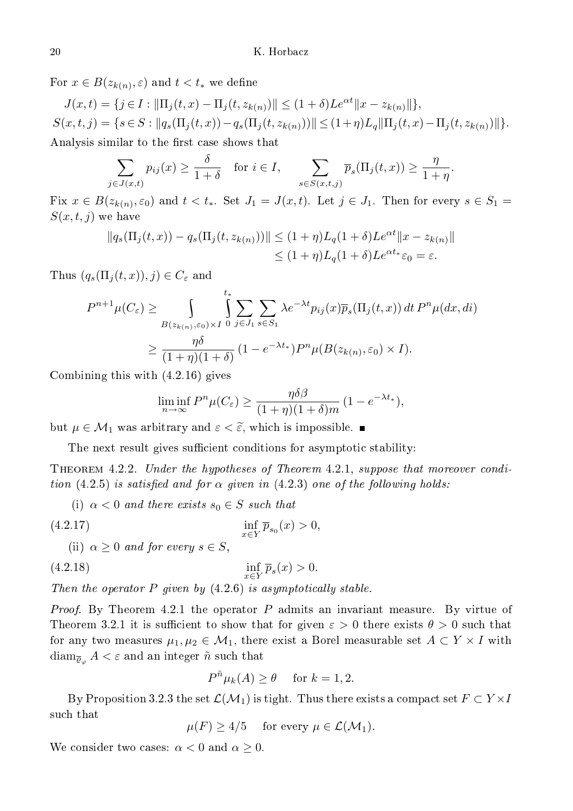For  $x\in B(z_{k(n)},\varepsilon)$  and  $t< t_*$  we define

$$
J(x,t) = \{ j \in I : ||\Pi_j(t,x) - \Pi_j(t,z_{k(n)})|| \le (1+\delta)L e^{\alpha t} ||x - z_{k(n)}|| \},
$$
  
\n
$$
S(x,t,j) = \{ s \in S : ||q_s(\Pi_j(t,x)) - q_s(\Pi_j(t,z_{k(n)}))|| \le (1+\eta)L_q ||\Pi_j(t,x) - \Pi_j(t,z_{k(n)})|| \}.
$$
  
\nAnalysis similar to the first case shows that

$$
\sum_{j \in J(x,t)} p_{ij}(x) \ge \frac{\delta}{1+\delta} \quad \text{for } i \in I, \quad \sum_{s \in S(x,t,j)} \overline{p}_s(\Pi_j(t,x)) \ge \frac{\eta}{1+\eta}.
$$

Fix  $x \in B(z_{k(n)}, \varepsilon_0)$  and  $t < t_*$ . Set  $J_1 = J(x, t)$ . Let  $j \in J_1$ . Then for every  $s \in S_1$  $S(x, t, j)$  we have

$$
||q_s(\Pi_j(t,x)) - q_s(\Pi_j(t,z_{k(n)}))|| \leq (1+\eta)L_q(1+\delta)L e^{\alpha t} ||x - z_{k(n)}||
$$
  

$$
\leq (1+\eta)L_q(1+\delta)L e^{\alpha t} \epsilon_0 = \varepsilon.
$$

Thus  $(q_s(\Pi_j(t,x)), j) \in C_\varepsilon$  and

$$
P^{n+1}\mu(C_{\varepsilon}) \geq \int_{B(z_{k(n)},\varepsilon_{0})\times I} \int_{0}^{t_{*}} \sum_{j\in J_{1}} \sum_{s\in S_{1}} \lambda e^{-\lambda t} p_{ij}(x) \overline{p}_{s}(\Pi_{j}(t,x)) dt P^{n} \mu(dx, di)
$$
  

$$
\geq \frac{\eta \delta}{(1+\eta)(1+\delta)} (1-e^{-\lambda t_{*}}) P^{n} \mu(B(z_{k(n)},\varepsilon_{0}) \times I).
$$

Combining this with (4.2.16) gives

$$
\liminf_{n \to \infty} P^n \mu(C_{\varepsilon}) \ge \frac{\eta \delta \beta}{(1+\eta)(1+\delta)m} (1 - e^{-\lambda t_*}),
$$

but  $\mu \in \mathcal{M}_1$  was arbitrary and  $\varepsilon < \tilde{\varepsilon}$ , which is impossible.

The next result gives sufficient conditions for asymptotic stability:

THEOREM 4.2.2. Under the hypotheses of Theorem 4.2.1, suppose that moreover condition (4.2.5) is satisfied and for  $\alpha$  given in (4.2.3) one of the following holds:

(i) 
$$
\alpha < 0
$$
 and there exists  $s_0 \in S$  such that

$$
(4.2.17)
$$
  
\n
$$
\inf_{x \in Y} \overline{p}_{s_0}(x) > 0,
$$
  
\n
$$
\inf_{x \in Y} \overline{p}_{s_0}(x) > 0,
$$

(ii) 
$$
\alpha \geq 0
$$
 and for every  $s \in S$ ,

$$
(4.2.18)\qquad \qquad \inf_{x \in Y} \overline{p}_s(x) > 0.
$$

Then the operator  $P$  given by  $(4.2.6)$  is asymptotically stable.

*Proof.* By Theorem 4.2.1 the operator  $P$  admits an invariant measure. By virtue of Theorem 3.2.1 it is sufficient to show that for given  $\varepsilon > 0$  there exists  $\theta > 0$  such that for any two measures  $\mu_1, \mu_2 \in \mathcal{M}_1$ , there exist a Borel measurable set  $A \subset Y \times I$  with  $\dim_{\overline{\rho}_\alpha} A < \varepsilon$  and an integer  $\tilde{n}$  such that

$$
P^{\tilde{n}}\mu_k(A) \ge \theta \quad \text{ for } k = 1, 2.
$$

By Proposition 3.2.3 the set  $\mathcal{L}(\mathcal{M}_1)$  is tight. Thus there exists a compact set  $F \subset Y \times I$ su
h that

$$
\mu(F) \ge 4/5 \quad \text{ for every } \mu \in \mathcal{L}(\mathcal{M}_1).
$$

We consider two cases:  $\alpha < 0$  and  $\alpha \geq 0$ .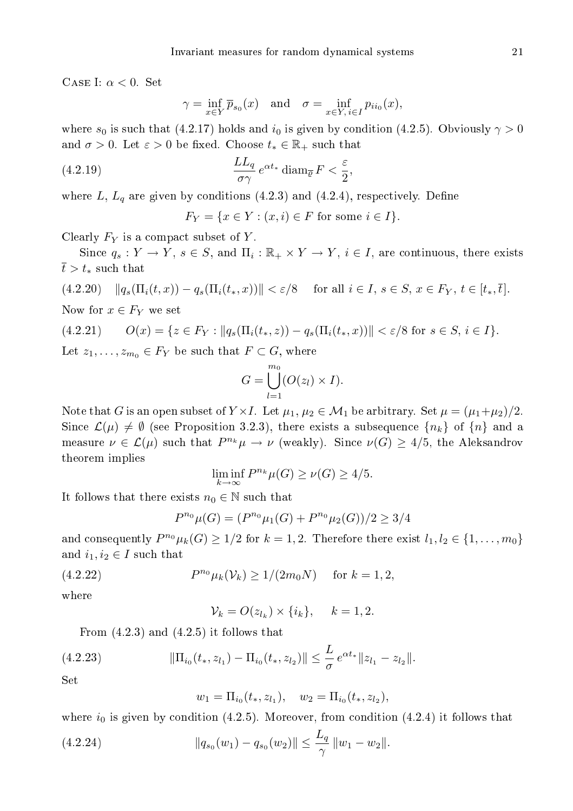CASE I:  $\alpha < 0$ . Set

$$
\gamma = \inf_{x \in Y} \overline{p}_{s_0}(x) \quad \text{and} \quad \sigma = \inf_{x \in Y, \, i \in I} p_{i i_0}(x),
$$

where  $s_0$  is such that (4.2.17) holds and  $i_0$  is given by condition (4.2.5). Obviously  $\gamma > 0$ and  $\sigma > 0$ . Let  $\varepsilon > 0$  be fixed. Choose  $t_* \in \mathbb{R}_+$  such that

(4.2.19) 
$$
\frac{LL_q}{\sigma \gamma} e^{\alpha t_*} \operatorname{diam}_{\overline{\varrho}} F < \frac{\varepsilon}{2},
$$

where L,  $L_q$  are given by conditions (4.2.3) and (4.2.4), respectively. Define

 $F_Y = \{x \in Y : (x, i) \in F \text{ for some } i \in I\}.$ 

Clearly  $F_Y$  is a compact subset of Y.

Since  $q_s: Y \to Y$ ,  $s \in S$ , and  $\Pi_i: \mathbb{R}_+ \times Y \to Y$ ,  $i \in I$ , are continuous, there exists  $\overline{t} > t_*$  such that

$$
(4.2.20) \quad ||q_s(\Pi_i(t,x)) - q_s(\Pi_i(t_*,x))|| < \varepsilon/8 \quad \text{ for all } i \in I, \ s \in S, \ x \in F_Y, \ t \in [t_*, \overline{t}].
$$

Now for  $x \in F_Y$  we set

$$
(4.2.21) \t O(x) = \{ z \in F_Y : ||q_s(\Pi_i(t_*, z)) - q_s(\Pi_i(t_*, x))|| < \varepsilon/8 \text{ for } s \in S, i \in I \}.
$$

Let  $z_1, \ldots, z_{m_0} \in F_Y$  be such that  $F \subset G$ , where

$$
G = \bigcup_{l=1}^{m_0} (O(z_l) \times I).
$$

Note that G is an open subset of  $Y \times I$ . Let  $\mu_1, \mu_2 \in \mathcal{M}_1$  be arbitrary. Set  $\mu = (\mu_1 + \mu_2)/2$ . Since  $\mathcal{L}(\mu) \neq \emptyset$  (see Proposition 3.2.3), there exists a subsequence  $\{n_k\}$  of  $\{n\}$  and a measure  $\nu \in \mathcal{L}(\mu)$  such that  $P^{n_k}\mu \to \nu$  (weakly). Since  $\nu(G) \geq 4/5$ , the Aleksandrov theorem implies

$$
\liminf_{k \to \infty} P^{n_k} \mu(G) \ge \nu(G) \ge 4/5.
$$

It follows that there exists  $n_0 \in \mathbb{N}$  such that

$$
P^{n_0}\mu(G) = (P^{n_0}\mu_1(G) + P^{n_0}\mu_2(G))/2 \ge 3/4
$$

and consequently  $P^{n_0}\mu_k(G) \geq 1/2$  for  $k = 1, 2$ . Therefore there exist  $l_1, l_2 \in \{1, \ldots, m_0\}$ and  $i_1, i_2 \in I$  such that

(4.2.22) 
$$
P^{n_0} \mu_k(\mathcal{V}_k) \ge 1/(2m_0 N) \quad \text{for } k = 1, 2,
$$

where

$$
\mathcal{V}_k = O(z_{l_k}) \times \{i_k\}, \quad k = 1, 2.
$$

From  $(4.2.3)$  and  $(4.2.5)$  it follows that

(4.2.23) 
$$
\|\Pi_{i_0}(t_*, z_{l_1}) - \Pi_{i_0}(t_*, z_{l_2})\| \leq \frac{L}{\sigma} e^{\alpha t_*} \|z_{l_1} - z_{l_2}\|.
$$

Set

$$
w_1 = \Pi_{i_0}(t_*, z_{l_1}), \quad w_2 = \Pi_{i_0}(t_*, z_{l_2}),
$$

where  $i_0$  is given by condition (4.2.5). Moreover, from condition (4.2.4) it follows that

(4.2.24) 
$$
||q_{s_0}(w_1) - q_{s_0}(w_2)|| \leq \frac{L_q}{\gamma} ||w_1 - w_2||.
$$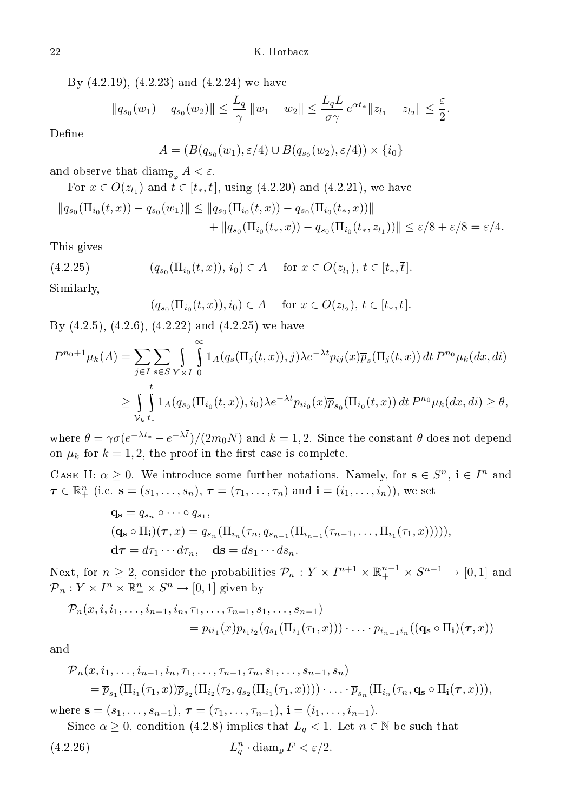By (4.2.19), (4.2.23) and (4.2.24) we have

$$
||q_{s_0}(w_1) - q_{s_0}(w_2)|| \leq \frac{L_q}{\gamma} ||w_1 - w_2|| \leq \frac{L_q L}{\sigma \gamma} e^{\alpha t_*} ||z_{l_1} - z_{l_2}|| \leq \frac{\varepsilon}{2}.
$$

Define

$$
A = (B(q_{s_0}(w_1), \varepsilon/4) \cup B(q_{s_0}(w_2), \varepsilon/4)) \times \{i_0\}
$$

and observe that  $\dim_{\overline{\mathcal{Q}}_{\alpha}} A < \varepsilon$ .

For 
$$
x \in O(z_{l_1})
$$
 and  $t \in [t_*, \overline{t}]$ , using (4.2.20) and (4.2.21), we have  
\n
$$
||q_{s_0}(\Pi_{i_0}(t, x)) - q_{s_0}(w_1)|| \le ||q_{s_0}(\Pi_{i_0}(t, x)) - q_{s_0}(\Pi_{i_0}(t_*, x))||
$$
\n
$$
+ ||q_{s_0}(\Pi_{i_0}(t_*, x)) - q_{s_0}(\Pi_{i_0}(t_*, z_{l_1}))|| \le \varepsilon/8 + \varepsilon/8 = \varepsilon/4.
$$

This gives

$$
(4.2.25) \t\t (q_{s_0}(\Pi_{i_0}(t,x)), i_0) \in A \t for x \in O(z_{l_1}), t \in [t_*, \overline{t}].
$$

Similarly,

$$
(q_{s_0}(\Pi_{i_0}(t,x)), i_0) \in A
$$
 for  $x \in O(z_{l_2}), t \in [t_*, \overline{t}].$ 

By  $(4.2.5)$ ,  $(4.2.6)$ ,  $(4.2.22)$  and  $(4.2.25)$  we have

$$
P^{n_0+1}\mu_k(A) = \sum_{j\in I} \sum_{s\in S} \int_{Y\times I} \int_{0}^{\infty} 1_A(q_s(\Pi_j(t,x)),j)\lambda e^{-\lambda t} p_{ij}(x) \overline{p}_s(\Pi_j(t,x)) dt P^{n_0}\mu_k(dx,di)
$$
  

$$
\geq \int_{\substack{t\\ \mathcal{V}_k}} \int_{t_*}^{t} 1_A(q_{s_0}(\Pi_{i_0}(t,x)),i_0)\lambda e^{-\lambda t} p_{ii_0}(x) \overline{p}_{s_0}(\Pi_{i_0}(t,x)) dt P^{n_0}\mu_k(dx,di) \geq \theta,
$$

where  $\theta = \gamma \sigma (e^{-\lambda t_*} - e^{-\lambda t})/(2m_0 N)$  and  $k = 1, 2$ . Since the constant  $\theta$  does not depend on  $\mu_k$  for  $k = 1, 2$ , the proof in the first case is complete.

CASE II:  $\alpha \geq 0$ . We introduce some further notations. Namely, for  $s \in S^n$ ,  $i \in I^n$  and  $\boldsymbol{\tau} \in \mathbb{R}_+^n$  (i.e.  $\mathbf{s} = (s_1, \ldots, s_n)$ ,  $\boldsymbol{\tau} = (\tau_1, \ldots, \tau_n)$  and  $\mathbf{i} = (i_1, \ldots, i_n)$ ), we set

$$
\mathbf{q_s} = q_{s_n} \circ \cdots \circ q_{s_1},
$$
  
\n
$$
(\mathbf{q_s} \circ \Pi_i)(\boldsymbol{\tau}, x) = q_{s_n}(\Pi_{i_n}(\tau_n, q_{s_{n-1}}(\Pi_{i_{n-1}}(\tau_{n-1}, \ldots, \Pi_{i_1}(\tau_1, x))))),
$$
  
\n
$$
\mathbf{d\tau} = d\tau_1 \cdots d\tau_n, \quad \mathbf{ds} = ds_1 \cdots ds_n.
$$

Next, for  $n \geq 2$ , consider the probabilities  $\mathcal{P}_n : Y \times I^{n+1} \times \mathbb{R}^{n-1}_+ \times S^{n-1} \to [0,1]$  and  $\overline{\mathcal{P}}_n: Y \times I^n \times \mathbb{R}_+^n \times S^n \to [0,1]$  given by

$$
\mathcal{P}_n(x, i, i_1, \dots, i_{n-1}, i_n, \tau_1, \dots, \tau_{n-1}, s_1, \dots, s_{n-1})
$$
  
=  $p_{i i_1}(x) p_{i_1 i_2}(q_{s_1}(\Pi_{i_1}(\tau_1, x))) \cdot \dots \cdot p_{i_{n-1} i_n}((\mathbf{q_s} \circ \Pi_{\mathbf{i}})(\tau, x))$ 

and

$$
\overline{\mathcal{P}}_n(x, i_1, \ldots, i_{n-1}, i_n, \tau_1, \ldots, \tau_{n-1}, \tau_n, s_1, \ldots, s_{n-1}, s_n)
$$
\n
$$
= \overline{p}_{s_1}(\Pi_{i_1}(\tau_1, x)) \overline{p}_{s_2}(\Pi_{i_2}(\tau_2, q_{s_2}(\Pi_{i_1}(\tau_1, x)))) \cdot \ldots \cdot \overline{p}_{s_n}(\Pi_{i_n}(\tau_n, \mathbf{q}_s \circ \Pi_i(\boldsymbol{\tau}, x))),
$$

where  $\mathbf{s} = (s_1, \ldots, s_{n-1}), \boldsymbol{\tau} = (\tau_1, \ldots, \tau_{n-1}), \mathbf{i} = (i_1, \ldots, i_{n-1}).$ 

Since  $\alpha \geq 0$ , condition (4.2.8) implies that  $L_q < 1$ . Let  $n \in \mathbb{N}$  be such that  $(4.2.26)$  $n_q$  · diam<sub> $\overline{\varrho} F < \varepsilon/2$ .</sub>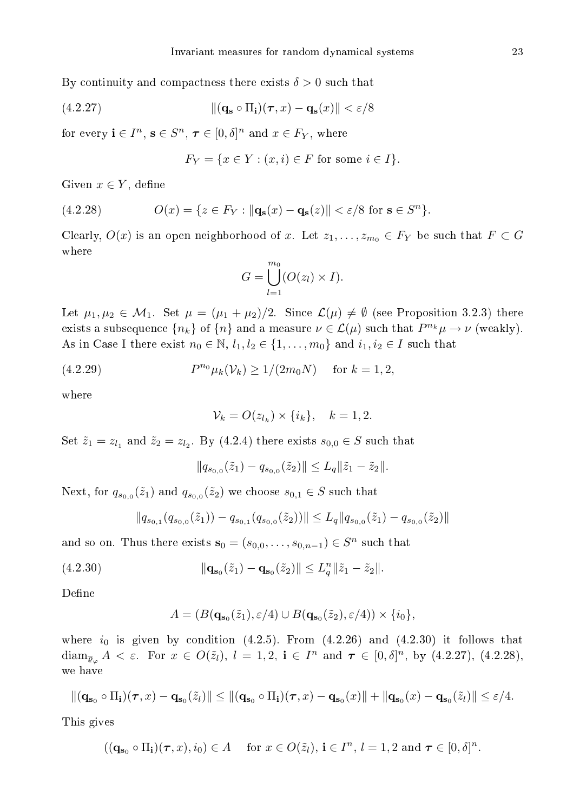By continuity and compactness there exists  $\delta > 0$  such that

(4.2.27) 
$$
\|(\mathbf{q_s} \circ \Pi_{\mathbf{i}})(\boldsymbol{\tau}, x) - \mathbf{q_s}(x)\| < \varepsilon/8
$$

for every  $\mathbf{i} \in I^n$ ,  $\mathbf{s} \in S^n$ ,  $\boldsymbol{\tau} \in [0,\delta]^n$  and  $x \in F_Y$ , where

$$
F_Y = \{ x \in Y : (x, i) \in F \text{ for some } i \in I \}.
$$

Given  $x \in Y$ , define

(4.2.28) 
$$
O(x) = \{z \in F_Y : ||\mathbf{q_s}(x) - \mathbf{q_s}(z)|| < \varepsilon/8 \text{ for } \mathbf{s} \in S^n\}.
$$

Clearly,  $O(x)$  is an open neighborhood of x. Let  $z_1, \ldots, z_{m_0} \in F_Y$  be such that  $F \subset G$ where

$$
G = \bigcup_{l=1}^{m_0} (O(z_l) \times I).
$$

Let  $\mu_1, \mu_2 \in \mathcal{M}_1$ . Set  $\mu = (\mu_1 + \mu_2)/2$ . Since  $\mathcal{L}(\mu) \neq \emptyset$  (see Proposition 3.2.3) there exists a subsequence  $\{n_k\}$  of  $\{n\}$  and a measure  $\nu \in \mathcal{L}(\mu)$  such that  $P^{n_k}\mu \to \nu$  (weakly). As in Case I there exist  $n_0 \in \mathbb{N}$ ,  $l_1, l_2 \in \{1, \ldots, m_0\}$  and  $i_1, i_2 \in I$  such that

(4.2.29) 
$$
P^{n_0} \mu_k(\mathcal{V}_k) \ge 1/(2m_0 N) \quad \text{for } k = 1, 2,
$$

where

$$
\mathcal{V}_k = O(z_{l_k}) \times \{i_k\}, \quad k = 1, 2.
$$

Set  $\tilde{z}_1 = z_{l_1}$  and  $\tilde{z}_2 = z_{l_2}$ . By (4.2.4) there exists  $s_{0,0} \in S$  such that

$$
||q_{s_{0,0}}(\tilde{z}_1)-q_{s_{0,0}}(\tilde{z}_2)|| \leq L_q ||\tilde{z}_1-\tilde{z}_2||.
$$

Next, for  $q_{s_{0,0}}(\tilde{z}_1)$  and  $q_{s_{0,0}}(\tilde{z}_2)$  we choose  $s_{0,1} \in S$  such that

$$
||q_{s_{0,1}}(q_{s_{0,0}}(\tilde{z}_1)) - q_{s_{0,1}}(q_{s_{0,0}}(\tilde{z}_2))|| \leq L_q ||q_{s_{0,0}}(\tilde{z}_1) - q_{s_{0,0}}(\tilde{z}_2)||
$$

and so on. Thus there exists  $\mathbf{s}_0 = (s_{0,0}, \ldots, s_{0,n-1}) \in S^n$  such that

(4.2.30) 
$$
\|\mathbf{q}_{\mathbf{s}_0}(\tilde{z}_1) - \mathbf{q}_{\mathbf{s}_0}(\tilde{z}_2)\| \le L_q^n \|\tilde{z}_1 - \tilde{z}_2\|.
$$

Define

$$
A = (B(\mathbf{q}_{\mathbf{s}_0}(\tilde{z}_1), \varepsilon/4) \cup B(\mathbf{q}_{\mathbf{s}_0}(\tilde{z}_2), \varepsilon/4)) \times \{i_0\},\
$$

where  $i_0$  is given by condition (4.2.5). From (4.2.26) and (4.2.30) it follows that  $\dim_{\overline{\mathcal{Q}}_{\varphi}} A < \varepsilon$ . For  $x \in O(\tilde{z}_l)$ ,  $l = 1, 2$ ,  $\mathbf{i} \in I^n$  and  $\boldsymbol{\tau} \in [0, \delta]^n$ , by  $(4.2.27)$ ,  $(4.2.28)$ , we have

$$
\|(\mathbf{q}_{\mathbf{s}_0}\circ\Pi_{\mathbf{i}})(\boldsymbol{\tau},x)-\mathbf{q}_{\mathbf{s}_0}(\tilde{z}_l)\|\leq \|(\mathbf{q}_{\mathbf{s}_0}\circ\Pi_{\mathbf{i}})(\boldsymbol{\tau},x)-\mathbf{q}_{\mathbf{s}_0}(x)\|+\|\mathbf{q}_{\mathbf{s}_0}(x)-\mathbf{q}_{\mathbf{s}_0}(\tilde{z}_l)\|\leq \varepsilon/4.
$$

This gives

$$
((\mathbf{q}_{\mathbf{s}_0} \circ \Pi_{\mathbf{i}})(\boldsymbol{\tau}, x), i_0) \in A \quad \text{ for } x \in O(\tilde{z}_l), \, \mathbf{i} \in I^n, \, l = 1, 2 \text{ and } \boldsymbol{\tau} \in [0, \delta]^n.
$$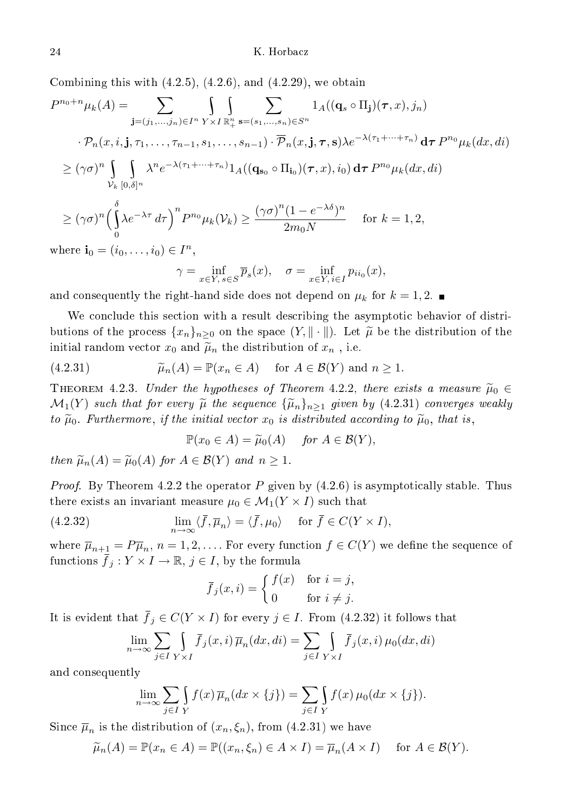Combining this with (4.2.5), (4.2.6), and (4.2.29), we obtain

P <sup>n</sup>0+nµk(A) = <sup>X</sup> j=(j1,...,jn)∈I<sup>n</sup> \ Y ×I \ Rn + X s=(s1,...,sn)∈S<sup>n</sup> 1A((q<sup>s</sup> ◦ Πj)(τ, x), jn) · Pn(x, i,j, τ1, . . ., τn−1, s1, . . ., sn−1) · Pn(x,j, τ, s)λe−λ(τ1+···+τn) dτ P <sup>n</sup><sup>0</sup> µk(dx, di) ≥ (γσ) n \ V<sup>k</sup> \ [0,δ]<sup>n</sup> λ n e −λ(τ1+···+τn) 1A((qs<sup>0</sup> ◦ Πi<sup>0</sup> )(τ, x), i0) dτ P <sup>n</sup><sup>0</sup> µk(dx, di) ≥ (γσ) n δ \ 0 λe−λτ dτ<sup>n</sup> P <sup>n</sup><sup>0</sup> µk(Vk) ≥ (γσ) n (1 − e <sup>−</sup>λδ) n 2m0N for k = 1, 2, where i<sup>0</sup> = (i0, . . ., i0) ∈ I n ,

$$
\gamma = \inf_{x \in Y, s \in S} \overline{p}_s(x), \quad \sigma = \inf_{x \in Y, i \in I} p_{ii_0}(x),
$$

and consequently the right-hand side does not depend on  $\mu_k$  for  $k=1,2$ .

We conclude this section with a result describing the asymptotic behavior of distributions of the process  $\{x_n\}_{n>0}$  on the space  $(Y, \|\cdot\|)$ . Let  $\widetilde{\mu}$  be the distribution of the initial random vector  $x_0$  and  $\tilde{\mu}_n$  the distribution of  $x_n$ , i.e.

(4.2.31) 
$$
\widetilde{\mu}_n(A) = \mathbb{P}(x_n \in A) \quad \text{for } A \in \mathcal{B}(Y) \text{ and } n \ge 1.
$$

THEOREM 4.2.3. Under the hypotheses of Theorem 4.2.2, there exists a measure  $\widetilde{\mu}_0 \in$  $\mathcal{M}_1(Y)$  such that for every  $\widetilde{\mu}$  the sequence  $\{\widetilde{\mu}_n\}_{n\geq 1}$  given by (4.2.31) converges weakly to  $\tilde{\mu}_0$ . Furthermore, if the initial vector  $x_0$  is distributed according to  $\tilde{\mu}_0$ , that is,

$$
\mathbb{P}(x_0 \in A) = \tilde{\mu}_0(A) \quad \text{for } A \in \mathcal{B}(Y),
$$

then  $\widetilde{\mu}_n(A) = \widetilde{\mu}_0(A)$  for  $A \in \mathcal{B}(Y)$  and  $n \geq 1$ .

*Proof.* By Theorem 4.2.2 the operator P given by  $(4.2.6)$  is asymptotically stable. Thus there exists an invariant measure  $\mu_0 \in \mathcal{M}_1(Y \times I)$  such that

(4.2.32) 
$$
\lim_{n \to \infty} \langle \overline{f}, \overline{\mu}_n \rangle = \langle \overline{f}, \mu_0 \rangle \quad \text{for } \overline{f} \in C(Y \times I),
$$

where  $\overline{\mu}_{n+1} = P\overline{\mu}_n$ ,  $n = 1, 2, \ldots$  For every function  $f \in C(Y)$  we define the sequence of functions  $\bar{f}_j: Y \times I \to \mathbb{R}, j \in I$ , by the formula

$$
\overline{f}_j(x,i) = \begin{cases} f(x) & \text{for } i = j, \\ 0 & \text{for } i \neq j. \end{cases}
$$

It is evident that  $\bar{f}_j \in C(Y \times I)$  for every  $j \in I$ . From (4.2.32) it follows that

$$
\lim_{n \to \infty} \sum_{j \in I} \int_{Y \times I} \overline{f}_j(x, i) \overline{\mu}_n(dx, di) = \sum_{j \in I} \int_{Y \times I} \overline{f}_j(x, i) \mu_0(dx, di)
$$

and onsequently

$$
\lim_{n \to \infty} \sum_{j \in I} \int_{Y} f(x) \overline{\mu}_n(dx \times \{j\}) = \sum_{j \in I} \int_{Y} f(x) \mu_0(dx \times \{j\}).
$$

Since  $\overline{\mu}_n$  is the distribution of  $(x_n, \xi_n),$  from  $(4.2.31)$  we have

$$
\widetilde{\mu}_n(A) = \mathbb{P}(x_n \in A) = \mathbb{P}((x_n, \xi_n) \in A \times I) = \overline{\mu}_n(A \times I) \quad \text{for } A \in \mathcal{B}(Y).
$$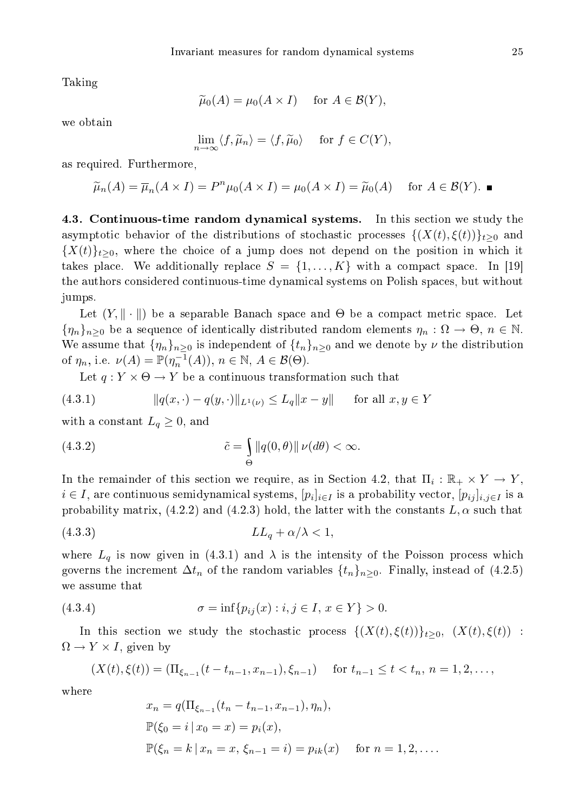Taking

$$
\widetilde{\mu}_0(A) = \mu_0(A \times I) \quad \text{ for } A \in \mathcal{B}(Y),
$$

we obtain

$$
\lim_{n \to \infty} \langle f, \widetilde{\mu}_n \rangle = \langle f, \widetilde{\mu}_0 \rangle \quad \text{ for } f \in C(Y),
$$

as required. Furthermore,

$$
\widetilde{\mu}_n(A) = \overline{\mu}_n(A \times I) = P^n \mu_0(A \times I) = \mu_0(A \times I) = \widetilde{\mu}_0(A) \quad \text{for } A \in \mathcal{B}(Y).
$$

4.3. Continuous-time random dynamical systems. In this section we study the asymptotic behavior of the distributions of stochastic processes  $\{(X(t), \xi(t))\}_{t>0}$  and  ${X(t)}_{t>0}$ , where the choice of a jump does not depend on the position in which it takes place. We additionally replace  $S = \{1, \ldots, K\}$  with a compact space. In [19] the authors onsidered ontinuous-time dynami
al systems on Polish spa
es, but without jumps.

Let  $(Y, \| \cdot \|)$  be a separable Banach space and  $\Theta$  be a compact metric space. Let  $\{\eta_n\}_{n\geq 0}$  be a sequence of identically distributed random elements  $\eta_n : \Omega \to \Theta, n \in \mathbb{N}$ . We assume that  $\{\eta_n\}_{n>0}$  is independent of  $\{t_n\}_{n>0}$  and we denote by  $\nu$  the distribution of  $\eta_n$ , i.e.  $\nu(A) = \mathbb{P}(\eta_n^{-1}(A)), n \in \mathbb{N}, A \in \mathcal{B}(\Theta)$ .

Let  $q: Y \times \Theta \rightarrow Y$  be a continuous transformation such that

(4.3.1) 
$$
||q(x, \cdot) - q(y, \cdot)||_{L^{1}(\nu)} \leq L_{q}||x - y|| \quad \text{for all } x, y \in Y
$$

with a constant  $L_q \geq 0$ , and

(4.3.2) 
$$
\tilde{c} = \int_{\Theta} ||q(0,\theta)|| \nu(d\theta) < \infty.
$$

In the remainder of this section we require, as in Section 4.2, that  $\Pi_i : \mathbb{R}_+ \times Y \to Y$ ,  $i \in I,$  are continuous semidynamical systems,  $[p_i]_{i \in I}$  is a probability vector,  $[p_{ij}]_{i,j \in I}$  is a probability matrix,  $(4.2.2)$  and  $(4.2.3)$  hold, the latter with the constants  $L, \alpha$  such that

$$
(4.3.3) \tLL_q + \alpha/\lambda < 1,
$$

where  $L_q$  is now given in (4.3.1) and  $\lambda$  is the intensity of the Poisson process which governs the increment  $\Delta t_n$  of the random variables  $\{t_n\}_{n>0}$ . Finally, instead of (4.2.5) we assume that

(4.3.4) 
$$
\sigma = \inf \{ p_{ij}(x) : i, j \in I, x \in Y \} > 0.
$$

In this section we study the stochastic process  $\{(X(t), \xi(t))\}_{t\geq0}$ ,  $(X(t), \xi(t))$ :  $\Omega \to Y \times I$ , given by

$$
(X(t), \xi(t)) = (\Pi_{\xi_{n-1}}(t - t_{n-1}, x_{n-1}), \xi_{n-1}) \quad \text{for } t_{n-1} \le t < t_n, n = 1, 2, \dots,
$$

where

$$
x_n = q(\Pi_{\xi_{n-1}}(t_n - t_{n-1}, x_{n-1}), \eta_n),
$$
  
\n
$$
\mathbb{P}(\xi_0 = i | x_0 = x) = p_i(x),
$$
  
\n
$$
\mathbb{P}(\xi_n = k | x_n = x, \xi_{n-1} = i) = p_{ik}(x) \quad \text{for } n = 1, 2, ....
$$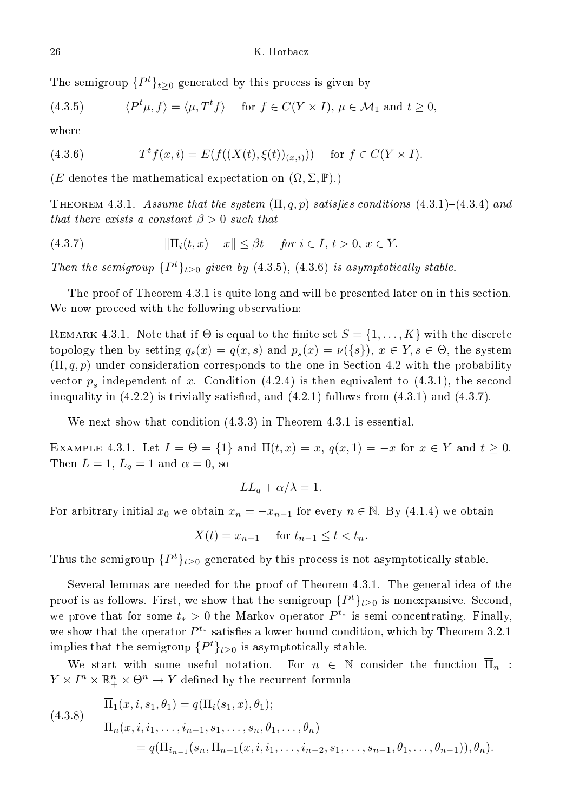The semigroup  $\{P^t\}_{t\geq 0}$  generated by this process is given by

(4.3.5) 
$$
\langle P^t \mu, f \rangle = \langle \mu, T^t f \rangle \quad \text{for } f \in C(Y \times I), \mu \in \mathcal{M}_1 \text{ and } t \ge 0,
$$

where

(4.3.6) 
$$
T^t f(x, i) = E(f((X(t), \xi(t))_{(x, i)})) \text{ for } f \in C(Y \times I).
$$

(E denotes the mathematical expectation on  $(\Omega, \Sigma, \mathbb{P})$ .)

THEOREM 4.3.1. Assume that the system  $(\Pi, q, p)$  satisfies conditions  $(4.3.1)-(4.3.4)$  and that there exists a constant  $\beta > 0$  such that

$$
(4.3.7) \t\t\t ||\Pi_i(t,x) - x|| \leq \beta t \t \text{ for } i \in I, t > 0, x \in Y.
$$

Then the semigroup  $\{P^t\}_{t\geq 0}$  given by (4.3.5), (4.3.6) is asymptotically stable.

The proof of Theorem 4.3.1 is quite long and will be presented later on in this section. We now proceed with the following observation:

REMARK 4.3.1. Note that if  $\Theta$  is equal to the finite set  $S = \{1, \ldots, K\}$  with the discrete topology then by setting  $q_s(x) = q(x, s)$  and  $\overline{p}_s(x) = \nu({s}), x \in Y, s \in \Theta$ , the system  $(\Pi, q, p)$  under consideration corresponds to the one in Section 4.2 with the probability vector  $\overline{p}_s$  independent of x. Condition (4.2.4) is then equivalent to (4.3.1), the second inequality in  $(4.2.2)$  is trivially satisfied, and  $(4.2.1)$  follows from  $(4.3.1)$  and  $(4.3.7)$ .

We next show that condition  $(4.3.3)$  in Theorem 4.3.1 is essential.

EXAMPLE 4.3.1. Let  $I = \Theta = \{1\}$  and  $\Pi(t, x) = x$ ,  $q(x, 1) = -x$  for  $x \in Y$  and  $t \ge 0$ . Then  $L = 1$ ,  $L_q = 1$  and  $\alpha = 0$ , so

$$
LL_q + \alpha/\lambda = 1.
$$

For arbitrary initial  $x_0$  we obtain  $x_n = -x_{n-1}$  for every  $n \in \mathbb{N}$ . By (4.1.4) we obtain

 $X(t) = x_{n-1}$  for  $t_{n-1} < t < t_n$ .

Thus the semigroup  $\{P^t\}_{t\geq 0}$  generated by this process is not asymptotically stable.

Several lemmas are needed for the proof of Theorem 4.3.1. The general idea of the proof is as follows. First, we show that the semigroup  $\{P^t\}_{t\geq 0}$  is nonexpansive. Second, we prove that for some  $t_* > 0$  the Markov operator  $P^{t_*}$  is semi-concentrating. Finally, we show that the operator  $P^{t_*}$  satisfies a lower bound condition, which by Theorem 3.2.1 implies that the semigroup  $\{P^t\}_{t\geq 0}$  is asymptotically stable.

We start with some useful notation. For  $n \in \mathbb{N}$  consider the function  $\Pi_n$ :  $Y \times I^n \times \mathbb{R}^n_+ \times \Theta^n \to Y$  defined by the recurrent formula

(4.3.8) 
$$
\overline{\Pi}_{1}(x, i, s_{1}, \theta_{1}) = q(\Pi_{i}(s_{1}, x), \theta_{1});
$$

$$
\overline{\Pi}_{n}(x, i, i_{1}, \dots, i_{n-1}, s_{1}, \dots, s_{n}, \theta_{1}, \dots, \theta_{n})
$$

$$
= q(\Pi_{i_{n-1}}(s_{n}, \overline{\Pi}_{n-1}(x, i, i_{1}, \dots, i_{n-2}, s_{1}, \dots, s_{n-1}, \theta_{1}, \dots, \theta_{n-1})), \theta_{n}).
$$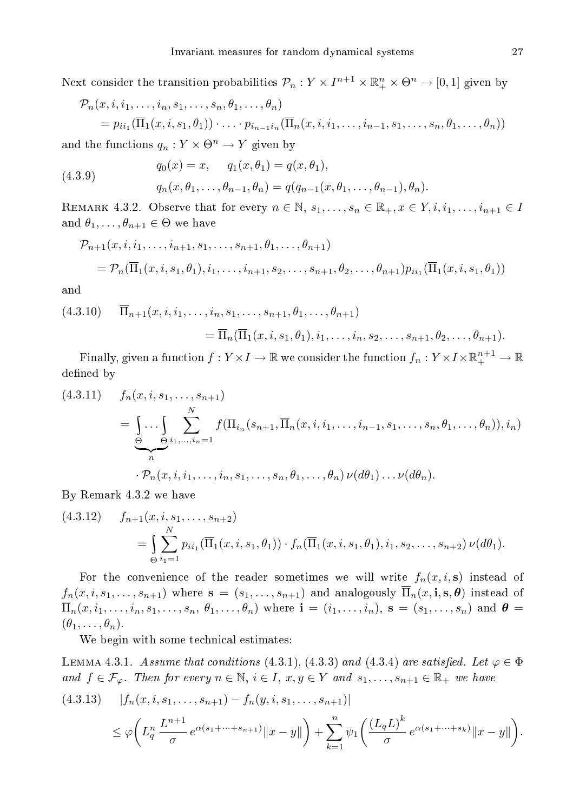Next consider the transition probabilities  $\mathcal{P}_n: Y \times I^{n+1} \times \mathbb{R}^n_+ \times \Theta^n \to [0,1]$  given by

$$
\mathcal{P}_n(x, i, i_1, \dots, i_n, s_1, \dots, s_n, \theta_1, \dots, \theta_n)
$$
  
=  $p_{ii_1}(\overline{\Pi}_1(x, i, s_1, \theta_1)) \cdot \dots \cdot p_{i_{n-1}i_n}(\overline{\Pi}_n(x, i, i_1, \dots, i_{n-1}, s_1, \dots, s_n, \theta_1, \dots, \theta_n))$ 

and the functions  $q_n: Y \times \Theta^n \to Y$  given by

(4.3.9) 
$$
q_0(x) = x, \quad q_1(x, \theta_1) = q(x, \theta_1), q_n(x, \theta_1, \dots, \theta_{n-1}, \theta_n) = q(q_{n-1}(x, \theta_1, \dots, \theta_{n-1}), \theta_n).
$$

REMARK 4.3.2. Observe that for every  $n \in \mathbb{N}$ ,  $s_1, \ldots, s_n \in \mathbb{R}_+$ ,  $x \in Y$ ,  $i, i_1, \ldots, i_{n+1} \in I$ and  $\theta_1, \ldots, \theta_{n+1} \in \Theta$  we have

$$
\mathcal{P}_{n+1}(x, i, i_1, \dots, i_{n+1}, s_1, \dots, s_{n+1}, \theta_1, \dots, \theta_{n+1})
$$
  
=  $\mathcal{P}_n(\overline{\Pi}_1(x, i, s_1, \theta_1), i_1, \dots, i_{n+1}, s_2, \dots, s_{n+1}, \theta_2, \dots, \theta_{n+1}) p_{ii_1}(\overline{\Pi}_1(x, i, s_1, \theta_1))$ 

and

$$
(4.3.10) \quad \overline{\Pi}_{n+1}(x, i, i_1, \dots, i_n, s_1, \dots, s_{n+1}, \theta_1, \dots, \theta_{n+1})
$$
  
=  $\overline{\Pi}_n(\overline{\Pi}_1(x, i, s_1, \theta_1), i_1, \dots, i_n, s_2, \dots, s_{n+1}, \theta_2, \dots, \theta_{n+1}).$ 

Finally, given a function  $f:Y\times I\to\mathbb{R}$  we consider the function  $f_n:Y\times I\times\mathbb{R}^{n+1}_+\to\mathbb{R}$ defined by

$$
(4.3.11) \t f_n(x, i, s_1, \ldots, s_{n+1})
$$
  
= 
$$
\underbrace{\int \ldots \int_{\Theta} \sum_{\Theta}^{N} f(\Pi_{i_n}(s_{n+1}, \overline{\Pi}_n(x, i, i_1, \ldots, i_{n-1}, s_1, \ldots, s_n, \theta_1, \ldots, \theta_n)), i_n)}_{n}.
$$
  

$$
\cdot \mathcal{P}_n(x, i, i_1, \ldots, i_n, s_1, \ldots, s_n, \theta_1, \ldots, \theta_n) \nu(d\theta_1) \ldots \nu(d\theta_n).
$$

By Remark 4.3.2 we have

$$
(4.3.12) \t f_{n+1}(x, i, s_1, \ldots, s_{n+2})
$$
  
= 
$$
\int_{\Theta} \sum_{i=1}^N p_{ii_1}(\overline{\Pi}_1(x, i, s_1, \theta_1)) \cdot f_n(\overline{\Pi}_1(x, i, s_1, \theta_1), i_1, s_2, \ldots, s_{n+2}) \nu(d\theta_1).
$$

For the convenience of the reader sometimes we will write  $f_n(x, i, s)$  instead of  $f_n(x, i, s_1, \ldots, s_{n+1})$  where  $\mathbf{s} = (s_1, \ldots, s_{n+1})$  and analogously  $\overline{\Pi}_n(x, i, s, \theta)$  instead of  $\overline{\Pi}_n(x,i_1,\ldots,i_n,s_1,\ldots,s_n,\theta_1,\ldots,\theta_n)$  where  $\mathbf{i}=(i_1,\ldots,i_n),\ \mathbf{s}=(s_1,\ldots,s_n)$  and  $\boldsymbol{\theta}=\mathbf{i}$  $(\theta_1, \ldots, \theta_n).$ 

We begin with some technical estimates:

LEMMA 4.3.1. Assume that conditions (4.3.1), (4.3.3) and (4.3.4) are satisfied. Let  $\varphi \in \Phi$ and  $f \in \mathcal{F}_{\varphi}$ . Then for every  $n \in \mathbb{N}$ ,  $i \in I$ ,  $x, y \in Y$  and  $s_1, \ldots, s_{n+1} \in \mathbb{R}_+$  we have

$$
(4.3.13) \quad |f_n(x, i, s_1, \dots, s_{n+1}) - f_n(y, i, s_1, \dots, s_{n+1})|
$$
  
\$\leq \varphi \bigg( L\_q^n \frac{L^{n+1}}{\sigma} e^{\alpha(s\_1 + \dots + s\_{n+1})} ||x - y|| \bigg) + \sum\_{k=1}^n \psi\_1 \bigg( \frac{(L\_q L)^k}{\sigma} e^{\alpha(s\_1 + \dots + s\_k)} ||x - y|| \bigg).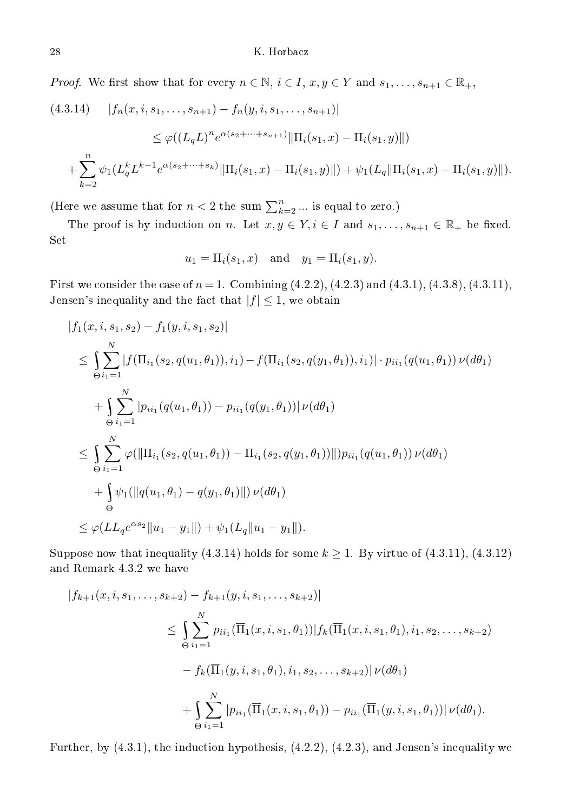*Proof.* We first show that for every  $n \in \mathbb{N}$ ,  $i \in I$ ,  $x, y \in Y$  and  $s_1, \ldots, s_{n+1} \in \mathbb{R}_+$ ,

$$
(4.3.14) \quad |f_n(x, i, s_1, \dots, s_{n+1}) - f_n(y, i, s_1, \dots, s_{n+1})|
$$
  
\n
$$
\leq \varphi((L_q L)^n e^{\alpha(s_2 + \dots + s_{n+1})} || \Pi_i(s_1, x) - \Pi_i(s_1, y) ||)
$$
  
\n
$$
+ \sum_{k=2}^n \psi_1(L_q^k L^{k-1} e^{\alpha(s_2 + \dots + s_k)} || \Pi_i(s_1, x) - \Pi_i(s_1, y) ||) + \psi_1(L_q || \Pi_i(s_1, x) - \Pi_i(s_1, y) ||).
$$

(Here we assume that for  $n < 2$  the sum  $\sum_{k=2}^{n} \dots$  is equal to zero.)

The proof is by induction on n. Let  $x, y \in Y, i \in I$  and  $s_1, \ldots, s_{n+1} \in \mathbb{R}_+$  be fixed. Set

$$
u_1 = \Pi_i(s_1, x)
$$
 and  $y_1 = \Pi_i(s_1, y)$ .

First we consider the case of  $n = 1$ . Combining  $(4.2.2)$ ,  $(4.2.3)$  and  $(4.3.1)$ ,  $(4.3.8)$ ,  $(4.3.11)$ , Jensen's inequality and the fact that  $|f| \leq 1$ , we obtain

$$
|f_1(x, i, s_1, s_2) - f_1(y, i, s_1, s_2)|
$$
  
\n
$$
\leq \int_{\Theta} \sum_{i_1=1}^N |f(\Pi_{i_1}(s_2, q(u_1, \theta_1)), i_1) - f(\Pi_{i_1}(s_2, q(y_1, \theta_1)), i_1)| \cdot p_{ii_1}(q(u_1, \theta_1)) \nu(d\theta_1))
$$
  
\n
$$
+ \int_{\Theta} \sum_{i_1=1}^N |p_{ii_1}(q(u_1, \theta_1)) - p_{ii_1}(q(y_1, \theta_1))| \nu(d\theta_1)
$$
  
\n
$$
\leq \int_{\Theta} \sum_{i_1=1}^N \varphi(||\Pi_{i_1}(s_2, q(u_1, \theta_1)) - \Pi_{i_1}(s_2, q(y_1, \theta_1))||) p_{ii_1}(q(u_1, \theta_1)) \nu(d\theta_1)
$$
  
\n
$$
+ \int_{\Theta} \psi_1(||q(u_1, \theta_1) - q(y_1, \theta_1)||) \nu(d\theta_1)
$$
  
\n
$$
\leq \varphi(LL_q e^{\alpha s_2} || u_1 - y_1 ||) + \psi_1(L_q || u_1 - y_1 ||).
$$

Suppose now that inequality (4.3.14) holds for some  $k \ge 1$ . By virtue of (4.3.11), (4.3.12) and Remark 4.3.2 we have

$$
|f_{k+1}(x, i, s_1, \dots, s_{k+2}) - f_{k+1}(y, i, s_1, \dots, s_{k+2})|
$$
  
\n
$$
\leq \int_{\Theta} \sum_{i_1=1}^N p_{ii_1}(\overline{\Pi}_1(x, i, s_1, \theta_1)) |f_k(\overline{\Pi}_1(x, i, s_1, \theta_1), i_1, s_2, \dots, s_{k+2})
$$
  
\n
$$
- f_k(\overline{\Pi}_1(y, i, s_1, \theta_1), i_1, s_2, \dots, s_{k+2}) | \nu(d\theta_1)
$$
  
\n
$$
+ \int_{\Theta} \sum_{i_1=1}^N |p_{ii_1}(\overline{\Pi}_1(x, i, s_1, \theta_1)) - p_{ii_1}(\overline{\Pi}_1(y, i, s_1, \theta_1)) | \nu(d\theta_1).
$$

Further, by  $(4.3.1)$ , the induction hypothesis,  $(4.2.2)$ ,  $(4.2.3)$ , and Jensen's inequality we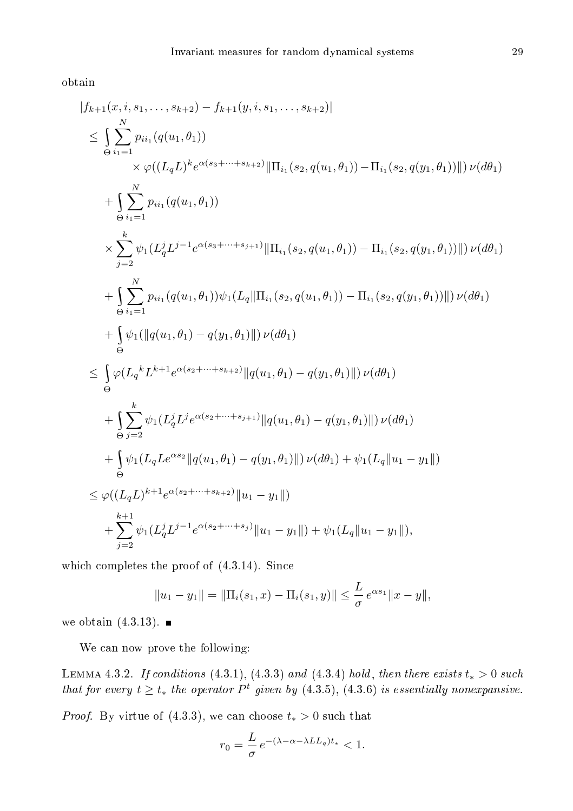obtain

$$
|f_{k+1}(x, i, s_1, \ldots, s_{k+2}) - f_{k+1}(y, i, s_1, \ldots, s_{k+2})|
$$
  
\n
$$
\leq \int_{\Theta} \sum_{i_1=1}^{N} p_{ii_1}(q(u_1, \theta_1))
$$
  
\n
$$
\times \varphi((L_q L)^k e^{\alpha(s_3 + \cdots + s_{k+2})} || \Pi_{i_1}(s_2, q(u_1, \theta_1)) - \Pi_{i_1}(s_2, q(y_1, \theta_1)) ||) \nu(d\theta_1)
$$
  
\n
$$
+ \int_{\Theta} \sum_{i_1=1}^{N} p_{ii_1}(q(u_1, \theta_1))
$$
  
\n
$$
\times \sum_{j=2}^{k} \psi_1(L_q^j L^{j-1} e^{\alpha(s_3 + \cdots + s_{j+1})} || \Pi_{i_1}(s_2, q(u_1, \theta_1)) - \Pi_{i_1}(s_2, q(y_1, \theta_1)) ||) \nu(d\theta_1)
$$
  
\n
$$
+ \int_{\Theta} \sum_{i_1=1}^{N} p_{ii_1}(q(u_1, \theta_1)) \psi_1(L_q || \Pi_{i_1}(s_2, q(u_1, \theta_1)) - \Pi_{i_1}(s_2, q(y_1, \theta_1)) ||) \nu(d\theta_1)
$$
  
\n
$$
+ \int_{\Theta} \psi_1(||q(u_1, \theta_1) - q(y_1, \theta_1)||) \nu(d\theta_1)
$$
  
\n
$$
\leq \int_{\Theta} \varphi(L_q^k L^{k+1} e^{\alpha(s_2 + \cdots + s_{k+2})} ||q(u_1, \theta_1) - q(y_1, \theta_1)||) \nu(d\theta_1)
$$
  
\n
$$
+ \int_{\Theta} \sum_{j=2}^{k} \psi_1(L_q^j L^j e^{\alpha(s_2 + \cdots + s_{j+1})} ||q(u_1, \theta_1) - q(y_1, \theta_1)||) \nu(d\theta_1)
$$
  
\n
$$
+ \int_{\Theta} \psi_1(L_q L e^{\alpha s_2} ||q(u_1, \theta_1) - q(y_1, \theta_1)||) \nu(d\theta_1) + \psi_1(L_q || u_1 - y_1
$$

which completes the proof of  $(4.3.14)$ . Since

$$
||u_1 - y_1|| = ||\Pi_i(s_1, x) - \Pi_i(s_1, y)|| \leq \frac{L}{\sigma} e^{\alpha s_1} ||x - y||,
$$

we obtain  $(4.3.13)$ .

We can now prove the following:

LEMMA 4.3.2. If conditions (4.3.1), (4.3.3) and (4.3.4) hold, then there exists  $t_* > 0$  such that for every  $t \geq t_*$  the operator  $P^t$  given by  $(4.3.5), (4.3.6)$  is essentially nonexpansive.

*Proof.* By virtue of  $(4.3.3)$ , we can choose  $t_* > 0$  such that

$$
r_0 = \frac{L}{\sigma} e^{-(\lambda - \alpha - \lambda L L_q)t_*} < 1.
$$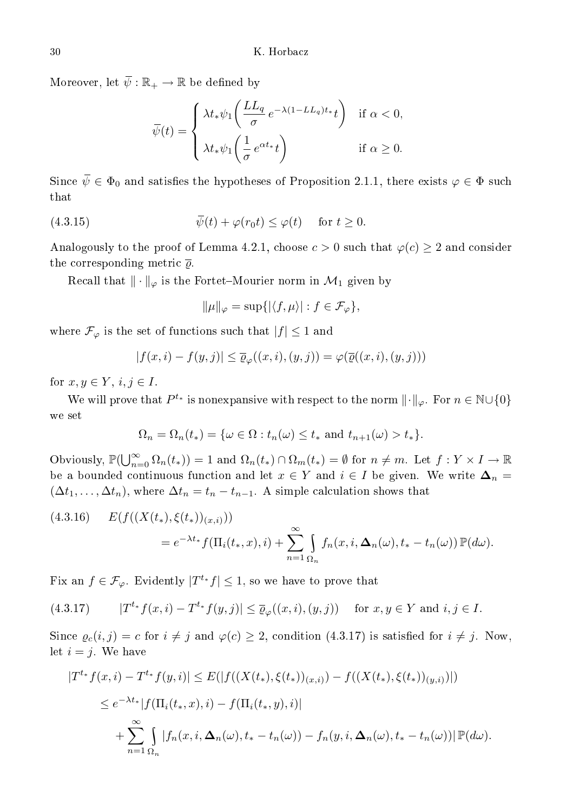Moreover, let  $\overline{\psi} : \mathbb{R}_+ \to \mathbb{R}$  be defined by

$$
\overline{\psi}(t) = \begin{cases} \lambda t_* \psi_1\bigg(\frac{LL_q}{\sigma} e^{-\lambda(1-LL_q)t_*}t\bigg) & \text{if } \alpha < 0, \\ \lambda t_* \psi_1\bigg(\frac{1}{\sigma} e^{\alpha t_*}t\bigg) & \text{if } \alpha \ge 0. \end{cases}
$$

Since  $\bar{\psi} \in \Phi_0$  and satisfies the hypotheses of Proposition 2.1.1, there exists  $\varphi \in \Phi$  such  $_{\rm that}$ 

(4.3.15) 
$$
\overline{\psi}(t) + \varphi(r_0 t) \leq \varphi(t) \quad \text{for } t \geq 0.
$$

Analogously to the proof of Lemma 4.2.1, choose  $c > 0$  such that  $\varphi(c) \geq 2$  and consider the corresponding metric  $\bar{\varrho}$ .

Recall that  $\|\cdot\|_{\varphi}$  is the Fortet–Mourier norm in  $\mathcal{M}_1$  given by

$$
\|\mu\|_{\varphi} = \sup\{|\langle f, \mu\rangle| : f \in \mathcal{F}_{\varphi}\},\
$$

where  $\mathcal{F}_{\varphi}$  is the set of functions such that  $|f| \leq 1$  and

$$
|f(x,i) - f(y,j)| \le \overline{\varrho}_{\varphi}((x,i),(y,j)) = \varphi(\overline{\varrho}((x,i),(y,j)))
$$

for  $x, y \in Y$ ,  $i, j \in I$ .

We will prove that  $P^{t_*}$  is nonexpansive with respect to the norm  $\lVert \cdot \rVert_{\varphi}$ . For  $n \in \mathbb{N} \cup \{0\}$ we set

$$
\Omega_n = \Omega_n(t_*) = \{ \omega \in \Omega : t_n(\omega) \le t_* \text{ and } t_{n+1}(\omega) > t_* \}.
$$

Obviously,  $\mathbb{P}(\bigcup_{n=0}^{\infty} \Omega_n(t_*) ) = 1$  and  $\Omega_n(t_*) \cap \Omega_m(t_*) = \emptyset$  for  $n \neq m$ . Let  $f: Y \times I \to \mathbb{R}$ be a bounded continuous function and let  $x \in Y$  and  $i \in I$  be given. We write  $\Delta_n =$  $(\Delta t_1, \ldots, \Delta t_n)$ , where  $\Delta t_n = t_n - t_{n-1}$ . A simple calculation shows that

(4.3.16) 
$$
E(f((X(t_*), \xi(t_*))_{(x,i)})) = e^{-\lambda t_*} f(\Pi_i(t_*, x), i) + \sum_{n=1}^{\infty} \int_{\Omega_n} f_n(x, i, \Delta_n(\omega), t_* - t_n(\omega)) \mathbb{P}(d\omega).
$$

Fix an  $f \in \mathcal{F}_{\varphi}$ . Evidently  $|T^{t_*}f| \leq 1$ , so we have to prove that

(4.3.17) 
$$
|T^{t*}f(x,i) - T^{t*}f(y,j)| \leq \overline{\varrho}_{\varphi}((x,i),(y,j)) \text{ for } x, y \in Y \text{ and } i, j \in I.
$$

Since  $\varrho_c(i,j) = c$  for  $i \neq j$  and  $\varphi(c) \geq 2$ , condition (4.3.17) is satisfied for  $i \neq j$ . Now, let  $i = j$ . We have

$$
|T^{t_*}f(x,i) - T^{t_*}f(y,i)| \le E(|f((X(t_*), \xi(t_*))_{(x,i)}) - f((X(t_*), \xi(t_*))_{(y,i)})|)
$$
  
\n
$$
\le e^{-\lambda t_*} |f(\Pi_i(t_*, x), i) - f(\Pi_i(t_*, y), i)|
$$
  
\n
$$
+ \sum_{n=1}^{\infty} \int_{\Omega_n} |f_n(x, i, \Delta_n(\omega), t_* - t_n(\omega)) - f_n(y, i, \Delta_n(\omega), t_* - t_n(\omega))| \mathbb{P}(d\omega).
$$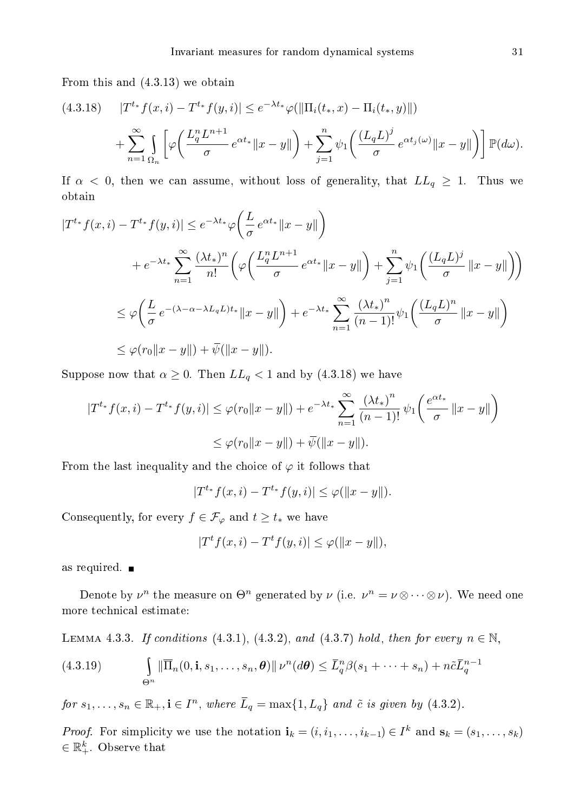From this and (4.3.13) we obtain

$$
(4.3.18) \quad |T^{t_*} f(x, i) - T^{t_*} f(y, i)| \le e^{-\lambda t_*} \varphi(||\Pi_i(t_*, x) - \Pi_i(t_*, y)||) + \sum_{n=1}^{\infty} \int_{\Omega_n} \left[ \varphi \left( \frac{L_q^n L^{n+1}}{\sigma} e^{\alpha t_*} ||x - y|| \right) + \sum_{j=1}^n \psi_1 \left( \frac{(L_q L)^j}{\sigma} e^{\alpha t_j(\omega)} ||x - y|| \right) \right] \mathbb{P}(d\omega).
$$

If  $\alpha$  < 0, then we can assume, without loss of generality, that  $LL_q \geq 1$ . Thus we obtain

$$
|T^{t*}f(x,i) - T^{t*}f(y,i)| \leq e^{-\lambda t*} \varphi\left(\frac{L}{\sigma}e^{\alpha t*}||x-y||\right)
$$
  
+  $e^{-\lambda t*} \sum_{n=1}^{\infty} \frac{(\lambda t_*)^n}{n!} \left(\varphi\left(\frac{L_q^n L^{n+1}}{\sigma}e^{\alpha t_*}||x-y||\right) + \sum_{j=1}^n \psi_1\left(\frac{(L_q L)^j}{\sigma}||x-y||\right)\right)$   

$$
\leq \varphi\left(\frac{L}{\sigma}e^{-(\lambda-\alpha-\lambda L_q L)t_*}||x-y||\right) + e^{-\lambda t*} \sum_{n=1}^{\infty} \frac{(\lambda t_*)^n}{(n-1)!} \psi_1\left(\frac{(L_q L)^n}{\sigma}||x-y||\right)
$$
  

$$
\leq \varphi(r_0||x-y||) + \overline{\psi}(\Vert x-y \Vert).
$$

Suppose now that  $\alpha \geq 0$ . Then  $LL_q < 1$  and by  $(4.3.18)$  we have

$$
|T^{t*}f(x,i) - T^{t*}f(y,i)| \le \varphi(r_0||x - y||) + e^{-\lambda t_*} \sum_{n=1}^{\infty} \frac{(\lambda t_*)^n}{(n-1)!} \psi_1\left(\frac{e^{\alpha t_*}}{\sigma} ||x - y||\right)
$$
  

$$
\le \varphi(r_0||x - y||) + \overline{\psi}(||x - y||).
$$

From the last inequality and the choice of  $\varphi$  it follows that

 $|T^{t_*} f(x, i) - T^{t_*} f(y, i)| \leq \varphi(||x - y||).$ 

Consequently, for every  $f \in \mathcal{F}_{\varphi}$  and  $t \geq t_*$  we have

 $|T^t f(x, i) - T^t f(y, i)| \leq \varphi(||x - y||),$ 

as required.

Denote by  $\nu^n$  the measure on  $\Theta^n$  generated by  $\nu$  (i.e.  $\nu^n = \nu \otimes \cdots \otimes \nu$ ). We need one more te
hni
al estimate:

LEMMA 4.3.3. If conditions (4.3.1), (4.3.2), and (4.3.7) hold, then for every  $n \in \mathbb{N}$ ,

(4.3.19) 
$$
\int_{\Theta^n} \|\overline{\Pi}_n(0, \mathbf{i}, s_1, \dots, s_n, \theta)\| \nu^n(d\theta) \le \overline{L}_q^n \beta(s_1 + \dots + s_n) + n\tilde{c}\overline{L}_q^{n-1}
$$

for  $s_1, \ldots, s_n \in \mathbb{R}_+, \mathbf{i} \in I^n$ , where  $\overline{L}_q = \max\{1, L_q\}$  and  $\tilde{c}$  is given by  $(4.3.2)$ .

*Proof.* For simplicity we use the notation  $\mathbf{i}_k = (i, i_1, \ldots, i_{k-1}) \in I^k$  and  $\mathbf{s}_k = (s_1, \ldots, s_k)$  $\in \mathbb{R}_+^k$ . Observe that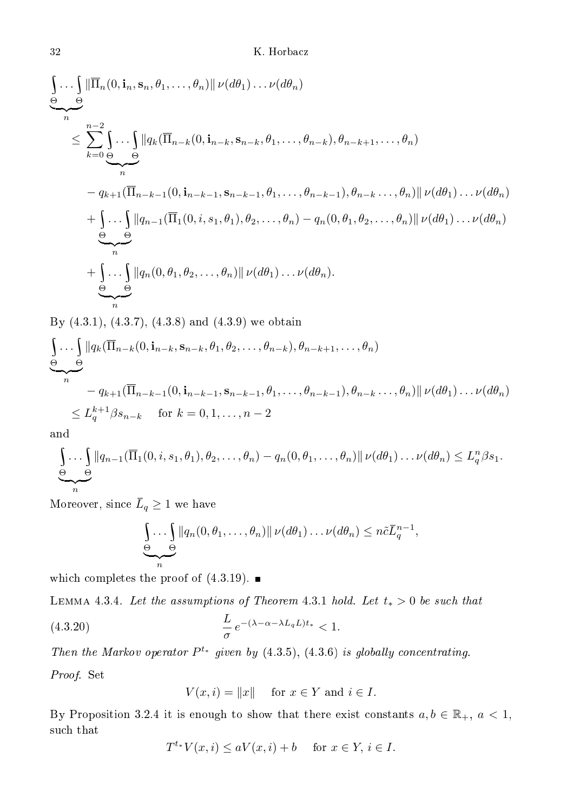$$
\begin{split}\n&\int_{n} \ldots \int_{n} \left\| \overline{\Pi}_{n}(0, \mathbf{i}_{n}, \mathbf{s}_{n}, \theta_{1}, \ldots, \theta_{n}) \right\| \nu(d\theta_{1}) \ldots \nu(d\theta_{n}) \\
&\leq \sum_{k=0}^{n-2} \int_{\Theta} \ldots \int_{n} \left\| q_{k}(\overline{\Pi}_{n-k}(0, \mathbf{i}_{n-k}, \mathbf{s}_{n-k}, \theta_{1}, \ldots, \theta_{n-k}), \theta_{n-k+1}, \ldots, \theta_{n}) \right. \\
&\quad \left. - q_{k+1}(\overline{\Pi}_{n-k-1}(0, \mathbf{i}_{n-k-1}, \mathbf{s}_{n-k-1}, \theta_{1}, \ldots, \theta_{n-k-1}), \theta_{n-k} \ldots, \theta_{n}) \right\| \nu(d\theta_{1}) \ldots \nu(d\theta_{n}) \\
&\quad \left. + \int_{\Theta} \ldots \int_{\Theta} \left\| q_{n-1}(\overline{\Pi}_{1}(0, i, s_{1}, \theta_{1}), \theta_{2}, \ldots, \theta_{n}) - q_{n}(0, \theta_{1}, \theta_{2}, \ldots, \theta_{n}) \right\| \nu(d\theta_{1}) \ldots \nu(d\theta_{n}) \right. \\
&\quad \left. + \int_{\Theta} \ldots \int_{n} \left\| q_{n}(0, \theta_{1}, \theta_{2}, \ldots, \theta_{n}) \right\| \nu(d\theta_{1}) \ldots \nu(d\theta_{n}).\n\end{split}
$$

By (4.3.1), (4.3.7), (4.3.8) and (4.3.9) we obtain

$$
\underbrace{\int \ldots \int}_{n} \|q_k(\overline{\Pi}_{n-k}(0, \mathbf{i}_{n-k}, \mathbf{s}_{n-k}, \theta_1, \theta_2, \ldots, \theta_{n-k}), \theta_{n-k+1}, \ldots, \theta_n)
$$
\n
$$
\underbrace{\Theta}_{n} = q_{k+1}(\overline{\Pi}_{n-k-1}(0, \mathbf{i}_{n-k-1}, \mathbf{s}_{n-k-1}, \theta_1, \ldots, \theta_{n-k-1}), \theta_{n-k} \ldots, \theta_n) \| \nu(d\theta_1) \ldots \nu(d\theta_n)
$$
\n
$$
\leq L_q^{k+1} \beta s_{n-k} \quad \text{for } k = 0, 1, \ldots, n-2
$$

and

$$
\underbrace{\int \ldots \int}_{n} ||q_{n-1}(\overline{\Pi}_1(0,i,s_1,\theta_1),\theta_2,\ldots,\theta_n) - q_n(0,\theta_1,\ldots,\theta_n)|| \nu(d\theta_1)\ldots\nu(d\theta_n) \leq L_q^n\beta s_1.
$$

Moreover, since  $\overline{L}_q \geq 1$  we have

$$
\underbrace{\int\limits_n \ldots \int\limits_n |q_n(0,\theta_1,\ldots,\theta_n)|}_{n} \nu(d\theta_1)\ldots\nu(d\theta_n) \leq n\tilde{c}\overline{L}_q^{n-1},
$$

which completes the proof of  $(4.3.19)$ .

LEMMA 4.3.4. Let the assumptions of Theorem 4.3.1 hold. Let  $t_* > 0$  be such that

(4.3.20) 
$$
\frac{L}{\sigma} e^{-(\lambda - \alpha - \lambda L_q L)t_*} < 1.
$$

Then the Markov operator  $P^{t_*}$  given by (4.3.5), (4.3.6) is globally concentrating.

Proof. Set

$$
V(x,i) = ||x|| \quad \text{for } x \in Y \text{ and } i \in I.
$$

By Proposition 3.2.4 it is enough to show that there exist constants  $a, b \in \mathbb{R}_+$ ,  $a < 1$ , such that

$$
T^{t_*}V(x,i) \le aV(x,i) + b \quad \text{ for } x \in Y, i \in I.
$$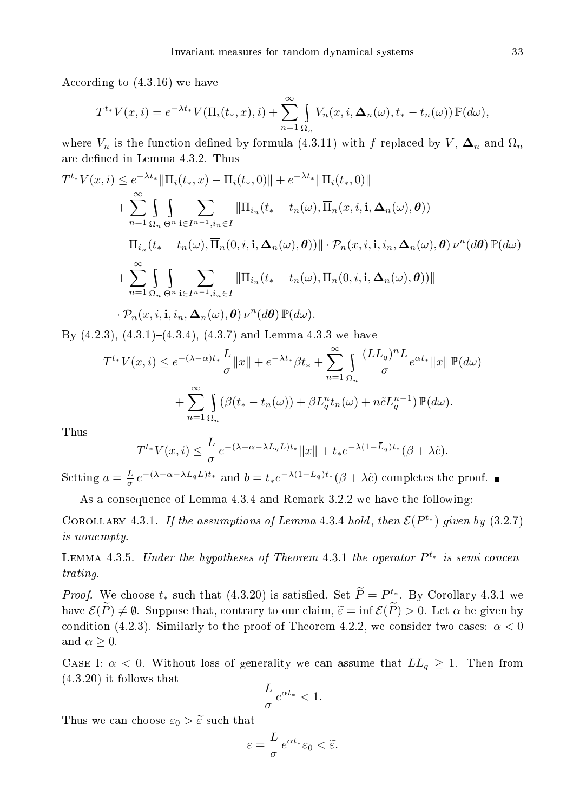According to  $(4.3.16)$  we have

$$
T^{t*}V(x,i) = e^{-\lambda t_*}V(\Pi_i(t_*,x),i) + \sum_{n=1}^{\infty} \int_{\Omega_n} V_n(x,i,\Delta_n(\omega),t_*-t_n(\omega)) \mathbb{P}(d\omega),
$$

where  $V_n$  is the function defined by formula (4.3.11) with f replaced by V,  $\Delta_n$  and  $\Omega_n$ are defined in Lemma 4.3.2. Thus

$$
T^{t_*}V(x,i) \leq e^{-\lambda t_*} \|\Pi_i(t_*,x) - \Pi_i(t_*,0)\| + e^{-\lambda t_*} \|\Pi_i(t_*,0)\|
$$
  
+ 
$$
\sum_{n=1}^{\infty} \int_{\Omega_n} \int_{\Theta^n} \sum_{\mathbf{i} \in I^{n-1}, i_n \in I} \|\Pi_{i_n}(t_* - t_n(\omega), \overline{\Pi}_n(x,i,\mathbf{i},\Delta_n(\omega),\theta))
$$
  
- 
$$
\Pi_{i_n}(t_* - t_n(\omega), \overline{\Pi}_n(0,i,\mathbf{i},\Delta_n(\omega),\theta))\| \cdot \mathcal{P}_n(x,i,\mathbf{i},i_n,\Delta_n(\omega),\theta) \nu^n(d\theta) \mathbb{P}(d\omega)
$$
  
+ 
$$
\sum_{n=1}^{\infty} \int_{\Omega_n} \int_{\Theta^n} \sum_{\mathbf{i} \in I^{n-1}, i_n \in I} \|\Pi_{i_n}(t_* - t_n(\omega), \overline{\Pi}_n(0,i,\mathbf{i},\Delta_n(\omega),\theta))\|
$$
  
 
$$
\cdot \mathcal{P}_n(x,i,\mathbf{i},i_n,\Delta_n(\omega),\theta) \nu^n(d\theta) \mathbb{P}(d\omega).
$$

By  $(4.2.3)$ ,  $(4.3.1)-(4.3.4)$ ,  $(4.3.7)$  and Lemma 4.3.3 we have

$$
T^{t_*}V(x,i) \le e^{-(\lambda-\alpha)t_*}\frac{L}{\sigma}||x|| + e^{-\lambda t_*}\beta t_* + \sum_{n=1}^{\infty} \int_{\Omega_n} \frac{(LL_q)^n L}{\sigma} e^{\alpha t_*}||x|| \mathbb{P}(d\omega)
$$

$$
+ \sum_{n=1}^{\infty} \int_{\Omega_n} (\beta(t_* - t_n(\omega)) + \beta \bar{L}_q^n t_n(\omega) + n\tilde{c}\bar{L}_q^{n-1}) \mathbb{P}(d\omega).
$$

Thus

$$
T^{t*}V(x,i) \leq \frac{L}{\sigma} e^{-(\lambda - \alpha - \lambda L_q L)t_*} ||x|| + t_* e^{-\lambda(1 - \bar{L}_q)t_*} (\beta + \lambda \tilde{c}).
$$

Setting  $a = \frac{L}{\sigma} e^{-(\lambda - \alpha - \lambda L_q L)t_*}$  and  $b = t_* e^{-\lambda(1 - L_q)t_*} (\beta + \lambda \tilde{c})$  completes the proof.

As a onsequen
e of Lemma 4.3.4 and Remark 3.2.2 we have the following:

COROLLARY 4.3.1. If the assumptions of Lemma 4.3.4 hold, then  $\mathcal{E}(P^{t_*})$  given by (3.2.7) is nonempty.

LEMMA 4.3.5. Under the hypotheses of Theorem 4.3.1 the operator  $P^{t_*}$  is semi-concentrating.

*Proof.* We choose  $t_*$  such that (4.3.20) is satisfied. Set  $P = P^{t_*}_{\sim}$ . By Corollary 4.3.1 we have  $\mathcal{E}(\widetilde{P}) \neq \emptyset$ . Suppose that, contrary to our claim,  $\widetilde{\varepsilon} = \inf \mathcal{E}(\widetilde{P}) > 0$ . Let  $\alpha$  be given by condition (4.2.3). Similarly to the proof of Theorem 4.2.2, we consider two cases:  $\alpha < 0$ and  $\alpha \geq 0$ .

CASE I:  $\alpha < 0$ . Without loss of generality we can assume that  $LL_q \geq 1$ . Then from (4.3.20) it follows that

$$
\frac{L}{\sigma}e^{\alpha t_*} < 1.
$$

Thus we can choose  $\varepsilon_0 > \widetilde{\varepsilon}$  such that

$$
\varepsilon = \frac{L}{\sigma} e^{\alpha t_*} \varepsilon_0 < \tilde{\varepsilon}.
$$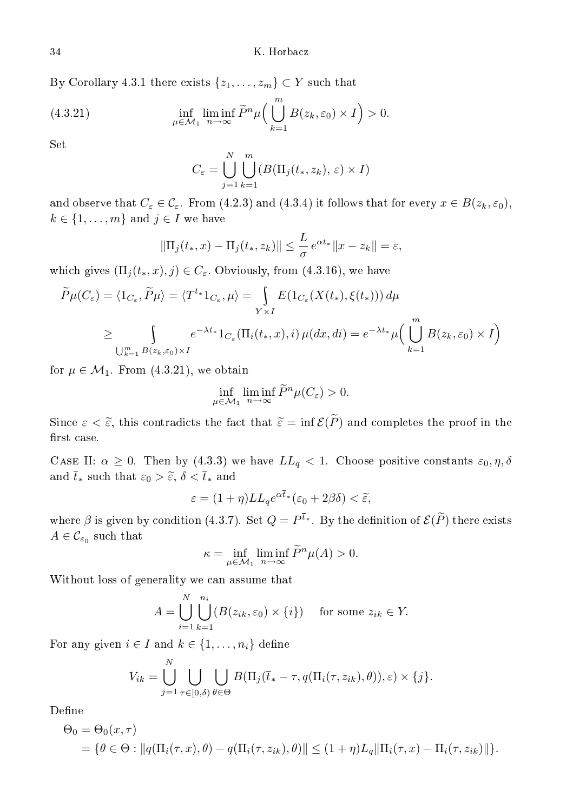By Corollary 4.3.1 there exists  $\{z_1, \ldots, z_m\} \subset Y$  such that

(4.3.21) 
$$
\inf_{\mu \in \mathcal{M}_1} \liminf_{n \to \infty} \widetilde{P}^n \mu \Big( \bigcup_{k=1}^m B(z_k, \varepsilon_0) \times I \Big) > 0.
$$

 $_{\rm Set}$ 

$$
C_{\varepsilon} = \bigcup_{j=1}^{N} \bigcup_{k=1}^{m} (B(\Pi_j(t_*, z_k), \varepsilon) \times I)
$$

and observe that  $C_{\varepsilon} \in \mathcal{C}_{\varepsilon}$ . From (4.2.3) and (4.3.4) it follows that for every  $x \in B(z_k, \varepsilon_0)$ ,  $k \in \{1, \ldots, m\}$  and  $j \in I$  we have

$$
\|\Pi_j(t_*, x) - \Pi_j(t_*, z_k)\| \leq \frac{L}{\sigma} e^{\alpha t_*} \|x - z_k\| = \varepsilon,
$$

which gives  $(\Pi_j(t_*,x), j) \in C_\varepsilon$ . Obviously, from (4.3.16), we have

$$
\widetilde{P}\mu(C_{\varepsilon}) = \langle 1_{C_{\varepsilon}}, \widetilde{P}\mu \rangle = \langle T^{t_*} 1_{C_{\varepsilon}}, \mu \rangle = \int_{Y \times I} E(1_{C_{\varepsilon}}(X(t_*), \xi(t_*))) d\mu
$$
\n
$$
\geq \int_{\bigcup_{k=1}^m B(z_k, \varepsilon_0) \times I} e^{-\lambda t_*} 1_{C_{\varepsilon}}(\Pi_i(t_*, x), i) \mu(dx, di) = e^{-\lambda t_*} \mu \Big( \bigcup_{k=1}^m B(z_k, \varepsilon_0) \times I \Big)
$$

for  $\mu \in \mathcal{M}_1$ . From  $(4.3.21)$ , we obtain

$$
\inf_{\mu \in \mathcal{M}_1} \liminf_{n \to \infty} \widetilde{P}^n \mu(C_{\varepsilon}) > 0.
$$

Since  $\varepsilon < \tilde{\varepsilon}$ , this contradicts the fact that  $\tilde{\varepsilon} = \inf \mathcal{E}(\tilde{P})$  and completes the proof in the first case.

CASE II:  $\alpha \geq 0$ . Then by (4.3.3) we have  $LL_q < 1$ . Choose positive constants  $\varepsilon_0, \eta, \delta$ and  $\bar{t}_*$  such that  $\varepsilon_0 > \tilde{\varepsilon}, \, \delta < \bar{t}_*$  and

$$
\varepsilon = (1 + \eta) L L_q e^{\alpha \overline{t}_*} (\varepsilon_0 + 2\beta \delta) < \widetilde{\varepsilon},
$$

where  $\beta$  is given by condition (4.3.7). Set  $Q = P^{t_*}$ . By the definition of  $\mathcal{E}(P)$  there exists  $A\in\mathcal{C}_{\varepsilon_0}$  such that

$$
\kappa = \inf_{\mu \in \mathcal{M}_1} \liminf_{n \to \infty} \widetilde{P}^n \mu(A) > 0.
$$

Without loss of generality we an assume that

$$
A = \bigcup_{i=1}^{N} \bigcup_{k=1}^{n_i} (B(z_{ik}, \varepsilon_0) \times \{i\}) \quad \text{ for some } z_{ik} \in Y.
$$

For any given  $i \in I$  and  $k \in \{1, \ldots, n_i\}$  define

$$
V_{ik} = \bigcup_{j=1}^N \bigcup_{\tau \in [0,\delta)} \bigcup_{\theta \in \Theta} B(\Pi_j(\overline{t}_* - \tau, q(\Pi_i(\tau,z_{ik}), \theta)), \varepsilon) \times \{j\}.
$$

Define

$$
\Theta_0 = \Theta_0(x, \tau)
$$
  
=  $\{\theta \in \Theta : ||q(\Pi_i(\tau, x), \theta) - q(\Pi_i(\tau, z_{ik}), \theta)|| \leq (1 + \eta)L_q ||\Pi_i(\tau, x) - \Pi_i(\tau, z_{ik})||\}.$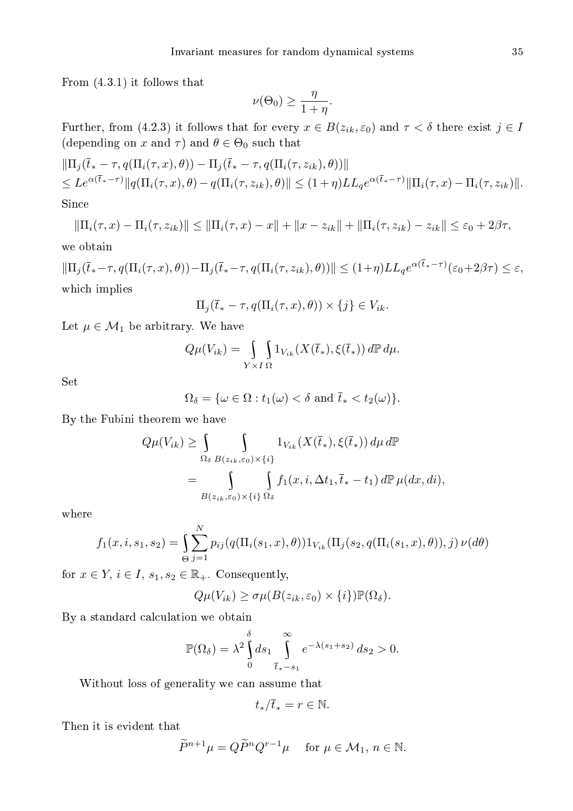From (4.3.1) it follows that

$$
\nu(\Theta_0) \ge \frac{\eta}{1+\eta}.
$$

Further, from (4.2.3) it follows that for every  $x \in B(z_{ik}, \varepsilon_0)$  and  $\tau < \delta$  there exist  $j \in I$ (depending on  $x$  and  $\tau)$  and  $\theta \in \Theta_0$  such that

$$
\begin{aligned} &\|\Pi_j(\overline{t}_* - \tau, q(\Pi_i(\tau, x), \theta)) - \Pi_j(\overline{t}_* - \tau, q(\Pi_i(\tau, z_{ik}), \theta))\| \\ &\leq Le^{\alpha(\overline{t}_* - \tau)} \|q(\Pi_i(\tau, x), \theta) - q(\Pi_i(\tau, z_{ik}), \theta)\| \leq (1 + \eta) L L_q e^{\alpha(\overline{t}_* - \tau)} \|\Pi_i(\tau, x) - \Pi_i(\tau, z_{ik})\|. \end{aligned}
$$

 $S$ ince

$$
\|\Pi_i(\tau, x) - \Pi_i(\tau, z_{ik})\| \le \|\Pi_i(\tau, x) - x\| + \|x - z_{ik}\| + \|\Pi_i(\tau, z_{ik}) - z_{ik}\| \le \varepsilon_0 + 2\beta\tau,
$$

we obtain

$$
\|\Pi_j(\overline{t}_*-\tau, q(\Pi_i(\tau, x), \theta)) - \Pi_j(\overline{t}_*-\tau, q(\Pi_i(\tau, z_{ik}), \theta))\| \leq (1+\eta)LL_q e^{\alpha(\overline{t}_*-\tau)}(\varepsilon_0 + 2\beta\tau) \leq \varepsilon,
$$
  
which implies

$$
\Pi_j(\overline{t}_* - \tau, q(\Pi_i(\tau, x), \theta)) \times \{j\} \in V_{ik}.
$$

Let  $\mu \in \mathcal{M}_1$  be arbitrary. We have

$$
Q\mu(V_{ik}) = \int\limits_{Y \times I \Omega} \int 1_{V_{ik}} (X(\overline{t}_*), \xi(\overline{t}_*)) \, d\mathbb{P} \, d\mu.
$$

Set

$$
\Omega_{\delta} = \{ \omega \in \Omega : t_1(\omega) < \delta \text{ and } \overline{t}_* < t_2(\omega) \}.
$$

By the Fubini theorem we have

$$
Q\mu(V_{ik}) \geq \int_{\Omega_{\delta}} \int_{B(z_{ik}, \varepsilon_{0}) \times \{i\}} 1_{V_{ik}}(X(\overline{t}_{*}), \xi(\overline{t}_{*})) d\mu d\mathbb{P}
$$
  
= 
$$
\int_{B(z_{ik}, \varepsilon_{0}) \times \{i\}} \int_{\Omega_{\delta}} f_{1}(x, i, \Delta t_{1}, \overline{t}_{*} - t_{1}) d\mathbb{P} \mu(dx, di),
$$

where

$$
f_1(x, i, s_1, s_2) = \int_{\Theta} \sum_{j=1}^N p_{ij}(q(\Pi_i(s_1, x), \theta)) 1_{V_{ik}}(\Pi_j(s_2, q(\Pi_i(s_1, x), \theta)), j) \nu(d\theta)
$$

for  $x \in Y$ ,  $i \in I$ ,  $s_1, s_2 \in \mathbb{R}_+$ . Consequently,

$$
Q\mu(V_{ik}) \ge \sigma\mu(B(z_{ik}, \varepsilon_0) \times \{i\}) \mathbb{P}(\Omega_{\delta}).
$$

By a standard calculation we obtain

$$
\mathbb{P}(\Omega_{\delta}) = \lambda^2 \int_0^{\delta} ds_1 \int_{\overline{t}_* - s_1}^{\infty} e^{-\lambda (s_1 + s_2)} ds_2 > 0.
$$

Without loss of generality we an assume that

$$
t_*/\overline{t}_* = r \in \mathbb{N}.
$$

Then it is evident that

$$
\widetilde{P}^{n+1}\mu = Q\widetilde{P}^n Q^{r-1}\mu \quad \text{ for } \mu \in \mathcal{M}_1, n \in \mathbb{N}.
$$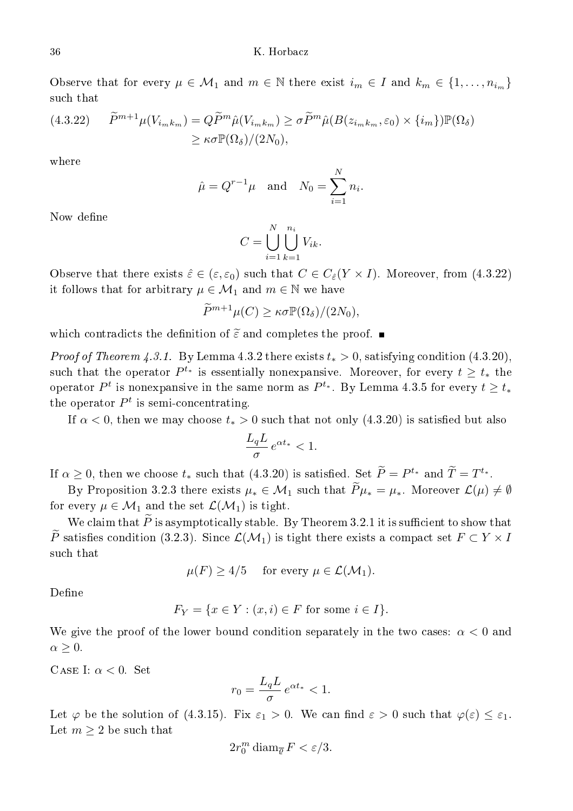Observe that for every  $\mu \in \mathcal{M}_1$  and  $m \in \mathbb{N}$  there exist  $i_m \in I$  and  $k_m \in \{1, \ldots, n_{i_m}\}\$ such that

$$
(4.3.22) \qquad \widetilde{P}^{m+1}\mu(V_{i_m k_m}) = Q\widetilde{P}^m\hat{\mu}(V_{i_m k_m}) \ge \sigma \widetilde{P}^m\hat{\mu}(B(z_{i_m k_m}, \varepsilon_0) \times \{i_m\})\mathbb{P}(\Omega_\delta)
$$

$$
\ge \kappa \sigma \mathbb{P}(\Omega_\delta) / (2N_0),
$$

where

$$
\hat{\mu} = Q^{r-1}\mu \quad \text{and} \quad N_0 = \sum_{i=1}^N n_i.
$$

Now define

$$
C = \bigcup_{i=1}^{N} \bigcup_{k=1}^{n_i} V_{ik}.
$$

Observe that there exists  $\hat{\varepsilon} \in (\varepsilon, \varepsilon_0)$  such that  $C \in C_{\hat{\varepsilon}}(Y \times I)$ . Moreover, from (4.3.22) it follows that for arbitrary  $\mu \in \mathcal{M}_1$  and  $m \in \mathbb{N}$  we have

$$
\widetilde{P}^{m+1}\mu(C) \ge \kappa \sigma \mathbb{P}(\Omega_{\delta})/(2N_0),
$$

which contradicts the definition of  $\tilde{\varepsilon}$  and completes the proof.  $\blacksquare$ 

*Proof of Theorem 4.3.1.* By Lemma 4.3.2 there exists  $t_* > 0$ , satisfying condition (4.3.20), such that the operator  $P^{t_*}$  is essentially nonexpansive. Moreover, for every  $t \geq t_*$  the operator  $P^t$  is nonexpansive in the same norm as  $P^{t_*}.$  By Lemma 4.3.5 for every  $t \geq t_*$ the operator  $P<sup>t</sup>$  is semi-concentrating.

If  $\alpha$  < 0, then we may choose  $t_* > 0$  such that not only (4.3.20) is satisfied but also

$$
\frac{L_q L}{\sigma} e^{\alpha t_*} < 1.
$$

If  $\alpha \geq 0$ , then we choose  $t_*$  such that (4.3.20) is satisfied. Set  $P = P^{t_*}$  and  $T = T^{t_*}$ .

By Proposition 3.2.3 there exists  $\mu_* \in \mathcal{M}_1$  such that  $\widetilde{P}\mu_* = \mu_*$ . Moreover  $\mathcal{L}(\mu) \neq \emptyset$ for every  $\mu \in \mathcal{M}_1$  and the set  $\mathcal{L}(\mathcal{M}_1)$  is tight.

We claim that  $\widetilde{P}$  is asymptotically stable. By Theorem 3.2.1 it is sufficient to show that  $\widetilde{P}$  satisfies condition (3.2.3). Since  $\mathcal{L}(\mathcal{M}_1)$  is tight there exists a compact set  $F \subset Y \times I$ <br>such that

 $\mu(F) \geq 4/5$  for every  $\mu \in \mathcal{L}(\mathcal{M}_1)$ .

$$
F_Y = \{ x \in Y : (x, i) \in F \text{ for some } i \in I \}.
$$

We give the proof of the lower bound condition separately in the two cases:  $\alpha < 0$  and  $\alpha \geq 0$ .

CASE I:  $\alpha < 0$ . Set

$$
r_0 = \frac{L_q L}{\sigma} e^{\alpha t_*} < 1.
$$

Let  $\varphi$  be the solution of (4.3.15). Fix  $\varepsilon_1 > 0$ . We can find  $\varepsilon > 0$  such that  $\varphi(\varepsilon) \leq \varepsilon_1$ . Let  $m \geq 2$  be such that

$$
2r_0^m\mathop\mathrm{diam}\nolimits_{\overline\varrho} F<\varepsilon/3.
$$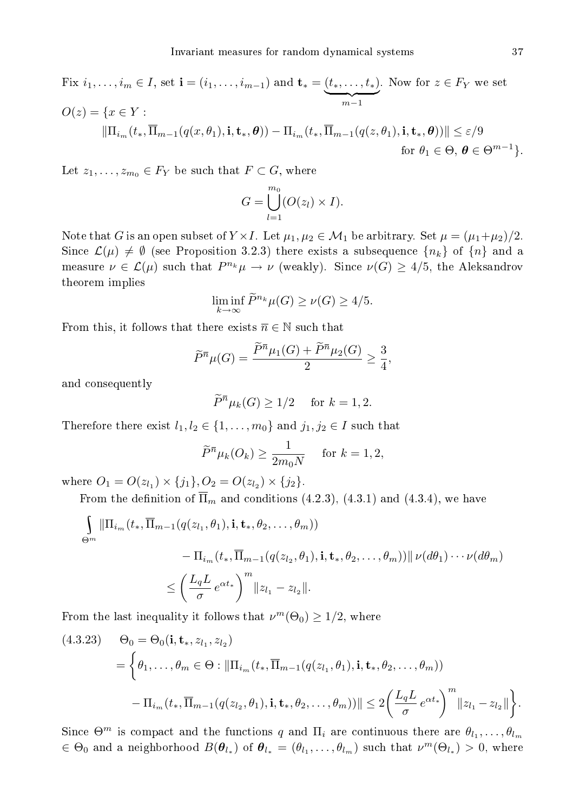Fix  $i_1, ..., i_m \in I$ , set  $\mathbf{i} = (i_1, ..., i_{m-1})$  and  $\mathbf{t}_* = (t_*, ..., t_*)$  ${m-1}$ . Now for  $z \in F_Y$  we set  $O(z) = \{x \in Y :$  $\|\Pi_{i_m}(t_*,\overline{\Pi}_{m-1}(q(x,\theta_1),\mathbf{i},\mathbf{t}_*,\boldsymbol{\theta})) - \Pi_{i_m}(t_*,\overline{\Pi}_{m-1}(q(z,\theta_1),\mathbf{i},\mathbf{t}_*,\boldsymbol{\theta}))\| \leq \varepsilon/9$ for  $\theta_1 \in \Theta$ ,  $\boldsymbol{\theta} \in \Theta^{m-1}$ .

Let  $z_1, \ldots, z_{m_0} \in F_Y$  be such that  $F \subset G$ , where

$$
G = \bigcup_{l=1}^{m_0} (O(z_l) \times I).
$$

Note that G is an open subset of  $Y \times I$ . Let  $\mu_1, \mu_2 \in \mathcal{M}_1$  be arbitrary. Set  $\mu = (\mu_1 + \mu_2)/2$ . Since  $\mathcal{L}(\mu) \neq \emptyset$  (see Proposition 3.2.3) there exists a subsequence  $\{n_k\}$  of  $\{n\}$  and a measure  $\nu \in \mathcal{L}(\mu)$  such that  $P^{n_k}\mu \to \nu$  (weakly). Since  $\nu(G) \geq 4/5$ , the Aleksandrov theorem implies

$$
\liminf_{k \to \infty} \widetilde{P}^{n_k} \mu(G) \ge \nu(G) \ge 4/5.
$$

From this, it follows that there exists  $\overline{n} \in \mathbb{N}$  such that

$$
\widetilde{P}^{\overline{n}}\mu(G) = \frac{\widetilde{P}^{\overline{n}}\mu_1(G) + \widetilde{P}^{\overline{n}}\mu_2(G)}{2} \ge \frac{3}{4},
$$

and onsequently

$$
\widetilde{P}^{\overline{n}}\mu_k(G) \ge 1/2 \quad \text{ for } k = 1, 2.
$$

Therefore there exist  $l_1, l_2 \in \{1, \ldots, m_0\}$  and  $j_1, j_2 \in I$  such that

$$
\widetilde{P}^{\overline{n}}\mu_k(O_k) \ge \frac{1}{2m_0N} \quad \text{ for } k = 1, 2,
$$

where  $O_1 = O(z_{l_1}) \times \{j_1\}, O_2 = O(z_{l_2}) \times \{j_2\}.$ 

From the definition of  $\overline{\Pi}_m$  and conditions (4.2.3), (4.3.1) and (4.3.4), we have

$$
\int_{\Theta^m} \|\Pi_{i_m}(t_*, \overline{\Pi}_{m-1}(q(z_{l_1}, \theta_1), \mathbf{i}, \mathbf{t}_*, \theta_2, \dots, \theta_m))
$$
  

$$
-\Pi_{i_m}(t_*, \overline{\Pi}_{m-1}(q(z_{l_2}, \theta_1), \mathbf{i}, \mathbf{t}_*, \theta_2, \dots, \theta_m)) \| \nu(d\theta_1) \cdots \nu(d\theta_m)
$$
  

$$
\leq \left(\frac{L_q L}{\sigma} e^{\alpha t_*}\right)^m \|z_{l_1} - z_{l_2}\|.
$$

From the last inequality it follows that  $\nu^m(\Theta_0) \geq 1/2$ , where

$$
(4.3.23) \quad \Theta_0 = \Theta_0(\mathbf{i}, \mathbf{t}_*, z_{l_1}, z_{l_2})
$$
  
=  $\left\{ \theta_1, \dots, \theta_m \in \Theta : ||\Pi_{i_m}(t_*, \overline{\Pi}_{m-1}(q(z_{l_1}, \theta_1), \mathbf{i}, \mathbf{t}_*, \theta_2, \dots, \theta_m)) \right\}$   
-  $\Pi_{i_m}(t_*, \overline{\Pi}_{m-1}(q(z_{l_2}, \theta_1), \mathbf{i}, \mathbf{t}_*, \theta_2, \dots, \theta_m)) || \leq 2 \left( \frac{L_q L}{\sigma} e^{\alpha t_*} \right)^m ||z_{l_1} - z_{l_2}|| \right\}.$ 

Since  $\Theta^m$  is compact and the functions q and  $\Pi_i$  are continuous there are  $\theta_{l_1}, \ldots, \theta_{l_m}$  $\in \Theta_0$  and a neighborhood  $B(\theta_{l_*})$  of  $\theta_{l_*} = (\theta_{l_1}, \ldots, \theta_{l_m})$  such that  $\nu^m(\Theta_{l_*}) > 0$ , where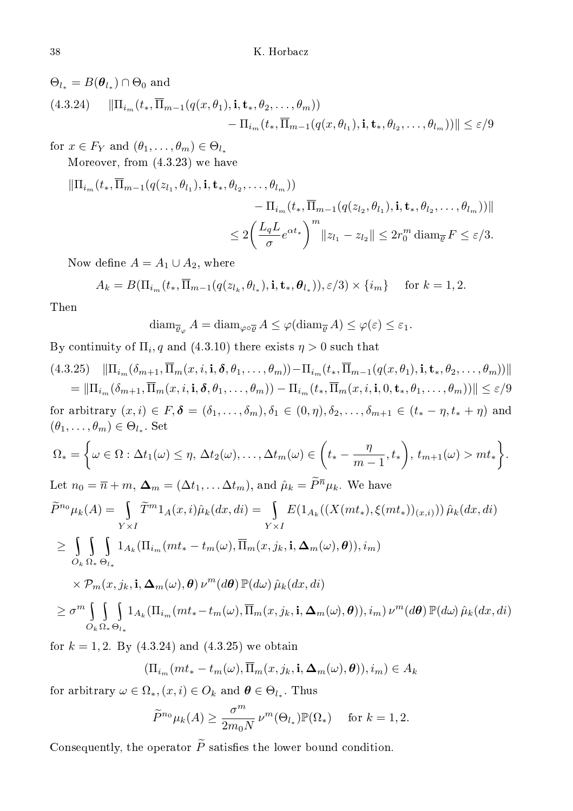$\Theta_{l_*} = B(\boldsymbol{\theta}_{l_*}) \cap \Theta_0$  and (4.3.24)  $\|\Pi_{i_m}(t_*, \overline{\Pi}_{m-1}(q(x, \theta_1), \mathbf{i}, \mathbf{t}_*, \theta_2, \dots, \theta_m))\|$  $-\Pi_{i_m}(t_*,\Pi_{m-1}(q(x,\theta_{l_1}),{\bf i}, {\bf t}_*,\theta_{l_2},\ldots,\theta_{l_m}))\|\leq \varepsilon/9$ 

for  $x \in F_Y$  and  $(\theta_1, \ldots, \theta_m) \in \Theta_{l_*}$ 

Moreover, from (4.3.23) we have

$$
\begin{aligned} \|\Pi_{i_m}(t_*,\overline{\Pi}_{m-1}(q(z_{l_1},\theta_{l_1}),{\bf i},\mathbf{t}_*,\theta_{l_2},\ldots,\theta_{l_m})) \\ &- \Pi_{i_m}(t_*,\overline{\Pi}_{m-1}(q(z_{l_2},\theta_{l_1}),{\bf i},\mathbf{t}_*,\theta_{l_2},\ldots,\theta_{l_m}))\| \\ &\leq 2\bigg(\frac{L_qL}{\sigma}e^{\alpha t_*}\bigg)^m\|z_{l_1}-z_{l_2}\| \leq 2r_0^m\operatorname{diam}_{\overline{\varrho}}F \leq \varepsilon/3. \end{aligned}
$$

Now define  $A = A_1 \cup A_2$ , where

$$
A_k = B(\Pi_{i_m}(t_*, \overline{\Pi}_{m-1}(q(z_{l_k}, \theta_{l_*}), \mathbf{i}, \mathbf{t}_*, \theta_{l_*})), \varepsilon/3) \times \{i_m\} \quad \text{for } k = 1, 2.
$$

Then

$$
\text{diam}_{\overline{\varrho}_{\varphi}} A = \text{diam}_{\varphi \circ \overline{\varrho}} A \leq \varphi(\text{diam}_{\overline{\varrho}} A) \leq \varphi(\varepsilon) \leq \varepsilon_1.
$$

By continuity of  $\Pi_i, q$  and  $(4.3.10)$  there exists  $\eta > 0$  such that

$$
(4.3.25) \|\Pi_{i_m}(\delta_{m+1}, \overline{\Pi}_m(x, i, i, \delta, \theta_1, \dots, \theta_m)) - \Pi_{i_m}(t_*, \overline{\Pi}_{m-1}(q(x, \theta_1), i, t_*, \theta_2, \dots, \theta_m))\|
$$
\n
$$
= \|\Pi_{i_m}(\delta_{m+1}, \overline{\Pi}_m(x, i, i, \delta, \theta_1, \dots, \theta_m)) - \Pi_{i_m}(t_*, \overline{\Pi}_m(x, i, i, 0, t_*, \theta_1, \dots, \theta_m))\| \leq \varepsilon/9
$$
\nfor arbitrary  $(x, i) \in F$ ,  $\delta = (\delta_1, \dots, \delta_m)$ ,  $\delta_1 \in (0, \eta)$ ,  $\delta_2, \dots, \delta_{m+1} \in (t_* - \eta, t_* + \eta)$  and\n
$$
(\theta_1, \dots, \theta_m) \in \Theta_{l_*}
$$
. Set\n
$$
\Omega_* = \left\{\omega \in \Omega : \Delta t_1(\omega) \leq \eta, \Delta t_2(\omega), \dots, \Delta t_m(\omega) \in \left(t_* - \frac{\eta}{m-1}, t_*\right), t_{m+1}(\omega) > mt_*\right\}.
$$
\nLet  $n_0 = \overline{n} + m$ ,  $\Delta_m = (\Delta t_1, \dots, \Delta t_m)$ , and  $\hat{\mu}_k = \widetilde{P}^{\overline{n}} \mu_k$ . We have\n
$$
\widetilde{P}^{n_0} \mu_k(A) = \int_{Y \times I} \widetilde{T}^m 1_A(x, i) \hat{\mu}_k(dx, di) = \int_{Y \times I} E(1_{A_k}((X(mt_*), \xi(mt_*))) (\tilde{\mu}_k(dx, di))
$$
\n
$$
\geq \int_{\Omega} \int_{\Omega} 1_{A_k} (\Pi_{i_m}(mt_* - t_m(\omega), \overline{\Pi}_m(x, j_k, i, \Delta_m(\omega), \theta)), i_m)
$$
\n
$$
\times \mathcal{P}_m(x, j_k, i, \Delta_m(\omega), \theta) \nu^m(d\theta) \mathbb{P}(d\omega) \hat{\mu}_k(dx, di)
$$
\n
$$
\geq \sigma^m \int_{\Omega} \int_{\Omega} 1_{A_k} (\Pi_{i_m}(mt_* - t_m(\omega), \overline{\
$$

for  $k = 1, 2$ . By  $(4.3.24)$  and  $(4.3.25)$  we obtain

$$
(\Pi_{i_m}(mt_*-t_m(\omega),\overline{\Pi}_m(x,j_k,\mathbf{i},\mathbf{\Delta}_m(\omega),\boldsymbol{\theta})),i_m)\in A_k
$$

for arbitrary  $\omega \in \Omega_*, (x, i) \in O_k$  and  $\boldsymbol{\theta} \in \Theta_{l_*}$ . Thus

$$
\widetilde{P}^{n_0}\mu_k(A) \ge \frac{\sigma^m}{2m_0N} \,\nu^m(\Theta_{l_*})\mathbb{P}(\Omega_*) \quad \text{ for } k = 1, 2.
$$

Consequently, the operator  $\widetilde{P}$  satisfies the lower bound condition.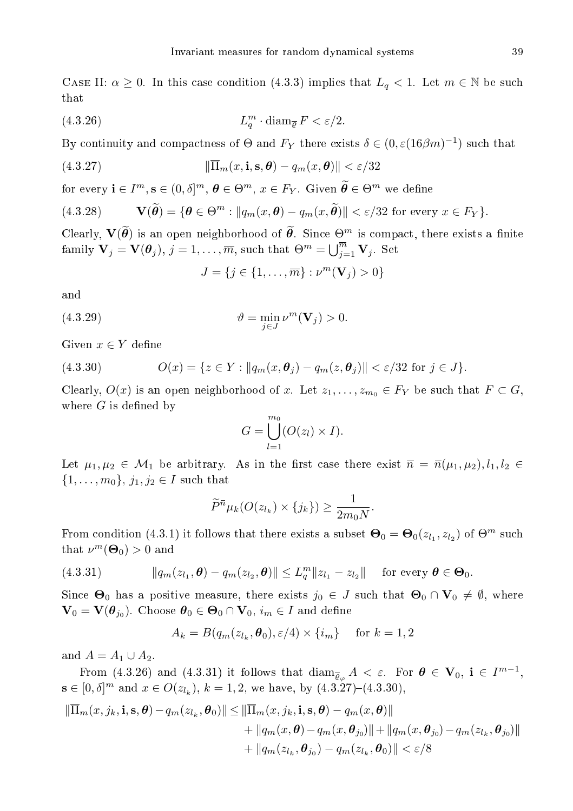CASE II:  $\alpha \geq 0$ . In this case condition (4.3.3) implies that  $L_q < 1$ . Let  $m \in \mathbb{N}$  be such that

(4.3.26) 
$$
L_q^m \cdot \text{diam}_{\overline{\varrho}} F < \varepsilon/2.
$$

By continuity and compactness of  $\Theta$  and  $F_Y$  there exists  $\delta \in (0, \varepsilon(16\beta m)^{-1})$  such that

(4.3.27) 
$$
\|\overline{\Pi}_m(x,\mathbf{i},\mathbf{s},\boldsymbol{\theta}) - q_m(x,\boldsymbol{\theta})\| < \varepsilon/32
$$

for every  $\mathbf{i} \in I^m, \mathbf{s} \in (0, \delta]^m, \, \boldsymbol{\theta} \in \Theta^m, \, x \in F_Y$ . Given  $\widetilde{\boldsymbol{\theta}} \in \Theta^m$  we define

(4.3.28) 
$$
\mathbf{V}(\widetilde{\boldsymbol{\theta}}) = \{\boldsymbol{\theta} \in \Theta^m : ||q_m(x, \boldsymbol{\theta}) - q_m(x, \widetilde{\boldsymbol{\theta}})|| < \varepsilon/32 \text{ for every } x \in F_Y\}.
$$

Clearly,  $\mathbf{V}(\widetilde{\theta})$  is an open neighborhood of  $\widetilde{\theta}$ . Since  $\Theta^m$  is compact, there exists a finite family  $\mathbf{V}_j = \mathbf{V}(\boldsymbol{\theta}_j), j = 1, \dots, \overline{m}$ , such that  $\Theta^m = \bigcup_{j=1}^{\overline{m}} \mathbf{V}_j$ . Set

$$
J=\{j\in\{1,\ldots,\overline{m}\}: \nu^m(\mathbf{V}_j)>0\}
$$

and

(4.3.29) 
$$
\vartheta = \min_{j \in J} \nu^m(\mathbf{V}_j) > 0.
$$

Given  $x \in Y$  define

(4.3.30) 
$$
O(x) = \{z \in Y : ||q_m(x, \boldsymbol{\theta}_j) - q_m(z, \boldsymbol{\theta}_j)|| < \varepsilon/32 \text{ for } j \in J\}.
$$

Clearly,  $O(x)$  is an open neighborhood of x. Let  $z_1, \ldots, z_{m_0} \in F_Y$  be such that  $F \subset G$ , where  $G$  is defined by

$$
G = \bigcup_{l=1}^{m_0} (O(z_l) \times I).
$$

Let  $\mu_1, \mu_2 \in \mathcal{M}_1$  be arbitrary. As in the first case there exist  $\bar{n} = \bar{n}(\mu_1, \mu_2), l_1, l_2 \in$  $\{1, \ldots, m_0\}, j_1, j_2 \in I$  such that

$$
\widetilde{P}^{\overline{n}}\mu_k(O(z_{l_k})\times\{j_k\})\geq \frac{1}{2m_0N}.
$$

From condition (4.3.1) it follows that there exists a subset  $\Theta_0 = \Theta_0(z_{l_1}, z_{l_2})$  of  $\Theta^m$  such that  $\nu^m(\Theta_0) > 0$  and

(4.3.31) 
$$
\|q_m(z_{l_1}, \boldsymbol{\theta}) - q_m(z_{l_2}, \boldsymbol{\theta})\| \le L_q^m \|z_{l_1} - z_{l_2}\| \text{ for every } \boldsymbol{\theta} \in \boldsymbol{\Theta}_0.
$$

Since  $\Theta_0$  has a positive measure, there exists  $j_0 \in J$  such that  $\Theta_0 \cap V_0 \neq \emptyset$ , where  $\mathbf{V}_0 = \mathbf{V}(\boldsymbol{\theta}_{j_0})$ . Choose  $\boldsymbol{\theta}_0 \in \boldsymbol{\Theta}_0 \cap \mathbf{V}_0$ ,  $i_m \in I$  and define

$$
A_k = B(q_m(z_{l_k}, \theta_0), \varepsilon/4) \times \{i_m\} \quad \text{for } k = 1, 2
$$

and  $A = A_1 \cup A_2$ .

From (4.3.26) and (4.3.31) it follows that  $\dim_{\overline{\mathcal{Q}}_{\varphi}} A < \varepsilon$ . For  $\boldsymbol{\theta} \in \mathbf{V}_0$ ,  $i \in I^{m-1}$ ,  $\mathbf{s} \in [0,\delta]^m$  and  $x \in O(z_{l_k}), k = 1,2$ , we have, by  $(4.3.27)-(4.3.30)$ ,

$$
\|\overline{\Pi}_{m}(x,j_{k},\mathbf{i},\mathbf{s},\boldsymbol{\theta})-q_{m}(z_{l_{k}},\boldsymbol{\theta}_{0})\| \leq \|\overline{\Pi}_{m}(x,j_{k},\mathbf{i},\mathbf{s},\boldsymbol{\theta})-q_{m}(x,\boldsymbol{\theta})\| + \|q_{m}(x,\boldsymbol{\theta})-q_{m}(x,\boldsymbol{\theta}_{j_{0}})\| + \|q_{m}(x,\boldsymbol{\theta}_{j_{0}})-q_{m}(z_{l_{k}},\boldsymbol{\theta}_{j_{0}})\| + \|q_{m}(z_{l_{k}},\boldsymbol{\theta}_{j_{0}})-q_{m}(z_{l_{k}},\boldsymbol{\theta}_{0})\| < \varepsilon/8
$$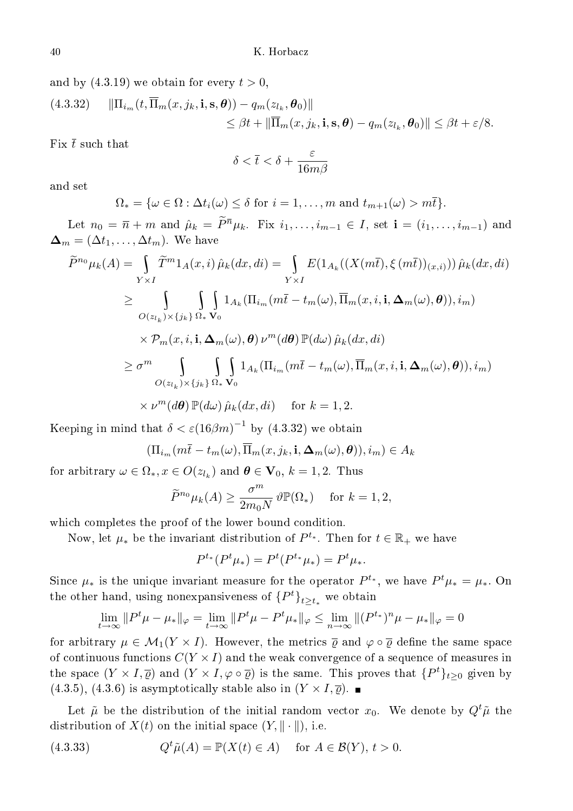and by  $(4.3.19)$  we obtain for every  $t > 0,$ 

(4.3.32) 
$$
\|\Pi_{i_m}(t,\overline{\Pi}_m(x,j_k,\mathbf{i},\mathbf{s},\boldsymbol{\theta})) - q_m(z_{l_k},\boldsymbol{\theta}_0)\|
$$
  

$$
\leq \beta t + \|\overline{\Pi}_m(x,j_k,\mathbf{i},\mathbf{s},\boldsymbol{\theta}) - q_m(z_{l_k},\boldsymbol{\theta}_0)\| \leq \beta t + \varepsilon/8.
$$

Fix  $\bar{t}$  such that

$$
\delta < \overline{t} < \delta + \frac{\varepsilon}{16m\beta}
$$

and set

$$
\Omega_* = \{ \omega \in \Omega : \Delta t_i(\omega) \leq \delta \text{ for } i = 1, \dots, m \text{ and } t_{m+1}(\omega) > m\overline{t} \}.
$$

Let  $n_0 = \overline{n} + m$  and  $\hat{\mu}_k = \widetilde{P}^{\overline{n}} \mu_k$ . Fix  $i_1, \ldots, i_{m-1} \in I$ , set  $\mathbf{i} = (i_1, \ldots, i_{m-1})$  and  $\mathbf{\Delta}_m = (\Delta t_1, \dots, \Delta t_m)$ . We have

$$
\widetilde{P}^{n_0}\mu_k(A) = \int_{Y\times I} \widetilde{T}^m 1_A(x,i) \hat{\mu}_k(dx,di) = \int_{Y\times I} E(1_{A_k}((X(m\overline{t}),\xi(m\overline{t}))(x,i))) \hat{\mu}_k(dx,di)
$$
\n
$$
\geq \int_{O(z_{l_k})\times\{j_k\}} \int_{\Omega_*} 1_{A_k}(\Pi_{i_m}(m\overline{t} - t_m(\omega),\overline{\Pi}_m(x,i,\mathbf{i},\Delta_m(\omega),\theta)),i_m)
$$
\n
$$
\times \mathcal{P}_m(x,i,\mathbf{i},\Delta_m(\omega),\theta) \nu^m(d\theta) \mathbb{P}(d\omega) \hat{\mu}_k(dx,di)
$$
\n
$$
\geq \sigma^m \int_{O(z_{l_k})\times\{j_k\}} \int_{\Omega_*} 1_{A_k}(\Pi_{i_m}(m\overline{t} - t_m(\omega),\overline{\Pi}_m(x,i,\mathbf{i},\Delta_m(\omega),\theta)),i_m)
$$
\n
$$
\times \nu^m(d\theta) \mathbb{P}(d\omega) \hat{\mu}_k(dx,di) \quad \text{for } k = 1, 2.
$$

Keeping in mind that  $\delta < \varepsilon (16 \beta m)^{-1}$  by  $(4.3.32)$  we obtain

$$
(\Pi_{i_m}(m\overline{t}-t_m(\omega),\overline{\Pi}_m(x,j_k,\mathbf{i},\mathbf{\Delta}_m(\omega),\boldsymbol{\theta})),i_m)\in A_k
$$

for arbitrary  $\omega \in \Omega_*, x \in O(z_{l_k})$  and  $\boldsymbol{\theta} \in \mathbf{V}_0, k = 1, 2$ . Thus

$$
\widetilde{P}^{n_0}\mu_k(A) \ge \frac{\sigma^m}{2m_0N} \,\vartheta \mathbb{P}(\Omega_*) \quad \text{ for } k = 1, 2,
$$

which completes the proof of the lower bound condition.

Now, let  $\mu_*$  be the invariant distribution of  $P^{t_*}$ . Then for  $t \in \mathbb{R}_+$  we have

$$
P^{t_*}(P^t\mu_*) = P^t(P^{t_*}\mu_*) = P^t\mu_*.
$$

Since  $\mu_*$  is the unique invariant measure for the operator  $P^{t_*},$  we have  $P^t\mu_* = \mu_*.$  On the other hand, using nonexpansiveness of  $\{P^t\}_{t\geq t_*}$  we obtain

$$
\lim_{t \to \infty} ||P^t \mu - \mu_*||_{\varphi} = \lim_{t \to \infty} ||P^t \mu - P^t \mu_*||_{\varphi} \le \lim_{n \to \infty} ||(P^{t_*})^n \mu - \mu_*||_{\varphi} = 0
$$

for arbitrary  $\mu \in \mathcal{M}_1(Y \times I)$ . However, the metrics  $\overline{\varrho}$  and  $\varphi \circ \overline{\varrho}$  define the same space of continuous functions  $C(Y \times I)$  and the weak convergence of a sequence of measures in the space  $(Y \times I, \overline{\varrho})$  and  $(Y \times I, \varphi \circ \overline{\varrho})$  is the same. This proves that  $\{P^t\}_{t \geq 0}$  given by  $(4.3.5), (4.3.6)$  is asymptotically stable also in  $(Y \times I, \overline{\varrho})$ .

Let  $\tilde{\mu}$  be the distribution of the initial random vector  $x_0$ . We denote by  $Q^t\tilde{\mu}$  the distribution of  $X(t)$  on the initial space  $(Y, \|\cdot\|)$ , i.e.

(4.3.33) 
$$
Q^t \tilde{\mu}(A) = \mathbb{P}(X(t) \in A) \quad \text{for } A \in \mathcal{B}(Y), t > 0.
$$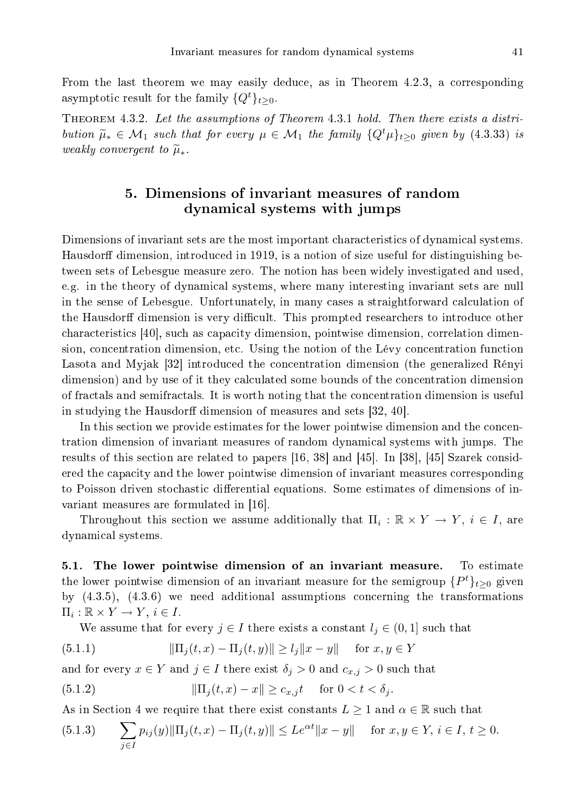From the last theorem we may easily deduce, as in Theorem 4.2.3, a corresponding asymptotic result for the family  $\{Q^t\}_{t>0}$ .

Theorem 4.3.2. Let the assumptions of Theorem 4.3.1 hold. Then there exists <sup>a</sup> distribution  $\tilde{\mu}_* \in \mathcal{M}_1$  such that for every  $\mu \in \mathcal{M}_1$  the family  $\{Q^t\mu\}_{t>0}$  given by (4.3.33) is weakly convergent to  $\widetilde{\mu}_*$ .

# 5. Dimensions of invariant measures of random dynami
al systems with jumps

Dimensions of invariant sets are the most important characteristics of dynamical systems. Hausdorff dimension, introduced in 1919, is a notion of size useful for distinguishing between sets of Lebesgue measure zero. The notion has been widely investigated and used, e.g. in the theory of dynami
al systems, where many interesting invariant sets are null in the sense of Lebesgue. Unfortunately, in many cases a straightforward calculation of the Hausdorff dimension is very difficult. This prompted researchers to introduce other characteristics [40], such as capacity dimension, pointwise dimension, correlation dimension, concentration dimension, etc. Using the notion of the Lévy concentration function Lasota and Myjak [32] introduced the concentration dimension (the generalized Rényi dimension) and by use of it they calculated some bounds of the concentration dimension of fra
tals and semifra
tals. It is worth noting that the on
entration dimension is useful in studying the Hausdorff dimension of measures and sets [32, 40].

In this section we provide estimates for the lower pointwise dimension and the concentration dimension of invariant measures of random dynami
al systems with jumps. The results of this section are related to papers  $[16, 38]$  and  $[45]$ . In [38], [45] Szarek considered the capacity and the lower pointwise dimension of invariant measures corresponding to Poisson driven stochastic differential equations. Some estimates of dimensions of invariant measures are formulated in [16].

Throughout this section we assume additionally that  $\Pi_i : \mathbb{R} \times Y \to Y$ ,  $i \in I$ , are dynami
al systems.

5.1. The lower pointwise dimension of an invariant measure. To estimate the lower pointwise dimension of an invariant measure for the semigroup  $\{P^t\}_{t\geq 0}$  given by  $(4.3.5)$ ,  $(4.3.6)$  we need additional assumptions concerning the transformations  $\Pi_i : \mathbb{R} \times Y \to Y, i \in I.$ 

We assume that for every  $j \in I$  there exists a constant  $l_j \in (0,1]$  such that

(5.1.1) 
$$
\|\Pi_j(t,x) - \Pi_j(t,y)\| \ge l_j \|x - y\| \text{ for } x, y \in Y
$$

and for every  $x \in Y$  and  $j \in I$  there exist  $\delta_j > 0$  and  $c_{x,j} > 0$  such that

(5.1.2) 
$$
\|\Pi_j(t,x) - x\| \ge c_{x,j} t \quad \text{for } 0 < t < \delta_j.
$$

As in Section 4 we require that there exist constants  $L \geq 1$  and  $\alpha \in \mathbb{R}$  such that

(5.1.3) 
$$
\sum_{j\in I} p_{ij}(y) \|\Pi_j(t,x) - \Pi_j(t,y)\| \leq Le^{\alpha t} \|x - y\| \quad \text{ for } x, y \in Y, i \in I, t \geq 0.
$$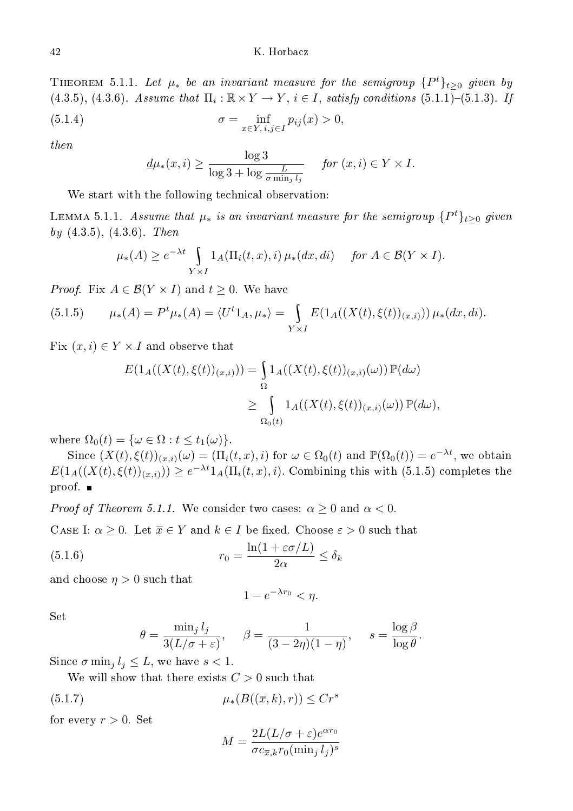## K. Horbacz

THEOREM 5.1.1. Let  $\mu_*$  be an invariant measure for the semigroup  $\{P^t\}_{t\geq 0}$  given by  $(4.3.5), (4.3.6).$  Assume that  $\Pi_i : \mathbb{R} \times Y \to Y$ ,  $i \in I$ , satisfy conditions  $(5.1.1)$ - $(5.1.3)$ . If  $(5.1.4)$   $\sigma = \int \inf$  $p_{ij}(x) > 0,$ 

$$
\sigma = \inf_{x \in Y, i,j \in I} p_{ij}(x) > 0
$$

then

$$
\underline{d}\mu_*(x,i) \ge \frac{\log 3}{\log 3 + \log \frac{L}{\sigma \min_j l_j}} \quad \text{for } (x,i) \in Y \times I.
$$

We start with the following technical observation:

LEMMA 5.1.1. Assume that  $\mu_*$  is an invariant measure for the semigroup  $\{P^t\}_{t\geq 0}$  given by  $(4.3.5), (4.3.6)$ . Then

$$
\mu_*(A) \ge e^{-\lambda t} \int_{Y \times I} 1_A(\Pi_i(t, x), i) \mu_*(dx, di) \quad \text{for } A \in \mathcal{B}(Y \times I).
$$

*Proof.* Fix  $A \in \mathcal{B}(Y \times I)$  and  $t \geq 0$ . We have

(5.1.5) 
$$
\mu_*(A) = P^t \mu_*(A) = \langle U^t 1_A, \mu_* \rangle = \int_{Y \times I} E(1_A((X(t), \xi(t))_{(x,i)})) \mu_*(dx, di).
$$

Fix  $(x, i) \in Y \times I$  and observe that

$$
E(1_A((X(t),\xi(t))_{(x,i)})) = \int_{\Omega} 1_A((X(t),\xi(t))_{(x,i)}(\omega)) \mathbb{P}(d\omega)
$$
  
\n
$$
\geq \int_{\Omega_0(t)} 1_A((X(t),\xi(t))_{(x,i)}(\omega)) \mathbb{P}(d\omega),
$$

where  $\Omega_0(t) = \{\omega \in \Omega : t \leq t_1(\omega)\}.$ 

Since  $(X(t), \xi(t))_{(x,i)}(\omega) = (\Pi_i(t, x), i)$  for  $\omega \in \Omega_0(t)$  and  $\mathbb{P}(\Omega_0(t)) = e^{-\lambda t}$ , we obtain  $E(1_A((X(t), \xi(t))_{(x,i)})) \geq e^{-\lambda t} 1_A(\Pi_i(t, x), i)$ . Combining this with (5.1.5) completes the proof.

*Proof of Theorem 5.1.1.* We consider two cases:  $\alpha \geq 0$  and  $\alpha < 0$ .

CASE I:  $\alpha \geq 0$ . Let  $\overline{x} \in Y$  and  $k \in I$  be fixed. Choose  $\varepsilon > 0$  such that

(5.1.6) 
$$
r_0 = \frac{\ln(1 + \varepsilon \sigma/L)}{2\alpha} \le \delta_k
$$

and choose  $\eta > 0$  such that

$$
1 - e^{-\lambda r_0} < \eta.
$$

 $_{\rm Set}$ 

$$
\theta = \frac{\min_j l_j}{3(L/\sigma + \varepsilon)}, \quad \beta = \frac{1}{(3-2\eta)(1-\eta)}, \quad s = \frac{\log \beta}{\log \theta}.
$$

Since  $\sigma$  min<sub>i</sub>  $l_i \leq L$ , we have  $s < 1$ .

We will show that there exists  $C > 0$  such that

$$
(5.1.7) \qquad \qquad \mu_*(B((\overline{x},k),r)) \le Cr^s
$$

for every  $r > 0$ . Set

$$
M = \frac{2L(L/\sigma + \varepsilon)e^{\alpha r_0}}{\sigma c_{\overline{x},k}r_0(\min_j l_j)^s}
$$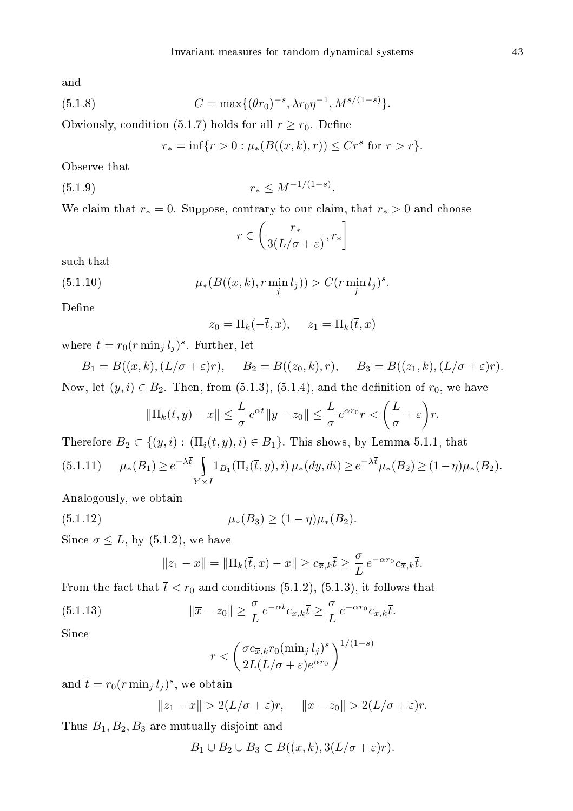and

(5.1.8) 
$$
C = \max\{(\theta r_0)^{-s}, \lambda r_0 \eta^{-1}, M^{s/(1-s)}\}.
$$

Obviously, condition (5.1.7) holds for all  $r \ge r_0$ . Define

$$
r_* = \inf \{ \bar{r} > 0 : \mu_* (B((\overline{x},k),r)) \leq C r^s \text{ for } r > \bar{r} \}.
$$

Observe that

$$
(5.1.9) \t\t\t r_* \leq M^{-1/(1-s)}.
$$

We claim that  $r_* = 0$ . Suppose, contrary to our claim, that  $r_* > 0$  and choose

$$
r\in \left(\frac{r_*}{3(L/\sigma+\varepsilon)},r_*\right]
$$

su
h that

(5.1.10) 
$$
\mu_*(B((\overline{x}, k), r \min_j l_j)) > C(r \min_j l_j)^s.
$$

Define

$$
z_0 = \Pi_k(-\overline{t}, \overline{x}), \quad z_1 = \Pi_k(\overline{t}, \overline{x})
$$

where  $\bar{t} = r_0 (r \min_j l_j)^s$ . Further, let

 $B_1 = B((\overline{x}, k), (L/\sigma + \varepsilon)r), \quad B_2 = B((z_0, k), r), \quad B_3 = B((z_1, k), (L/\sigma + \varepsilon)r).$ Now, let  $(y, i) \in B_2$ . Then, from (5.1.3), (5.1.4), and the definition of  $r_0$ , we have

$$
\|\Pi_k(\overline{t},y) - \overline{x}\| \le \frac{L}{\sigma} e^{\alpha \overline{t}} \|y - z_0\| \le \frac{L}{\sigma} e^{\alpha r_0} r < \left(\frac{L}{\sigma} + \varepsilon\right) r.
$$

Therefore  $B_2 \subset \{(y, i): (\Pi_i(\bar{t}, y), i) \in B_1\}$ . This shows, by Lemma 5.1.1, that

$$
(5.1.11) \qquad \mu_*(B_1) \ge e^{-\lambda \overline{t}} \int_{Y \times I} 1_{B_1}(\Pi_i(\overline{t}, y), i) \, \mu_*(dy, di) \ge e^{-\lambda \overline{t}} \mu_*(B_2) \ge (1 - \eta) \mu_*(B_2).
$$

Analogously, we obtain

(5.1.12) 
$$
\mu_*(B_3) \ge (1 - \eta)\mu_*(B_2).
$$

Since  $\sigma \leq L$ , by (5.1.2), we have

$$
||z_1 - \overline{x}|| = ||\Pi_k(\overline{t}, \overline{x}) - \overline{x}|| \ge c_{\overline{x}, k}\overline{t} \ge \frac{\sigma}{L} e^{-\alpha r_0} c_{\overline{x}, k}\overline{t}.
$$

From the fact that  $\bar{t} < r_0$  and conditions (5.1.2), (5.1.3), it follows that

(5.1.13) 
$$
\|\overline{x} - z_0\| \ge \frac{\sigma}{L} e^{-\alpha \overline{t}} c_{\overline{x},k} \overline{t} \ge \frac{\sigma}{L} e^{-\alpha r_0} c_{\overline{x},k} \overline{t}.
$$

Sin
e

$$
r < \left(\frac{\sigma c_{\overline{x},k} r_0 (\min_j l_j)^s}{2L(L/\sigma + \varepsilon)e^{\alpha r_0}}\right)^{1/(1-s)}
$$

and  $\bar{t} = r_0 (r \min_j l_j)^s$ , we obtain

$$
||z_1 - \overline{x}|| > 2(L/\sigma + \varepsilon)r, \quad ||\overline{x} - z_0|| > 2(L/\sigma + \varepsilon)r.
$$

Thus  $B_1, B_2, B_3$  are mutually disjoint and

$$
B_1 \cup B_2 \cup B_3 \subset B((\overline{x}, k), 3(L/\sigma + \varepsilon)r).
$$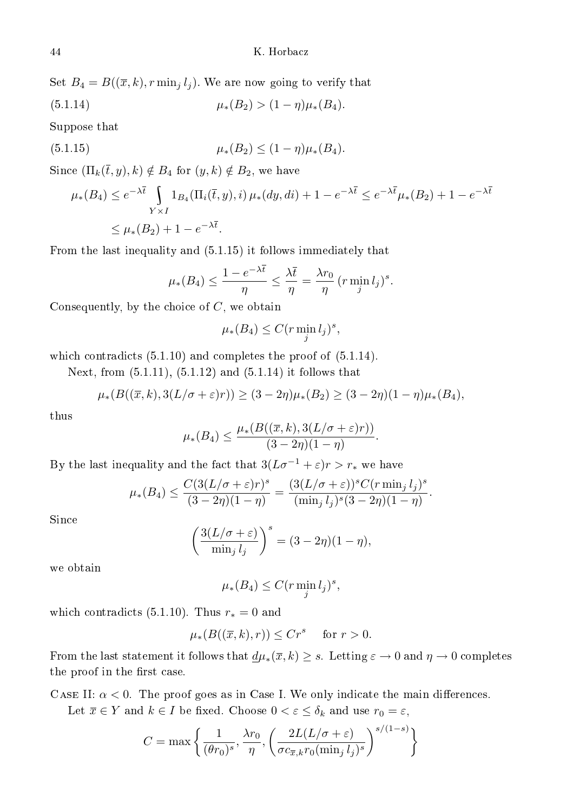Set 
$$
B_4 = B((\overline{x}, k), r \min_j l_j)
$$
. We are now going to verify that

(5.1.14) 
$$
\mu_*(B_2) > (1 - \eta)\mu_*(B_4).
$$

Suppose that

(5.1.15) 
$$
\mu_*(B_2) \le (1 - \eta)\mu_*(B_4).
$$

Since  $(\Pi_k(\overline{t},y),k) \notin B_4$  for  $(y,k) \notin B_2$ , we have

$$
\mu_*(B_4) \le e^{-\lambda \overline{t}} \int_{Y \times I} 1_{B_4}(\Pi_i(\overline{t}, y), i) \mu_*(dy, di) + 1 - e^{-\lambda \overline{t}} \le e^{-\lambda \overline{t}} \mu_*(B_2) + 1 - e^{-\lambda \overline{t}}
$$
  

$$
\le \mu_*(B_2) + 1 - e^{-\lambda \overline{t}}.
$$

From the last inequality and (5.1.15) it follows immediately that

$$
\mu_*(B_4) \le \frac{1 - e^{-\lambda \overline{t}}}{\eta} \le \frac{\lambda \overline{t}}{\eta} = \frac{\lambda r_0}{\eta} \left( r \min_j l_j \right)^s.
$$

Consequently, by the choice of  $C$ , we obtain

$$
\mu_*(B_4) \le C(r \min_j l_j)^s,
$$

which contradicts  $(5.1.10)$  and completes the proof of  $(5.1.14)$ .

Next, from (5.1.11), (5.1.12) and (5.1.14) it follows that

$$
\mu_*(B((\overline{x},k),3(L/\sigma+\varepsilon)r)) \ge (3-2\eta)\mu_*(B_2) \ge (3-2\eta)(1-\eta)\mu_*(B_4),
$$

thus

$$
\mu_*(B_4) \le \frac{\mu_*(B((\overline{x},k),3(L/\sigma+\varepsilon)r))}{(3-2\eta)(1-\eta)}.
$$

By the last inequality and the fact that  $3(L\sigma^{-1} + \varepsilon)r > r_*$  we have

$$
\mu_*(B_4) \le \frac{C(3(L/\sigma + \varepsilon)r)^s}{(3-2\eta)(1-\eta)} = \frac{(3(L/\sigma + \varepsilon))^s C(r \min_j l_j)^s}{(\min_j l_j)^s (3-2\eta)(1-\eta)}.
$$

Sin
e

$$
\left(\frac{3(L/\sigma + \varepsilon)}{\min_j l_j}\right)^s = (3 - 2\eta)(1 - \eta),
$$

we obtain

$$
\mu_*(B_4) \le C (r \min_j l_j)^s,
$$

which contradicts (5.1.10). Thus  $r_* = 0$  and

$$
\mu_*(B((\overline{x},k),r)) \le Cr^s \quad \text{ for } r > 0.
$$

From the last statement it follows that  $\underline{d}\mu_*(\overline{x}, k) \geq s$ . Letting  $\varepsilon \to 0$  and  $\eta \to 0$  completes the proof in the first case.

CASE II:  $\alpha$  < 0. The proof goes as in Case I. We only indicate the main differences.

Let  $\overline{x} \in Y$  and  $k \in I$  be fixed. Choose  $0 < \varepsilon \leq \delta_k$  and use  $r_0 = \varepsilon$ ,

$$
C = \max\left\{ \frac{1}{(\theta r_0)^s}, \frac{\lambda r_0}{\eta}, \left( \frac{2L(L/\sigma + \varepsilon)}{\sigma c_{\overline{x},k} r_0 (\min_j l_j)^s} \right)^{s/(1-s)} \right\}
$$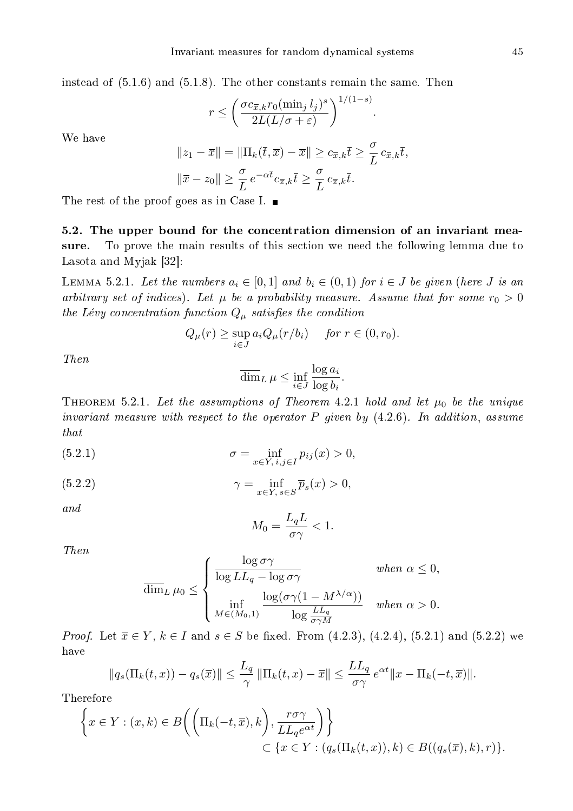instead of  $(5.1.6)$  and  $(5.1.8)$ . The other constants remain the same. Then

$$
r \leq \left(\frac{\sigma c_{\overline{x},k} r_0 (\min_j l_j)^s}{2L(L/\sigma + \varepsilon)}\right)^{1/(1-s)}.
$$

We have

$$
||z_1 - \overline{x}|| = ||\Pi_k(\overline{t}, \overline{x}) - \overline{x}|| \ge c_{\overline{x}, k}\overline{t} \ge \frac{\sigma}{L} c_{\overline{x}, k}\overline{t},
$$
  

$$
||\overline{x} - z_0|| \ge \frac{\sigma}{L} e^{-\alpha \overline{t}} c_{\overline{x}, k}\overline{t} \ge \frac{\sigma}{L} c_{\overline{x}, k}\overline{t}.
$$

The rest of the proof goes as in Case I.  $\blacksquare$ 

5.2. The upper bound for the concentration dimension of an invariant measure. To prove the main results of this section we need the following lemma due to Lasota and Myjak  $[32]$ :

LEMMA 5.2.1. Let the numbers  $a_i \in [0,1]$  and  $b_i \in (0,1)$  for  $i \in J$  be given (here J is an arbitrary set of indices). Let  $\mu$  be a probability measure. Assume that for some  $r_0 > 0$ the Lévy concentration function  $Q_{\mu}$  satisfies the condition

$$
Q_{\mu}(r) \ge \sup_{i \in J} a_i Q_{\mu}(r/b_i) \quad \text{for } r \in (0, r_0).
$$

Then

$$
\overline{\dim}_L \,\mu \le \inf_{i \in J} \frac{\log a_i}{\log b_i}.
$$

THEOREM 5.2.1. Let the assumptions of Theorem 4.2.1 hold and let  $\mu_0$  be the unique invariant measure with respect to the operator  $P$  given by  $(4.2.6)$ . In addition, assume that

(5.2.1) 
$$
\sigma = \inf_{x \in Y, \, i, j \in I} p_{ij}(x) > 0,
$$

(5.2.2) 
$$
\gamma = \inf_{x \in Y, s \in S} \overline{p}_s(x) > 0,
$$

and

$$
M_0 = \frac{L_q L}{\sigma \gamma} < 1.
$$

Then

$$
\overline{\dim}_{L} \mu_{0} \leq \begin{cases} \frac{\log \sigma \gamma}{\log LL_q - \log \sigma \gamma} & \text{when } \alpha \leq 0, \\ \inf_{M \in (M_0, 1)} \frac{\log(\sigma \gamma (1 - M^{\lambda/\alpha}))}{\log \frac{LL_q}{\sigma \gamma M}} & \text{when } \alpha > 0. \end{cases}
$$

*Proof.* Let  $\bar{x} \in Y$ ,  $k \in I$  and  $s \in S$  be fixed. From (4.2.3), (4.2.4), (5.2.1) and (5.2.2) we have

$$
||q_s(\Pi_k(t,x)) - q_s(\overline{x})|| \le \frac{L_q}{\gamma} ||\Pi_k(t,x) - \overline{x}|| \le \frac{L L_q}{\sigma \gamma} e^{\alpha t} ||x - \Pi_k(-t,\overline{x})||.
$$

Therefore

$$
\left\{ x \in Y : (x, k) \in B\left( \left( \Pi_k(-t, \overline{x}), k \right), \frac{r\sigma\gamma}{LL_q e^{\alpha t}} \right) \right\}
$$
  

$$
\subset \left\{ x \in Y : (q_s(\Pi_k(t, x)), k) \in B((q_s(\overline{x}), k), r) \right\}.
$$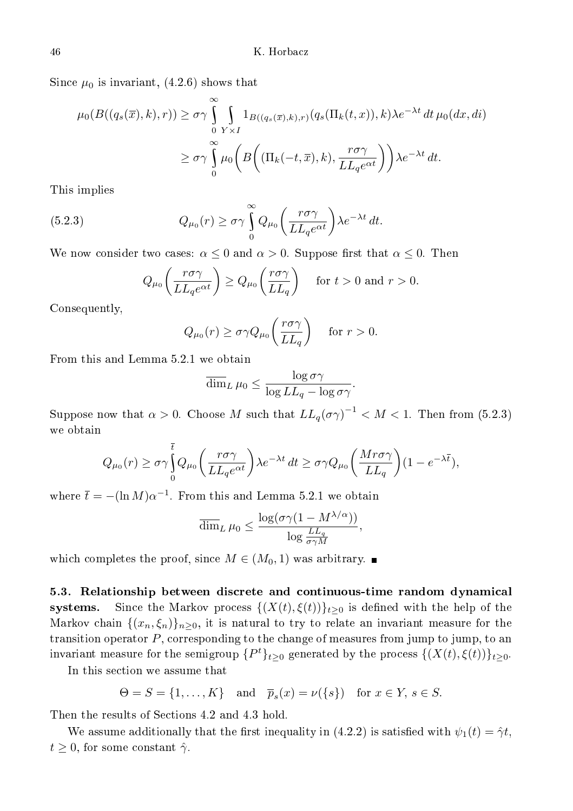Since  $\mu_0$  is invariant, (4.2.6) shows that

$$
\mu_0(B((q_s(\overline{x}),k),r)) \geq \sigma \gamma \int_0^{\infty} \int_{Y \times I} 1_{B((q_s(\overline{x}),k),r)}(q_s(\Pi_k(t,x)),k) \lambda e^{-\lambda t} dt \,\mu_0(dx,di)
$$

$$
\geq \sigma \gamma \int_0^{\infty} \mu_0\left(B\left((\Pi_k(-t,\overline{x}),k),\frac{r\sigma\gamma}{LL_qe^{\alpha t}}\right)\right) \lambda e^{-\lambda t} dt.
$$

This implies

(5.2.3) 
$$
Q_{\mu_0}(r) \geq \sigma \gamma \int_{0}^{\infty} Q_{\mu_0}\left(\frac{r\sigma\gamma}{LL_q e^{\alpha t}}\right) \lambda e^{-\lambda t} dt.
$$

We now consider two cases:  $\alpha \leq 0$  and  $\alpha > 0$ . Suppose first that  $\alpha \leq 0$ . Then

$$
Q_{\mu_0}\left(\frac{r\sigma\gamma}{LL_qe^{\alpha t}}\right) \ge Q_{\mu_0}\left(\frac{r\sigma\gamma}{LL_q}\right) \quad \text{for } t > 0 \text{ and } r > 0.
$$

Consequently,

$$
Q_{\mu_0}(r) \ge \sigma \gamma Q_{\mu_0}\bigg(\frac{r\sigma\gamma}{LL_q}\bigg) \quad \text{ for } r > 0.
$$

From this and Lemma 5.2.1 we obtain

$$
\overline{\dim}_L \,\mu_0 \le \frac{\log \sigma \gamma}{\log LL_q - \log \sigma \gamma}.
$$

Suppose now that  $\alpha > 0$ . Choose M such that  $LL_q(\sigma\gamma)^{-1} < M < 1$ . Then from (5.2.3) we obtain

$$
Q_{\mu_0}(r) \ge \sigma \gamma \int_0^t Q_{\mu_0} \left( \frac{r \sigma \gamma}{L L_q e^{\alpha t}} \right) \lambda e^{-\lambda t} dt \ge \sigma \gamma Q_{\mu_0} \left( \frac{M r \sigma \gamma}{L L_q} \right) (1 - e^{-\lambda \overline{t}}),
$$

where  $\overline{t} = -(\ln M)\alpha^{-1}$ . From this and Lemma 5.2.1 we obtain

$$
\overline{\dim}_L \,\mu_0 \leq \frac{\log(\sigma \gamma (1 - M^{\lambda/\alpha}))}{\log \frac{LL_q}{\sigma \gamma M}},
$$

which completes the proof, since  $M \in (M_0, 1)$  was arbitrary.

5.3. Relationship between discrete and continuous-time random dynamical systems. Since the Markov process  $\{(X(t), \xi(t))\}_{t\geq 0}$  is defined with the help of the Markov chain  $\{(x_n, \xi_n)\}_{n\geq 0}$ , it is natural to try to relate an invariant measure for the transition operator  $P$ , corresponding to the change of measures from jump to jump, to an invariant measure for the semigroup  $\{P^t\}_{t\geq 0}$  generated by the process  $\{(X(t),\xi(t))\}_{t\geq 0}$ .

In this se
tion we assume that

$$
\Theta = S = \{1, \dots, K\} \quad \text{and} \quad \overline{p}_s(x) = \nu(\{s\}) \quad \text{for } x \in Y, s \in S.
$$

Then the results of Se
tions 4.2 and 4.3 hold.

We assume additionally that the first inequality in (4.2.2) is satisfied with  $\psi_1(t) = \hat{\gamma}t$ ,  $t \geq 0$ , for some constant  $\hat{\gamma}$ .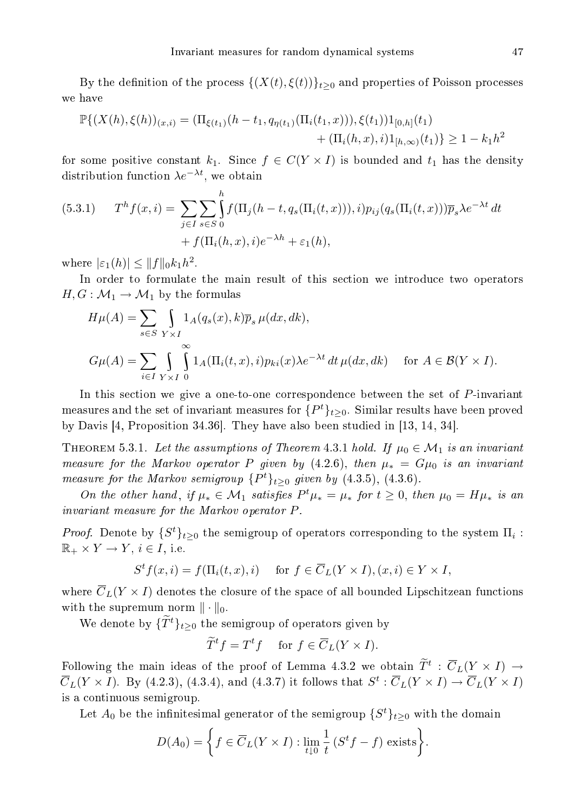By the definition of the process  $\{(X(t), \xi(t))\}_{t>0}$  and properties of Poisson processes we have

$$
\mathbb{P}\{(X(h),\xi(h))_{(x,i)} = (\Pi_{\xi(t_1)}(h-t_1,q_{\eta(t_1)}(\Pi_i(t_1,x))),\xi(t_1))1_{[0,h]}(t_1) + (\Pi_i(h,x),i)1_{[h,\infty)}(t_1)\} \ge 1 - k_1h^2
$$

for some positive constant  $k_1$ . Since  $f \in C(Y \times I)$  is bounded and  $t_1$  has the density distribution function  $\lambda e^{-\lambda t}$ , we obtain

(5.3.1) 
$$
T^{h}f(x,i) = \sum_{j\in I}\sum_{s\in S}\int_{0}^{h}f(\Pi_{j}(h-t, q_{s}(\Pi_{i}(t, x))), i)p_{ij}(q_{s}(\Pi_{i}(t, x)))\overline{p}_{s}\lambda e^{-\lambda t} dt
$$

$$
+ f(\Pi_{i}(h, x), i)e^{-\lambda h} + \varepsilon_{1}(h),
$$

where  $|\varepsilon_1(h)| \leq ||f||_0 k_1 h^2$ .

In order to formulate the main result of this section we introduce two operators  $H, G: \mathcal{M}_1 \to \mathcal{M}_1$  by the formulas

$$
H\mu(A) = \sum_{s \in S} \int_{Y \times I} 1_A(q_s(x), k) \overline{p}_s \mu(dx, dk),
$$
  
\n
$$
G\mu(A) = \sum_{i \in I} \int_{Y \times I} \int_{0}^{\infty} 1_A(\Pi_i(t, x), i) p_{ki}(x) \lambda e^{-\lambda t} dt \mu(dx, dk) \quad \text{for } A \in \mathcal{B}(Y \times I).
$$

In this section we give a one-to-one correspondence between the set of P-invariant measures and the set of invariant measures for  $\{P^t\}_{t\geq 0}$ . Similar results have been proved by Davis  $[4,$  Proposition 34.36. They have also been studied in  $[13, 14, 34]$ .

THEOREM 5.3.1. Let the assumptions of Theorem 4.3.1 hold. If  $\mu_0 \in \mathcal{M}_1$  is an invariant measure for the Markov operator P given by (4.2.6), then  $\mu_* = G\mu_0$  is an invariant measure for the Markov semigroup  $\{P^t\}_{t\geq 0}$  given by  $(4.3.5)$ ,  $(4.3.6)$ .

On the other hand, if  $\mu_* \in \mathcal{M}_1$  satisfies  $P^t \mu_* = \mu_*$  for  $t \geq 0$ , then  $\mu_0 = H \mu_*$  is an invariant measure for the Markov operator P .

*Proof.* Denote by  $\{S^t\}_{t\geq 0}$  the semigroup of operators corresponding to the system  $\Pi_i$ :  $\mathbb{R}_+ \times Y \to Y$ ,  $i \in I$ , i.e.

$$
S^t f(x, i) = f(\Pi_i(t, x), i) \quad \text{ for } f \in \overline{C}_L(Y \times I), (x, i) \in Y \times I,
$$

where  $\overline{C}_L(Y \times I)$  denotes the closure of the space of all bounded Lipschitzean functions with the supremum norm  $\|\cdot\|_0$ .

We denote by  $\{\widetilde{T}^t\}_{t>0}$  the semigroup of operators given by

$$
\widetilde{T}^t f = T^t f \quad \text{ for } f \in \overline{C}_L(Y \times I).
$$

Following the main ideas of the proof of Lemma 4.3.2 we obtain  $\overline{T}^t$  :  $\overline{C}_L(Y \times I) \rightarrow$  $\overline{C}_L(Y \times I)$ . By (4.2.3), (4.3.4), and (4.3.7) it follows that  $S^t : \overline{C}_L(Y \times I) \to \overline{C}_L(Y \times I)$ is a ontinuous semigroup.

Let  $A_0$  be the infinitesimal generator of the semigroup  $\{S^t\}_{t\geq 0}$  with the domain

$$
D(A_0) = \left\{ f \in \overline{C}_L(Y \times I) : \lim_{t \downarrow 0} \frac{1}{t} (S^t f - f) \text{ exists} \right\}.
$$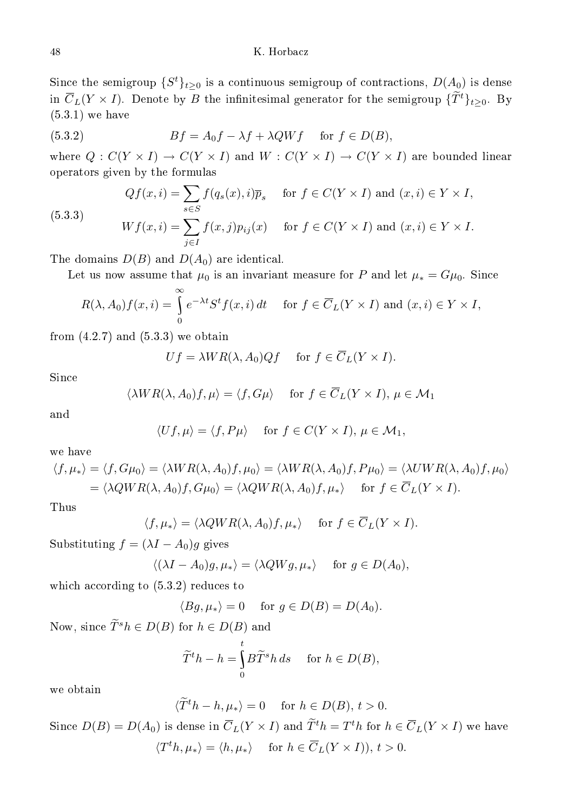## K. Horbacz

Since the semigroup  $\{S^t\}_{t\geq 0}$  is a continuous semigroup of contractions,  $D(A_0)$  is dense in  $\overline{C}_L(Y \times I)$ . Denote by B the infinitesimal generator for the semigroup  $\{\widetilde{T}^t\}_{t\geq 0}$ . By (5.3.1) we have

(5.3.2) 
$$
Bf = A_0f - \lambda f + \lambda QWf \quad \text{for } f \in D(B),
$$

where  $Q: C(Y \times I) \to C(Y \times I)$  and  $W: C(Y \times I) \to C(Y \times I)$  are bounded linear operators given by the formulas

(5.3.3)  
\n
$$
Qf(x,i) = \sum_{s \in S} f(q_s(x), i)\overline{p}_s \quad \text{for } f \in C(Y \times I) \text{ and } (x, i) \in Y \times I,
$$
\n
$$
Wf(x,i) = \sum_{j \in I} f(x,j)p_{ij}(x) \quad \text{for } f \in C(Y \times I) \text{ and } (x,i) \in Y \times I.
$$

The domains  $D(B)$  and  $D(A_0)$  are identical.

Let us now assume that  $\mu_0$  is an invariant measure for P and let  $\mu_* = G\mu_0$ . Since

$$
R(\lambda, A_0) f(x, i) = \int_{0}^{\infty} e^{-\lambda t} S^t f(x, i) dt \quad \text{for } f \in \overline{C}_L(Y \times I) \text{ and } (x, i) \in Y \times I,
$$

from  $(4.2.7)$  and  $(5.3.3)$  we obtain

$$
Uf = \lambda WR(\lambda, A_0)Qf \quad \text{ for } f \in \overline{C}_L(Y \times I).
$$

 $_{\rm Since}$ 

$$
\langle \lambda WR(\lambda, A_0)f, \mu \rangle = \langle f, G\mu \rangle \quad \text{ for } f \in \overline{C}_L(Y \times I), \mu \in \mathcal{M}_1
$$

and

$$
\langle Uf, \mu \rangle = \langle f, P\mu \rangle \quad \text{ for } f \in C(Y \times I), \, \mu \in \mathcal{M}_1,
$$

we have

$$
\langle f, \mu_* \rangle = \langle f, G\mu_0 \rangle = \langle \lambda WR(\lambda, A_0)f, \mu_0 \rangle = \langle \lambda WR(\lambda, A_0)f, P\mu_0 \rangle = \langle \lambda UWR(\lambda, A_0)f, \mu_0 \rangle
$$
  
=  $\langle \lambda QWR(\lambda, A_0)f, G\mu_0 \rangle = \langle \lambda QWR(\lambda, A_0)f, \mu_* \rangle$  for  $f \in \overline{C}_L(Y \times I)$ .

Thus

$$
\langle f, \mu_* \rangle = \langle \lambda QWR(\lambda, A_0)f, \mu_* \rangle \quad \text{ for } f \in \overline{C}_L(Y \times I).
$$

Substituting  $f = (\lambda I - A_0)g$  gives

$$
\langle (\lambda I - A_0)g, \mu_* \rangle = \langle \lambda QWg, \mu_* \rangle
$$
 for  $g \in D(A_0)$ ,

which according to  $(5.3.2)$  reduces to

$$
\langle Bg, \mu_* \rangle = 0 \quad \text{ for } g \in D(B) = D(A_0).
$$

Now, since  $\widetilde{T}^s h \in D(B)$  for  $h \in D(B)$  and

$$
\widetilde{T}^t h - h = \int_0^t B \widetilde{T}^s h \, ds \quad \text{ for } h \in D(B),
$$

we obtain

$$
\langle \widetilde{T}^t h - h, \mu_* \rangle = 0 \quad \text{ for } h \in D(B), t > 0.
$$

Since  $D(B) = D(A_0)$  is dense in  $\overline{C}_L(Y \times I)$  and  $\overline{T}^t h = T^t h$  for  $h \in \overline{C}_L(Y \times I)$  we have  $\langle T^t h, \mu_* \rangle = \langle h, \mu_* \rangle$  for  $h \in \overline{C}_L(Y \times I)$ ,  $t > 0$ .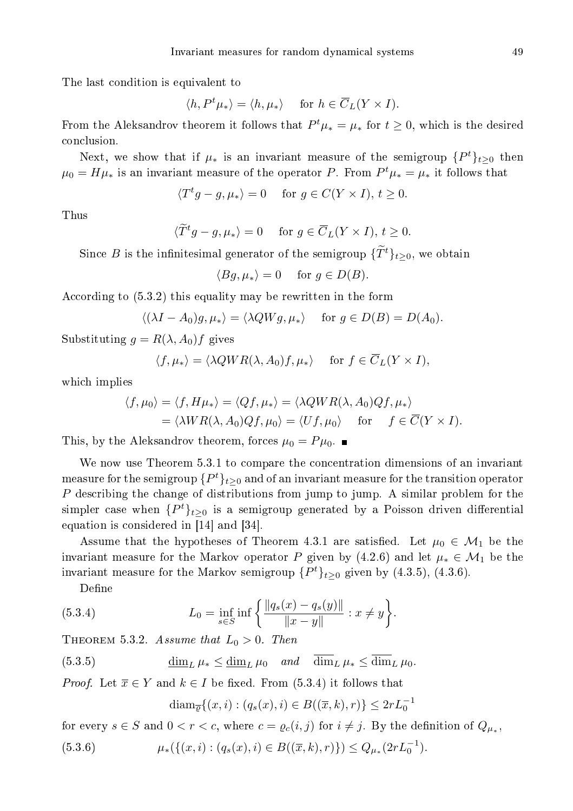The last ondition is equivalent to

$$
\langle h, P^t \mu_* \rangle = \langle h, \mu_* \rangle
$$
 for  $h \in \overline{C}_L(Y \times I)$ .

From the Aleksandrov theorem it follows that  $P^t\mu_* = \mu_*$  for  $t \geq 0$ , which is the desired on
lusion.

Next, we show that if  $\mu_*$  is an invariant measure of the semigroup  $\{P^t\}_{t\geq 0}$  then  $\mu_0 = H\mu_*$  is an invariant measure of the operator P. From  $P^t\mu_* = \mu_*$  it follows that

$$
\langle T^t g - g, \mu_* \rangle = 0 \quad \text{ for } g \in C(Y \times I), t \ge 0.
$$

Thus

$$
\langle \widetilde{T}^t g - g, \mu_* \rangle = 0 \quad \text{ for } g \in \overline{C}_L(Y \times I), t \ge 0.
$$

Since B is the infinitesimal generator of the semigroup  $\{T^t\}_{t>0}$ , we obtain

$$
\langle Bg, \mu_* \rangle = 0 \quad \text{ for } g \in D(B).
$$

According to  $(5.3.2)$  this equality may be rewritten in the form

$$
\langle (\lambda I - A_0)g, \mu_* \rangle = \langle \lambda Q W g, \mu_* \rangle \quad \text{ for } g \in D(B) = D(A_0).
$$

Substituting  $g = R(\lambda, A_0)f$  gives

$$
\langle f, \mu_* \rangle = \langle \lambda QWR(\lambda, A_0)f, \mu_* \rangle \quad \text{for } f \in \overline{C}_L(Y \times I),
$$

whi
h implies

$$
\langle f, \mu_0 \rangle = \langle f, H\mu_* \rangle = \langle Qf, \mu_* \rangle = \langle \lambda QWR(\lambda, A_0)Qf, \mu_* \rangle
$$
  
= 
$$
\langle \lambda WR(\lambda, A_0)Qf, \mu_0 \rangle = \langle Uf, \mu_0 \rangle \quad \text{for} \quad f \in \overline{C}(Y \times I).
$$

This, by the Aleksandrov theorem, forces  $\mu_0 = P\mu_0$ .

We now use Theorem 5.3.1 to compare the concentration dimensions of an invariant measure for the semigroup  $\{P^{t}\}_{t\geq0}$  and of an invariant measure for the transition operator P des
ribing the hange of distributions from jump to jump. A similar problem for the simpler case when  $\{P^t\}_{t\geq 0}$  is a semigroup generated by a Poisson driven differential equation is considered in  $[14]$  and  $[34]$ .

Assume that the hypotheses of Theorem 4.3.1 are satisfied. Let  $\mu_0 \in \mathcal{M}_1$  be the invariant measure for the Markov operator P given by (4.2.6) and let  $\mu_* \in \mathcal{M}_1$  be the invariant measure for the Markov semigroup  $\{P^t\}_{t\geq 0}$  given by  $(4.3.5)$ ,  $(4.3.6)$ .

Define

(5.3.4) 
$$
L_0 = \inf_{s \in S} \inf \left\{ \frac{\|q_s(x) - q_s(y)\|}{\|x - y\|} : x \neq y \right\}.
$$

THEOREM 5.3.2. Assume that  $L_0 > 0$ . Then

(5.3.5) 
$$
\underline{\dim}_L \mu_* \leq \underline{\dim}_L \mu_0 \quad and \quad \overline{\dim}_L \mu_* \leq \overline{\dim}_L \mu_0.
$$

*Proof.* Let  $\overline{x} \in Y$  and  $k \in I$  be fixed. From (5.3.4) it follows that

$$
\text{diam}_{\overline{\varrho}}\{(x,i):(q_s(x),i)\in B((\overline{x},k),r)\}\leq 2rL_0^{-1}
$$

for every  $s \in S$  and  $0 < r < c$ , where  $c = \varrho_c(i,j)$  for  $i \neq j$ . By the definition of  $Q_{\mu_*}$ ,

$$
(5.3.6) \qquad \qquad \mu_*(\{(x,i) : (q_s(x),i) \in B((\overline{x},k),r)\}) \le Q_{\mu_*}(2rL_0^{-1}).
$$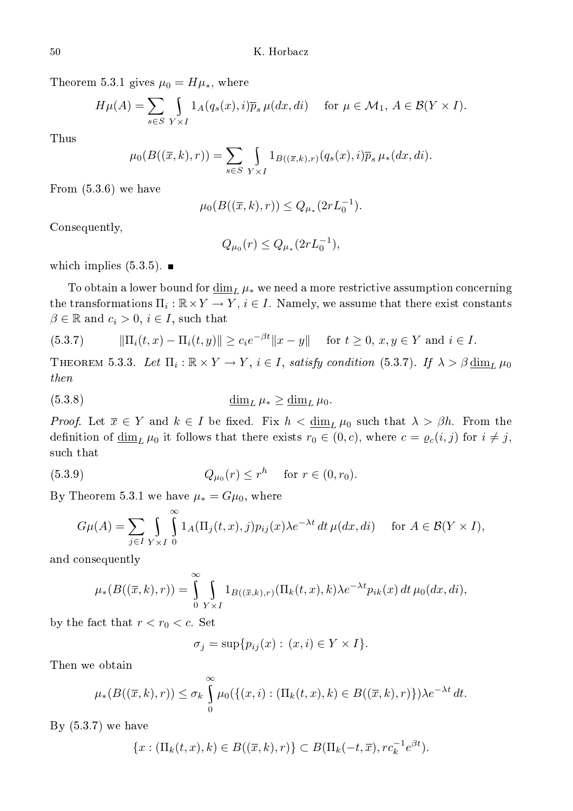Theorem 5.3.1 gives  $\mu_0 = H\mu_*$ , where

$$
H\mu(A) = \sum_{s \in S} \int_{Y \times I} 1_A(q_s(x), i) \overline{p}_s \mu(dx, di) \quad \text{for } \mu \in \mathcal{M}_1, A \in \mathcal{B}(Y \times I).
$$

Thus

$$
\mu_0(B((\overline{x},k),r)) = \sum_{s \in S} \int_{Y \times I} 1_{B((\overline{x},k),r)}(q_s(x),i) \overline{p}_s \mu_*(dx,di).
$$

From (5.3.6) we have

$$
\mu_0(B((\overline{x},k),r)) \le Q_{\mu_*}(2rL_0^{-1}).
$$

Consequently,

$$
Q_{\mu_0}(r) \le Q_{\mu_*}(2rL_0^{-1}),
$$

which implies  $(5.3.5)$ .

To obtain a lower bound for  $\dim_L \mu_*$  we need a more restrictive assumption concerning the transformations  $\Pi_i : \mathbb{R} \times Y \to Y$ ,  $i \in I$ . Namely, we assume that there exist constants  $\beta \in \mathbb{R}$  and  $c_i > 0$ ,  $i \in I$ , such that

$$
(5.3.7) \t\t ||\Pi_i(t,x) - \Pi_i(t,y)|| \ge c_i e^{-\beta t} ||x - y|| \tfor t \ge 0, x, y \in Y \text{ and } i \in I.
$$

THEOREM 5.3.3. Let  $\Pi_i : \mathbb{R} \times Y \to Y$ ,  $i \in I$ , satisfy condition (5.3.7). If  $\lambda > \beta \underline{\dim}_L \mu_0$ then

$$
\underline{\dim}_L \mu_* \ge \underline{\dim}_L \mu_0.
$$

*Proof.* Let  $\overline{x} \in Y$  and  $k \in I$  be fixed. Fix  $h < \underline{\dim}_L \mu_0$  such that  $\lambda > \beta h$ . From the definition of  $\underline{\dim}_L \mu_0$  it follows that there exists  $r_0 \in (0, c)$ , where  $c = \varrho_c(i, j)$  for  $i \neq j$ , su
h that

(5.3.9) 
$$
Q_{\mu_0}(r) \le r^h \text{ for } r \in (0, r_0).
$$

By Theorem 5.3.1 we have  $\mu_* = G\mu_0$ , where

$$
G\mu(A) = \sum_{j \in I} \int_{Y \times I} \int_{0}^{\infty} 1_{A}(\Pi_j(t, x), j) p_{ij}(x) \lambda e^{-\lambda t} dt \,\mu(dx, di) \quad \text{for } A \in \mathcal{B}(Y \times I),
$$

and onsequently

$$
\mu_*(B((\overline{x},k),r)) = \int_{0}^{\infty} \int_{Y \times I} 1_{B((\overline{x},k),r)}(\Pi_k(t,x),k) \lambda e^{-\lambda t} p_{ik}(x) dt \mu_0(dx,di),
$$

by the fact that  $r < r_0 < c$ . Set

$$
\sigma_j = \sup \{ p_{ij}(x) : (x,i) \in Y \times I \}.
$$

Then we obtain

$$
\mu_*(B((\overline{x},k),r)) \leq \sigma_k \int_0^{\infty} \mu_0(\{(x,i) : (\Pi_k(t,x),k) \in B((\overline{x},k),r)\}) \lambda e^{-\lambda t} dt.
$$

By (5.3.7) we have

$$
\{x: (\Pi_k(t,x),k) \in B((\overline{x},k),r)\} \subset B(\Pi_k(-t,\overline{x}),rc_k^{-1}e^{\beta t}).
$$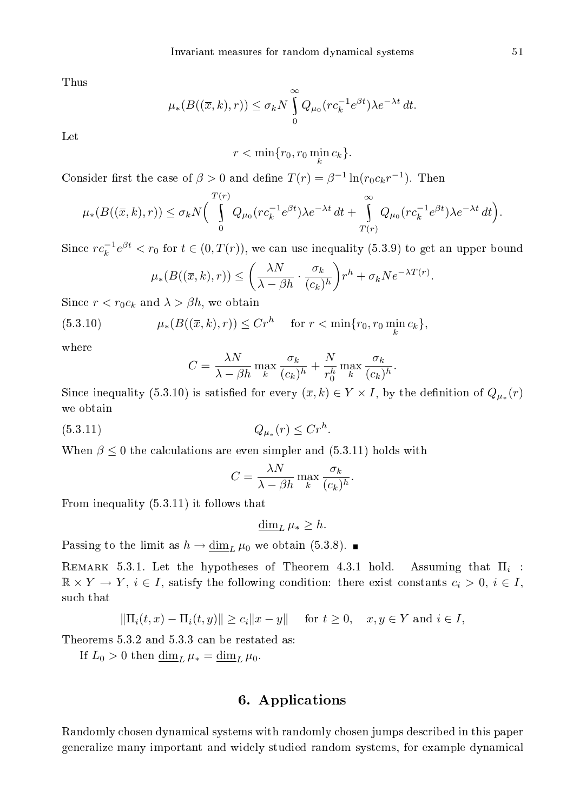Thus

$$
\mu_*(B((\overline{x},k),r)) \leq \sigma_k N \int_0^\infty Q_{\mu_0}(r c_k^{-1} e^{\beta t}) \lambda e^{-\lambda t} dt.
$$

 $r < \min\{r_0, r_0 \min_k c_k\}.$ 

Consider first the case of  $\beta > 0$  and define  $T(r) = \beta^{-1} \ln(r_0 c_k r^{-1})$ . Then

$$
\mu_*(B((\overline{x},k),r)) \leq \sigma_k N \Big( \int\limits_0^{T(r)} Q_{\mu_0}(r c_k^{-1} e^{\beta t}) \lambda e^{-\lambda t} dt + \int\limits_{T(r)}^{\infty} Q_{\mu_0}(r c_k^{-1} e^{\beta t}) \lambda e^{-\lambda t} dt \Big).
$$

Since  $rc_k^{-1}e^{\beta t} < r_0$  for  $t \in (0, T(r))$ , we can use inequality (5.3.9) to get an upper bound

$$
\mu_*(B((\overline{x},k),r)) \le \left(\frac{\lambda N}{\lambda - \beta h} \cdot \frac{\sigma_k}{(c_k)^h}\right) r^h + \sigma_k N e^{-\lambda T(r)}.
$$

Since  $r < r_0 c_k$  and  $\lambda > \beta h$ , we obtain

(5.3.10) 
$$
\mu_*(B((\overline{x},k),r)) \le Cr^h \quad \text{for } r < \min\{r_0, r_0 \min_k c_k\},
$$

$$
C = \frac{\lambda N}{\lambda - \beta h} \max_{k} \frac{\sigma_k}{(c_k)^h} + \frac{N}{r_0^h} \max_{k} \frac{\sigma_k}{(c_k)^h}.
$$

Since inequality (5.3.10) is satisfied for every  $(\overline{x}, k) \in Y \times I$ , by the definition of  $Q_{\mu_*}(r)$ we obtain

(5.3.11) 
$$
Q_{\mu_*}(r) \leq Cr^h.
$$

When  $\beta \leq 0$  the calculations are even simpler and (5.3.11) holds with

$$
C = \frac{\lambda N}{\lambda - \beta h} \max_{k} \frac{\sigma_k}{(c_k)^h}.
$$

From inequality (5.3.11) it follows that

 $\dim_L \mu_* \geq h$ .

Passing to the limit as  $h \to \underline{\dim}_L \mu_0$  we obtain (5.3.8).

REMARK 5.3.1. Let the hypotheses of Theorem 4.3.1 hold. Assuming that  $\Pi_i$ :  $\mathbb{R} \times Y \to Y$ ,  $i \in I$ , satisfy the following condition: there exist constants  $c_i > 0$ ,  $i \in I$ , such that

$$
\|\Pi_i(t, x) - \Pi_i(t, y)\| \ge c_i \|x - y\| \quad \text{ for } t \ge 0, \quad x, y \in Y \text{ and } i \in I,
$$

Theorems 5.3.2 and 5.3.3 an be restated as:

If  $L_0 > 0$  then  $\underline{\dim}_L \mu_* = \underline{\dim}_L \mu_0$ .

# 6. Appli
ations

Randomly hosen dynami
al systems with randomly hosen jumps des
ribed in this paper generalize many important and widely studied random systems, for example dynami
al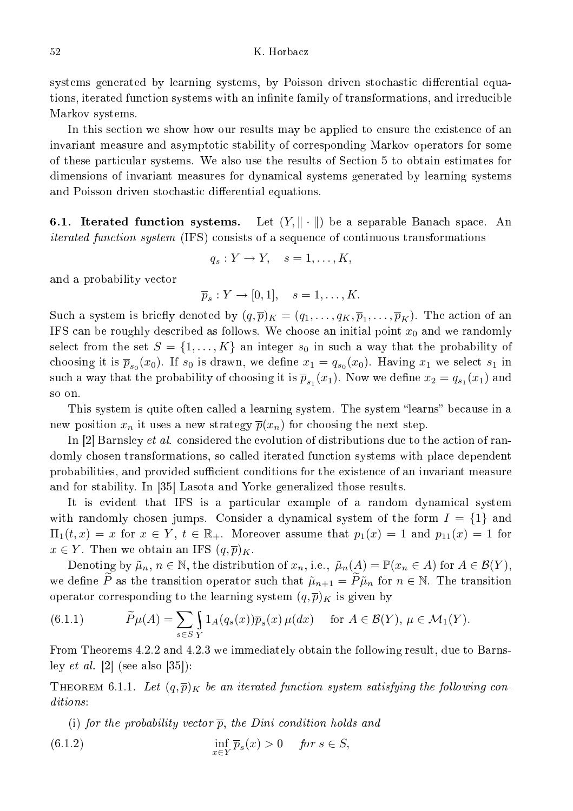systems generated by learning systems, by Poisson driven stochastic differential equations, iterated function systems with an infinite family of transformations, and irreducible Markov systems.

In this section we show how our results may be applied to ensure the existence of an invariant measure and asymptotic stability of corresponding Markov operators for some of these parti
ular systems. We also use the results of Se
tion 5 to obtain estimates for dimensions of invariant measures for dynami
al systems generated by learning systems and Poisson driven stochastic differential equations.

**6.1. Iterated function systems.** Let  $(Y, \|\cdot\|)$  be a separable Banach space. An iterated fun
tion system (IFS) onsists of a sequen
e of ontinuous transformations

$$
q_s: Y \to Y, \quad s = 1, \dots, K,
$$

and a probability ve
tor

$$
\overline{p}_s: Y \to [0,1], \quad s = 1, \dots, K.
$$

Such a system is briefly denoted by  $(q,\overline{p})_K = (q_1,\ldots,q_K,\overline{p}_1,\ldots,\overline{p}_K)$ . The action of an IFS can be roughly described as follows. We choose an initial point  $x_0$  and we randomly select from the set  $S = \{1, ..., K\}$  an integer  $s_0$  in such a way that the probability of choosing it is  $\overline{p}_{s_0}(x_0)$ . If  $s_0$  is drawn, we define  $x_1 = q_{s_0}(x_0)$ . Having  $x_1$  we select  $s_1$  in such a way that the probability of choosing it is  $\overline{p}_{s_1}(x_1)$ . Now we define  $x_2 = q_{s_1}(x_1)$  and so on.

This system is quite often called a learning system. The system "learns" because in a new position  $x_n$  it uses a new strategy  $\overline{p}(x_n)$  for choosing the next step.

In  $[2]$  Barnsley *et al.* considered the evolution of distributions due to the action of randomly chosen transformations, so called iterated function systems with place dependent probabilities, and provided sufficient conditions for the existence of an invariant measure and for stability. In [35] Lasota and Yorke generalized those results.

It is evident that IFS is a particular example of a random dynamical system with randomly chosen jumps. Consider a dynamical system of the form  $I = \{1\}$  and  $\Pi_1(t,x) = x$  for  $x \in Y$ ,  $t \in \mathbb{R}_+$ . Moreover assume that  $p_1(x) = 1$  and  $p_{11}(x) = 1$  for  $x \in Y$ . Then we obtain an IFS  $(q, \overline{p})_K$ .

Denoting by  $\tilde{\mu}_n, n \in \mathbb{N}$ , the distribution of  $x_n$ , i.e.,  $\tilde{\mu}_n(A) = \mathbb{P}(x_n \in A)$  for  $A \in \mathcal{B}(Y)$ , we define P as the transition operator such that  $\tilde{\mu}_{n+1} = \tilde{P}\tilde{\mu}_n$  for  $n \in \mathbb{N}$ . The transition operator corresponding to the learning system  $(q, \overline{p})_K$  is given by

(6.1.1) 
$$
\widetilde{P}\mu(A) = \sum_{s \in S} \int_{Y} 1_A(q_s(x)) \overline{p}_s(x) \mu(dx) \quad \text{for } A \in \mathcal{B}(Y), \mu \in \mathcal{M}_1(Y).
$$

From Theorems 4.2.2 and 4.2.3 we immediately obtain the following result, due to Barnsley *et al.*  $[2]$  (see also  $[35]$ ):

THEOREM 6.1.1. Let  $(q,\overline{p})_K$  be an iterated function system satisfying the following conditions:

(i) for the probability vector  $\overline{p}$ , the Dini condition holds and  $(6.1.2)$  $\inf_{x \in Y} \overline{p}_s(x) > 0$  for  $s \in S$ ,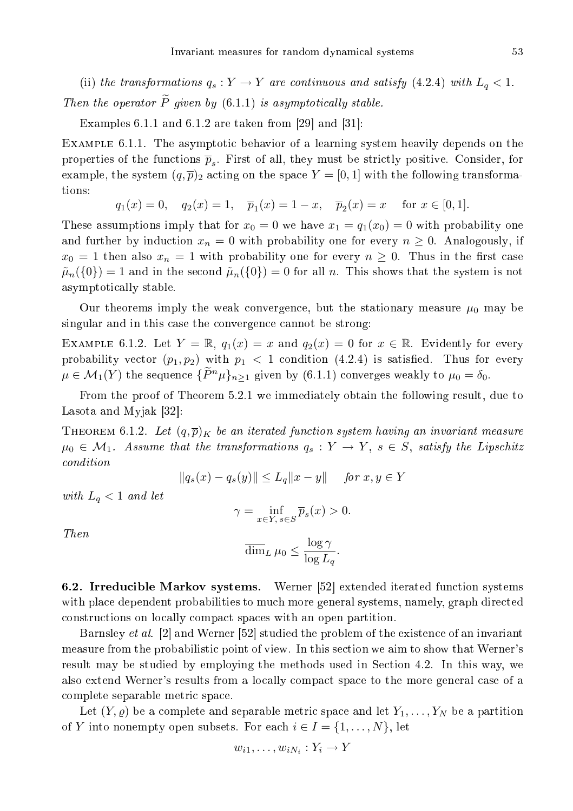(ii) the transformations  $q_s: Y \to Y$  are continuous and satisfy (4.2.4) with  $L_q < 1$ . Then the operator  $\widetilde{P}$  given by (6.1.1) is asymptotically stable.

Examples 6.1.1 and 6.1.2 are taken from  $[29]$  and  $[31]$ :

EXAMPLE 6.1.1. The asymptotic behavior of a learning system heavily depends on the properties of the functions  $\overline{p}_s$ . First of all, they must be strictly positive. Consider, for example, the system  $(q, \overline{p})_2$  acting on the space  $Y = [0, 1]$  with the following transformations:

$$
q_1(x) = 0
$$
,  $q_2(x) = 1$ ,  $\overline{p}_1(x) = 1 - x$ ,  $\overline{p}_2(x) = x$  for  $x \in [0, 1]$ .

These assumptions imply that for  $x_0 = 0$  we have  $x_1 = q_1(x_0) = 0$  with probability one and further by induction  $x_n = 0$  with probability one for every  $n \geq 0$ . Analogously, if  $x_0 = 1$  then also  $x_n = 1$  with probability one for every  $n \geq 0$ . Thus in the first case  $\tilde{\mu}_n(\{0\}) = 1$  and in the second  $\tilde{\mu}_n(\{0\}) = 0$  for all n. This shows that the system is not asymptoti
ally stable.

Our theorems imply the weak convergence, but the stationary measure  $\mu_0$  may be singular and in this case the convergence cannot be strong:

EXAMPLE 6.1.2. Let  $Y = \mathbb{R}$ ,  $q_1(x) = x$  and  $q_2(x) = 0$  for  $x \in \mathbb{R}$ . Evidently for every probability vector  $(p_1, p_2)$  with  $p_1 < 1$  condition  $(4.2.4)$  is satisfied. Thus for every  $\mu \in \mathcal{M}_1(Y)$  the sequence  $\{\widetilde{P}^n\mu\}_{n>1}$  given by  $(6.1.1)$  converges weakly to  $\mu_0 = \delta_0$ .

From the proof of Theorem 5.2.1 we immediately obtain the following result, due to Lasota and Myjak  $[32]$ :

THEOREM 6.1.2. Let  $(q,\overline{p})_K$  be an iterated function system having an invariant measure  $\mu_0 \in \mathcal{M}_1$ . Assume that the transformations  $q_s : Y \to Y$ ,  $s \in S$ , satisfy the Lipschitz ondition

$$
||q_s(x) - q_s(y)|| \le L_q ||x - y||
$$
 for  $x, y \in Y$ 

with  $L_q < 1$  and let

$$
\gamma = \inf_{x \in Y, \, s \in S} \overline{p}_s(x) > 0.
$$

Then

$$
\overline{\dim}_L \,\mu_0 \le \frac{\log \gamma}{\log L_q}.
$$

6.2. Irreducible Markov systems. Werner [52] extended iterated function systems with place dependent probabilities to much more general systems, namely, graph directed onstru
tions on lo
ally ompa
t spa
es with an open partition.

Barnsley *et al.* [2] and Werner [52] studied the problem of the existence of an invariant measure from the probabilistic point of view. In this section we aim to show that Werner's result may be studied by employing the methods used in Section 4.2. In this way, we also extend Werner's results from a lo
ally ompa
t spa
e to the more general ase of a complete separable metric space.

Let  $(Y, \varrho)$  be a complete and separable metric space and let  $Y_1, \ldots, Y_N$  be a partition of Y into nonempty open subsets. For each  $i \in I = \{1, \ldots, N\}$ , let

$$
w_{i1},\ldots,w_{iN_i}:Y_i\to Y
$$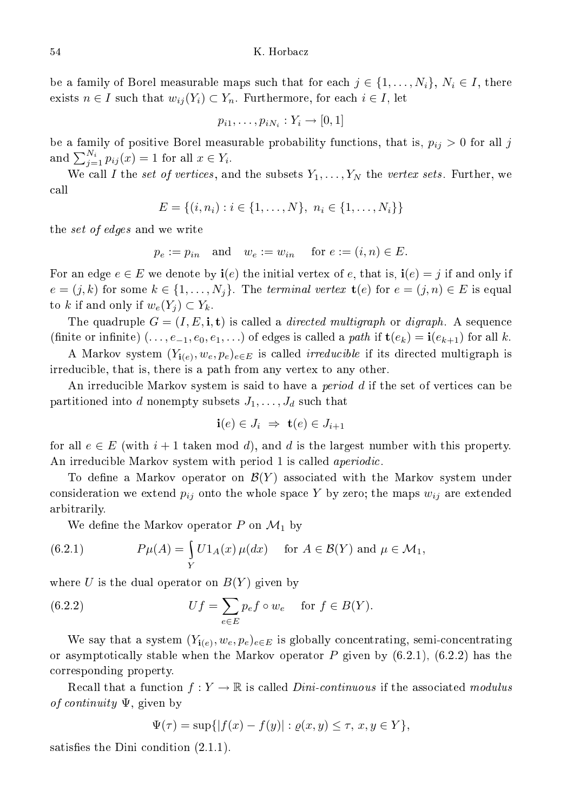be a family of Borel measurable maps such that for each  $j \in \{1, \ldots, N_i\}, N_i \in I$ , there exists  $n \in I$  such that  $w_{ij}(Y_i) \subset Y_n$ . Furthermore, for each  $i \in I$ , let

$$
p_{i1},\ldots,p_{iN_i}:Y_i\to[0,1]
$$

be a family of positive Borel measurable probability functions, that is,  $p_{ij} > 0$  for all j and  $\sum_{j=1}^{N_i} p_{ij}(x) = 1$  for all  $x \in Y_i$ .

We call I the set of vertices, and the subsets  $Y_1, \ldots, Y_N$  the vertex sets. Further, we all

$$
E = \{(i, n_i) : i \in \{1, ..., N\}, n_i \in \{1, ..., N_i\}\}\
$$

the *set of edges* and we write

$$
p_e := p_{in}
$$
 and  $w_e := w_{in}$  for  $e := (i, n) \in E$ .

For an edge  $e \in E$  we denote by  $\mathbf{i}(e)$  the initial vertex of e, that is,  $\mathbf{i}(e) = j$  if and only if  $e = (j, k)$  for some  $k \in \{1, \ldots, N_j\}$ . The terminal vertex  $\mathbf{t}(e)$  for  $e = (j, n) \in E$  is equal to k if and only if  $w_e(Y_j) \subset Y_k$ .

The quadruple  $G = (I, E, \mathbf{i}, \mathbf{t})$  is called a *directed multigraph* or *digraph*. A sequence (finite or infinite)  $(\ldots, e_{-1}, e_0, e_1, \ldots)$  of edges is called a *path* if  $\mathbf{t}(e_k) = \mathbf{i}(e_{k+1})$  for all k.

A Markov system  $(Y_{i(e)}, w_e, p_e)_{e \in E}$  is called *irreducible* if its directed multigraph is irreducible, that is, there is a path from any vertex to any other.

An irreducible Markov system is said to have a *period d* if the set of vertices can be partitioned into d nonempty subsets  $J_1, \ldots, J_d$  such that

$$
\mathbf{i}(e) \in J_i \ \Rightarrow \ \mathbf{t}(e) \in J_{i+1}
$$

for all  $e \in E$  (with  $i+1$  taken mod d), and d is the largest number with this property. An irreducible Markov system with period 1 is called *aperiodic*.

To define a Markov operator on  $\mathcal{B}(Y)$  associated with the Markov system under consideration we extend  $p_{ij}$  onto the whole space Y by zero; the maps  $w_{ij}$  are extended arbitrarily.

We define the Markov operator P on  $\mathcal{M}_1$  by

(6.2.1) 
$$
P\mu(A) = \int_{Y} U1_{A}(x) \mu(dx) \quad \text{for } A \in \mathcal{B}(Y) \text{ and } \mu \in \mathcal{M}_{1},
$$

where  $U$  is the dual operator on  $B(Y)$  given by

(6.2.2) 
$$
Uf = \sum_{e \in E} p_e f \circ w_e \quad \text{for } f \in B(Y).
$$

We say that a system  $(Y_{i(e)}, w_e, p_e)_{e \in E}$  is globally concentrating, semi-concentrating or asymptotically stable when the Markov operator  $P$  given by  $(6.2.1)$ ,  $(6.2.2)$  has the orresponding property.

Recall that a function  $f: Y \to \mathbb{R}$  is called *Dini-continuous* if the associated modulus of continuity  $\Psi$ , given by

$$
\Psi(\tau) = \sup\{|f(x) - f(y)| : \varrho(x, y) \le \tau, \, x, y \in Y\},\
$$

satisfies the Dini condition  $(2.1.1)$ .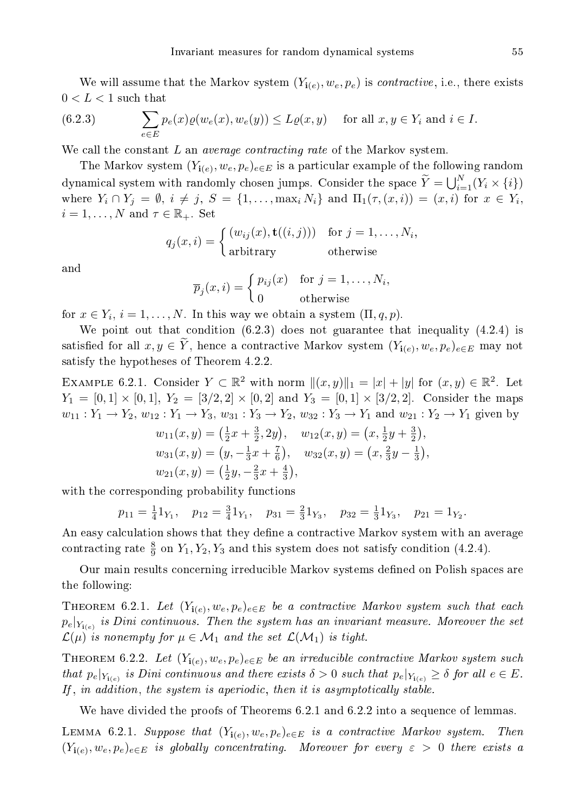We will assume that the Markov system  $(Y_{\mathbf{i}(e)}, w_e, p_e)$  is *contractive*, i.e., there exists  $0 < L < 1$  such that

(6.2.3) 
$$
\sum_{e \in E} p_e(x)\varrho(w_e(x), w_e(y)) \leq L\varrho(x, y) \quad \text{for all } x, y \in Y_i \text{ and } i \in I.
$$

We call the constant  $L$  an *average contracting rate* of the Markov system.

The Markov system  $(Y_{{\bf i}(e)}, w_e, p_e)_{e \in E}$  is a particular example of the following random dynamical system with randomly chosen jumps. Consider the space  $\widetilde{Y} = \bigcup_{i=1}^{N} (Y_i \times \{i\})$ where  $Y_i \cap Y_j = \emptyset$ ,  $i \neq j$ ,  $S = \{1, \ldots, \max_i N_i\}$  and  $\Pi_1(\tau, (x, i)) = (x, i)$  for  $x \in Y_i$ ,  $i = 1, \ldots, N$  and  $\tau \in \mathbb{R}_+$ . Set

$$
q_j(x, i) = \begin{cases} (w_{ij}(x), \mathbf{t}((i, j))) & \text{for } j = 1, \dots, N_i, \\ \text{arbitrary} & \text{otherwise} \end{cases}
$$

and

$$
\overline{p}_j(x,i) = \begin{cases} p_{ij}(x) & \text{for } j = 1, \dots, N_i, \\ 0 & \text{otherwise} \end{cases}
$$

for  $x \in Y_i$ ,  $i = 1, ..., N$ . In this way we obtain a system  $(\Pi, q, p)$ .

We point out that condition (6.2.3) does not guarantee that inequality (4.2.4) is satisfied for all  $x, y \in Y$ , hence a contractive Markov system  $(Y_{i(e)}, w_e, p_e)_{e \in E}$  may not satisfy the hypotheses of Theorem 4.2.2.

EXAMPLE 6.2.1. Consider  $Y \subset \mathbb{R}^2$  with norm  $||(x, y)||_1 = |x| + |y|$  for  $(x, y) \in \mathbb{R}^2$ . Let  $Y_1 = [0,1] \times [0,1], Y_2 = [3/2,2] \times [0,2]$  and  $Y_3 = [0,1] \times [3/2,2].$  Consider the maps  $w_{11}: Y_1 \to Y_2, w_{12}: Y_1 \to Y_3, w_{31}: Y_3 \to Y_2, w_{32}: Y_3 \to Y_1$  and  $w_{21}: Y_2 \to Y_1$  given by

$$
w_{11}(x,y) = \left(\frac{1}{2}x + \frac{3}{2}, 2y\right), \quad w_{12}(x,y) = \left(x, \frac{1}{2}y + \frac{3}{2}\right),
$$
  
\n
$$
w_{31}(x,y) = \left(y, -\frac{1}{3}x + \frac{7}{6}\right), \quad w_{32}(x,y) = \left(x, \frac{2}{3}y - \frac{1}{3}\right),
$$
  
\n
$$
w_{21}(x,y) = \left(\frac{1}{2}y, -\frac{2}{3}x + \frac{4}{3}\right),
$$

with the corresponding probability functions

$$
p_{11} = \frac{1}{4}1_{Y_1}, \quad p_{12} = \frac{3}{4}1_{Y_1}, \quad p_{31} = \frac{2}{3}1_{Y_3}, \quad p_{32} = \frac{1}{3}1_{Y_3}, \quad p_{21} = 1_{Y_2}.
$$

An easy calculation shows that they define a contractive Markov system with an average contracting rate  $\frac{8}{9}$  on  $Y_1, Y_2, Y_3$  and this system does not satisfy condition (4.2.4).

Our main results concerning irreducible Markov systems defined on Polish spaces are the following:

THEOREM 6.2.1. Let  $(Y_{{\bf i}(e)}, w_e, p_e)_{e \in E}$  be a contractive Markov system such that each  $p_e|_{Y_{\mathbf{i}(e)}}$  is Dini continuous. Then the system has an invariant measure. Moreover the set  $\mathcal{L}(\mu)$  is nonempty for  $\mu \in \mathcal{M}_1$  and the set  $\mathcal{L}(\mathcal{M}_1)$  is tight.

THEOREM 6.2.2. Let  $(Y_{{\bf i}(e)}, w_e, p_e)_{e \in E}$  be an irreducible contractive Markov system such that  $p_e|_{Y_{i(e)}}$  is Dini continuous and there exists  $\delta > 0$  such that  $p_e|_{Y_{i(e)}} \geq \delta$  for all  $e \in E$ . If, in addition, the system is aperiodic, then it is asymptotically stable.

We have divided the proofs of Theorems 6.2.1 and 6.2.2 into a sequence of lemmas.

LEMMA 6.2.1. Suppose that  $(Y_{{\bf i}(e)},w_e,p_e)_{e\in E}$  is a contractive Markov system. Then  $(Y_{{\bf i}(e)}, w_e, p_e)_{e \in E}$  is globally concentrating. Moreover for every  $\varepsilon > 0$  there exists a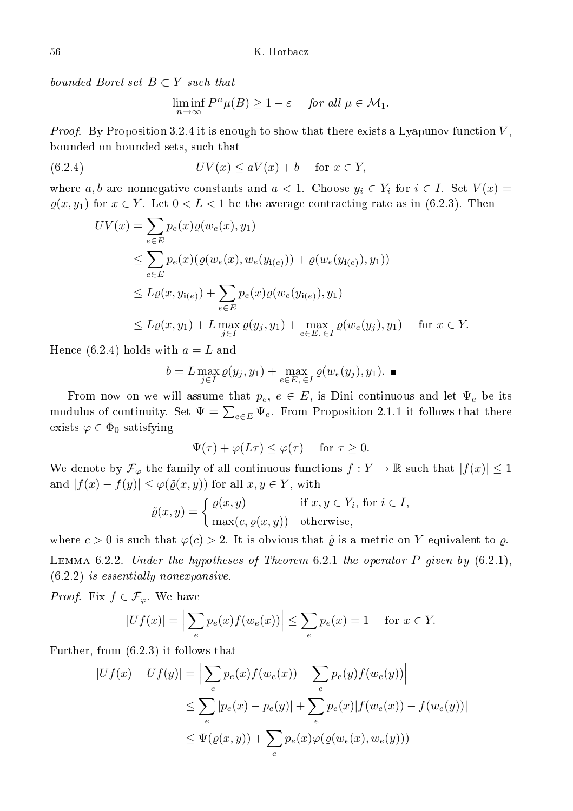bounded Borel set  $B \subset Y$  such that

$$
\liminf_{n \to \infty} P^n \mu(B) \ge 1 - \varepsilon \quad \text{for all } \mu \in \mathcal{M}_1.
$$

*Proof.* By Proposition 3.2.4 it is enough to show that there exists a Lyapunov function  $V$ , bounded on bounded sets, su
h that

(6.2.4) 
$$
UV(x) \le aV(x) + b \quad \text{for } x \in Y,
$$

where a, b are nonnegative constants and  $a < 1$ . Choose  $y_i \in Y_i$  for  $i \in I$ . Set  $V(x) =$  $\varrho(x, y_1)$  for  $x \in Y$ . Let  $0 < L < 1$  be the average contracting rate as in (6.2.3). Then

$$
UV(x) = \sum_{e \in E} p_e(x)\varrho(w_e(x), y_1)
$$
  
\n
$$
\leq \sum_{e \in E} p_e(x)(\varrho(w_e(x), w_e(y_{i(e)})) + \varrho(w_e(y_{i(e)}), y_1))
$$
  
\n
$$
\leq L\varrho(x, y_{i(e)}) + \sum_{e \in E} p_e(x)\varrho(w_e(y_{i(e)}), y_1)
$$
  
\n
$$
\leq L\varrho(x, y_1) + L \max_{j \in I} \varrho(y_j, y_1) + \max_{e \in E, \in I} \varrho(w_e(y_j), y_1) \quad \text{for } x \in Y.
$$

Hence (6.2.4) holds with  $a = L$  and

$$
b=L\max_{j\in I}\varrho(y_j,y_1)+\max_{e\in E,\,\in I}\varrho(w_e(y_j),y_1).\quad \blacksquare
$$

From now on we will assume that  $p_e, e \in E$ , is Dini continuous and let  $\Psi_e$  be its modulus of continuity. Set  $\Psi = \sum_{e \in E} \Psi_e$ . From Proposition 2.1.1 it follows that there exists  $\varphi \in \Phi_0$  satisfying

$$
\Psi(\tau) + \varphi(L\tau) \le \varphi(\tau) \quad \text{for } \tau \ge 0.
$$

We denote by  $\mathcal{F}_{\varphi}$  the family of all continuous functions  $f: Y \to \mathbb{R}$  such that  $|f(x)| \leq 1$ and  $|f(x) - f(y)| \leq \varphi(\tilde{\varrho}(x, y))$  for all  $x, y \in Y$ , with

$$
\tilde{\varrho}(x, y) = \begin{cases} \varrho(x, y) & \text{if } x, y \in Y_i \text{, for } i \in I, \\ \max(c, \varrho(x, y)) & \text{otherwise,} \end{cases}
$$

where  $c > 0$  is such that  $\varphi(c) > 2$ . It is obvious that  $\tilde{\varrho}$  is a metric on Y equivalent to  $\rho$ . LEMMA 6.2.2. Under the hypotheses of Theorem 6.2.1 the operator  $P$  given by  $(6.2.1)$ ,  $(6.2.2)$  is essentially nonexpansive.

*Proof.* Fix  $f \in \mathcal{F}_{\varphi}$ . We have

$$
|Uf(x)| = \Big|\sum_{e} p_e(x)f(w_e(x))\Big| \le \sum_{e} p_e(x) = 1 \quad \text{ for } x \in Y.
$$

Further, from (6.2.3) it follows that

$$
|Uf(x) - Uf(y)| = \Big| \sum_{e} p_e(x)f(w_e(x)) - \sum_{e} p_e(y)f(w_e(y)) \Big|
$$
  

$$
\leq \sum_{e} |p_e(x) - p_e(y)| + \sum_{e} p_e(x)|f(w_e(x)) - f(w_e(y))|
$$
  

$$
\leq \Psi(\varrho(x, y)) + \sum_{e} p_e(x)\varphi(\varrho(w_e(x), w_e(y)))
$$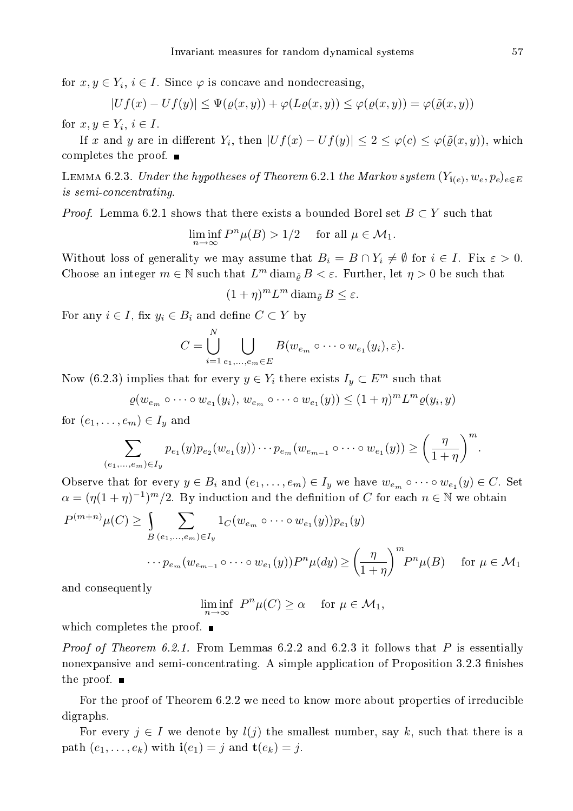for  $x, y \in Y_i$ ,  $i \in I$ . Since  $\varphi$  is concave and nondecreasing,

 $|Uf(x) - Uf(y)| \leq \Psi(\varrho(x, y)) + \varphi(L\varrho(x, y)) \leq \varphi(\varrho(x, y)) = \varphi(\tilde{\varrho}(x, y))$ 

for  $x, y \in Y_i, i \in I$ .

If x and y are in different  $Y_i$ , then  $|Uf(x) - Uf(y)| \leq 2 \leq \varphi(c) \leq \varphi(\tilde{\varrho}(x, y))$ , which ompletes the proof.

LEMMA 6.2.3. Under the hypotheses of Theorem 6.2.1 the Markov system  $(Y_{{\bf i}(e)}, w_e, p_e)_{e\in E}$ is semion
entrating.

*Proof.* Lemma 6.2.1 shows that there exists a bounded Borel set  $B \subset Y$  such that

$$
\liminf_{n\to\infty}P^n\mu(B)>1/2\quad\text{ for all }\mu\in\mathcal{M}_1.
$$

Without loss of generality we may assume that  $B_i = B \cap Y_i \neq \emptyset$  for  $i \in I$ . Fix  $\varepsilon > 0$ . Choose an integer  $m \in \mathbb{N}$  such that  $L^m$  diam<sub> $\tilde{\varrho}$ </sub>  $B < \varepsilon$ . Further, let  $\eta > 0$  be such that

$$
(1+\eta)^m L^m \operatorname{diam}_{\tilde{\varrho}} B \le \varepsilon.
$$

For any  $i \in I$ , fix  $y_i \in B_i$  and define  $C \subset Y$  by

$$
C = \bigcup_{i=1}^N \bigcup_{e_1,\ldots,e_m \in E} B(w_{e_m} \circ \cdots \circ w_{e_1}(y_i),\varepsilon).
$$

Now (6.2.3) implies that for every  $y \in Y_i$  there exists  $I_y \subset E^m$  such that

$$
\varrho(w_{e_m} \circ \cdots \circ w_{e_1}(y_i), w_{e_m} \circ \cdots \circ w_{e_1}(y)) \leq (1+\eta)^m L^m \varrho(y_i, y)
$$

for  $(e_1, \ldots, e_m) \in I_u$  and

$$
\sum_{(e_1,...,e_m)\in I_y} p_{e_1}(y)p_{e_2}(w_{e_1}(y))\cdots p_{e_m}(w_{e_{m-1}}\circ\cdots\circ w_{e_1}(y)) \ge \left(\frac{\eta}{1+\eta}\right)^m.
$$

Observe that for every  $y \in B_i$  and  $(e_1, \ldots, e_m) \in I_y$  we have  $w_{e_m} \circ \cdots \circ w_{e_1}(y) \in C$ . Set  $\alpha = (\eta(1+\eta)^{-1})^m/2$ . By induction and the definition of C for each  $n \in \mathbb{N}$  we obtain

$$
P^{(m+n)}\mu(C) \ge \int_{B} \sum_{(e_1,\dots,e_m)\in I_y} 1_C(w_{e_m} \circ \dots \circ w_{e_1}(y))p_{e_1}(y)
$$

$$
\cdots p_{e_m}(w_{e_{m-1}} \circ \dots \circ w_{e_1}(y))P^n\mu(dy) \ge \left(\frac{\eta}{1+\eta}\right)^m P^n\mu(B) \quad \text{for } \mu \in \mathcal{M}_1
$$

and onsequently

 $\liminf_{n\to\infty} P^n\mu(C) \ge \alpha$  for  $\mu \in \mathcal{M}_1$ ,

whi
h ompletes the proof.

*Proof of Theorem 6.2.1.* From Lemmas 6.2.2 and 6.2.3 it follows that P is essentially nonexpansive and semi-concentrating. A simple application of Proposition 3.2.3 finishes the proof.  $\blacksquare$ 

For the proof of Theorem 6.2.2 we need to know more about properties of irreducible digraphs.

For every  $j \in I$  we denote by  $l(j)$  the smallest number, say k, such that there is a path  $(e_1, \ldots, e_k)$  with  $\mathbf{i}(e_1) = j$  and  $\mathbf{t}(e_k) = j$ .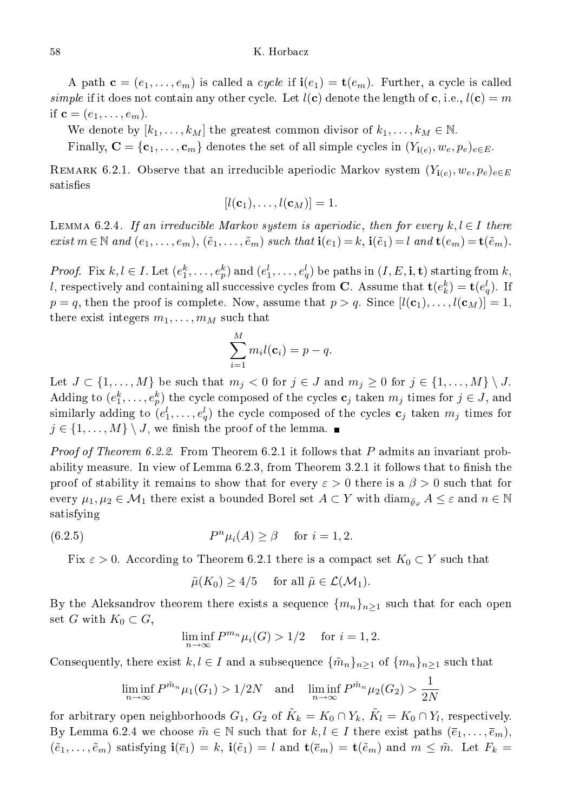A path  $\mathbf{c} = (e_1, \ldots, e_m)$  is called a *cycle* if  $\mathbf{i}(e_1) = \mathbf{t}(e_m)$ . Further, a cycle is called simple if it does not contain any other cycle. Let  $l(c)$  denote the length of c, i.e.,  $l(c) = m$ if  $\mathbf{c} = (e_1, \ldots, e_m)$ .

We denote by  $[k_1, \ldots, k_M]$  the greatest common divisor of  $k_1, \ldots, k_M \in \mathbb{N}$ .

Finally,  $\mathbf{C} = \{\mathbf{c}_1, \dots, \mathbf{c}_m\}$  denotes the set of all simple cycles in  $(Y_{\mathbf{i}(e)}, w_e, p_e)_{e \in E}$ .

REMARK 6.2.1. Observe that an irreducible aperiodic Markov system  $(Y_{{\bf i}(e)}, w_e, p_e)_{e \in E}$ satisfies

$$
[l(\mathbf{c}_1),\ldots,l(\mathbf{c}_M)]=1.
$$

LEMMA 6.2.4. If an irreducible Markov system is aperiodic, then for every  $k, l \in I$  there exist  $m \in \mathbb{N}$  and  $(e_1, \ldots, e_m)$ ,  $(\tilde{e}_1, \ldots, \tilde{e}_m)$  such that  $\mathbf{i}(e_1) = k$ ,  $\mathbf{i}(\tilde{e}_1) = l$  and  $\mathbf{t}(e_m) = \mathbf{t}(\tilde{e}_m)$ .

*Proof.* Fix  $k, l \in I$ . Let  $(e_1^k, \ldots, e_p^k)$  and  $(e_1^l, \ldots, e_q^l)$  be paths in  $(I, E, \mathbf{i}, \mathbf{t})$  starting from  $k$ , l, respectively and containing all successive cycles from **C**. Assume that  $\mathbf{t}(e_k^k) = \mathbf{t}(e_q^l)$ . If  $p = q$ , then the proof is complete. Now, assume that  $p > q$ . Since  $[l(\mathbf{c}_1), \ldots, l(\mathbf{c}_M)] = 1$ , there exist integers  $m_1, \ldots, m_M$  such that

$$
\sum_{i=1}^M m_i l(\mathbf{c}_i) = p - q.
$$

Let  $J \subset \{1, \ldots, M\}$  be such that  $m_j < 0$  for  $j \in J$  and  $m_j \geq 0$  for  $j \in \{1, \ldots, M\} \setminus J$ . Adding to  $(e_1^k, \ldots, e_p^k)$  the cycle composed of the cycles  $\mathbf{c}_j$  taken  $m_j$  times for  $j \in J,$  and similarly adding to  $(e^l_1,\ldots,e^l_q)$  the cycle composed of the cycles  $\mathbf{c}_j$  taken  $m_j$  times for  $j \in \{1, \ldots, M\} \setminus J$ , we finish the proof of the lemma.

*Proof of Theorem 6.2.2.* From Theorem 6.2.1 it follows that P admits an invariant probability measure. In view of Lemma  $6.2.3$ , from Theorem  $3.2.1$  it follows that to finish the proof of stability it remains to show that for every  $\varepsilon > 0$  there is a  $\beta > 0$  such that for every  $\mu_1, \mu_2 \in \mathcal{M}_1$  there exist a bounded Borel set  $A \subset Y$  with  $\text{diam}_{\tilde{\varrho}_\varphi} A \leq \varepsilon$  and  $n \in \mathbb{N}$ satisfying

(6.2.5) 
$$
P^n \mu_i(A) \geq \beta \quad \text{for } i = 1, 2.
$$

Fix  $\varepsilon > 0$ . According to Theorem 6.2.1 there is a compact set  $K_0 \subset Y$  such that

$$
\tilde{\mu}(K_0) \ge 4/5
$$
 for all  $\tilde{\mu} \in \mathcal{L}(\mathcal{M}_1)$ .

By the Aleksandrov theorem there exists a sequence  $\{m_n\}_{n\geq 1}$  such that for each open set G with  $K_0 \subset G$ ,

$$
\liminf_{n \to \infty} P^{m_n} \mu_i(G) > 1/2 \quad \text{ for } i = 1, 2.
$$

Consequently, there exist  $k, l \in I$  and a subsequence  $\{\tilde{m}_n\}_{n \geq 1}$  of  $\{m_n\}_{n \geq 1}$  such that

$$
\liminf_{n \to \infty} P^{\tilde{m}_n} \mu_1(G_1) > 1/2N \quad \text{and} \quad \liminf_{n \to \infty} P^{\tilde{m}_n} \mu_2(G_2) > \frac{1}{2N}
$$

for arbitrary open neighborhoods  $G_1,~G_2$  of  $\tilde{K}_k=K_0\cap Y_k,~\tilde{K}_l=K_0\cap Y_l,$  respectively. By Lemma 6.2.4 we choose  $\tilde{m} \in \mathbb{N}$  such that for  $k, l \in I$  there exist paths  $(\bar{e}_1, \ldots, \bar{e}_m)$ ,  $(\tilde{e}_1,\ldots,\tilde{e}_m)$  satisfying  $\mathbf{i}(\overline{e}_1)=k$ ,  $\mathbf{i}(\tilde{e}_1)=l$  and  $\mathbf{t}(\overline{e}_m)=\mathbf{t}(\tilde{e}_m)$  and  $m\leq \tilde{m}$ . Let  $F_k=$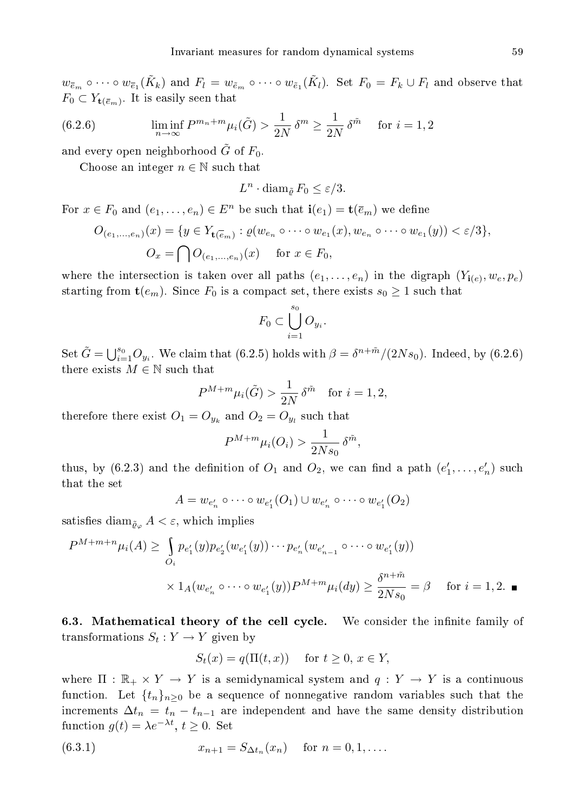$w_{\bar{e}_m}\circ\cdots\circ w_{\bar{e}_1}(\tilde{K}_k)$  and  $F_l=w_{\tilde{e}_m}\circ\cdots\circ w_{\tilde{e}_1}(\tilde{K}_l)$ . Set  $F_0=F_k\cup F_l$  and observe that  $F_0 \subset Y_{\mathbf{t}(\overline{e}_m)}$ . It is easily seen that

(6.2.6) 
$$
\liminf_{n \to \infty} P^{m_n+m} \mu_i(\tilde{G}) > \frac{1}{2N} \delta^m \ge \frac{1}{2N} \delta^{\tilde{m}} \quad \text{for } i = 1, 2
$$

and every open neighborhood  $\tilde{G}$  of  $F_0$ .

Choose an integer  $n \in \mathbb{N}$  such that

$$
L^n \cdot \operatorname{diam}_{\tilde{\varrho}} F_0 \le \varepsilon/3.
$$

For  $x \in F_0$  and  $(e_1, \ldots, e_n) \in E^n$  be such that  $\mathbf{i}(e_1) = \mathbf{t}(\overline{e}_m)$  we define

$$
O_{(e_1,\ldots,e_n)}(x) = \{y \in Y_{\mathbf{t}(\overline{e}_m)} : \varrho(w_{e_n} \circ \cdots \circ w_{e_1}(x), w_{e_n} \circ \cdots \circ w_{e_1}(y)) < \varepsilon/3\},
$$
  

$$
O_x = \bigcap O_{(e_1,\ldots,e_n)}(x) \quad \text{for } x \in F_0,
$$

where the intersection is taken over all paths  $(e_1, \ldots, e_n)$  in the digraph  $(Y_{\mathbf{i}(e)}, w_e, p_e)$ starting from  $\mathbf{t}(e_m)$ . Since  $F_0$  is a compact set, there exists  $s_0 \geq 1$  such that

$$
F_0 \subset \bigcup_{i=1}^{s_0} O_{y_i}.
$$

Set  $\tilde{G} = \bigcup_{i=1}^{s_0} O_{y_i}$ . We claim that (6.2.5) holds with  $\beta = \delta^{n+\tilde{m}}/(2Ns_0)$ . Indeed, by (6.2.6) there exists  $M \in \mathbb{N}$  such that

$$
P^{M+m}\mu_i(\tilde{G}) > \frac{1}{2N} \delta^{\tilde{m}} \quad \text{for } i = 1, 2,
$$

therefore there exist  $O_1=O_{y_k}$  and  $O_2=O_{y_l}$  such that

$$
P^{M+m}\mu_i(O_i) > \frac{1}{2Ns_0} \,\delta^{\tilde{m}},
$$

thus, by (6.2.3) and the definition of  $O_1$  and  $O_2$ , we can find a path  $(e'_1, \ldots, e'_n)$  such that the set

$$
A = w_{e'_n} \circ \cdots \circ w_{e'_1}(O_1) \cup w_{e'_n} \circ \cdots \circ w_{e'_1}(O_2)
$$

satisfies diam<sub> $\tilde{\varrho}_{\varphi} A < \varepsilon$ , which implies</sub>

$$
P^{M+m+n}\mu_i(A) \ge \int_{O_i} p_{e'_1}(y)p_{e'_2}(w_{e'_1}(y)) \cdots p_{e'_n}(w_{e'_{n-1}} \circ \cdots \circ w_{e'_1}(y))
$$
  
 
$$
\times 1_A(w_{e'_n} \circ \cdots \circ w_{e'_1}(y))P^{M+m}\mu_i(dy) \ge \frac{\delta^{n+\tilde{m}}}{2Ns_0} = \beta \quad \text{for } i = 1, 2. \blacksquare
$$

6.3. Mathematical theory of the cell cycle. We consider the infinite family of transformations  $S_t: Y \to Y$  given by

$$
S_t(x) = q(\Pi(t, x)) \quad \text{ for } t \ge 0, x \in Y,
$$

where  $\Pi : \mathbb{R}_+ \times Y \to Y$  is a semidynamical system and  $q : Y \to Y$  is a continuous function. Let  $\{t_n\}_{n>0}$  be a sequence of nonnegative random variables such that the increments  $\Delta t_n = t_n - t_{n-1}$  are independent and have the same density distribution function  $g(t) = \lambda e^{-\lambda t}$ ,  $t \ge 0$ . Set

(6.3.1) 
$$
x_{n+1} = S_{\Delta t_n}(x_n) \quad \text{for } n = 0, 1, ....
$$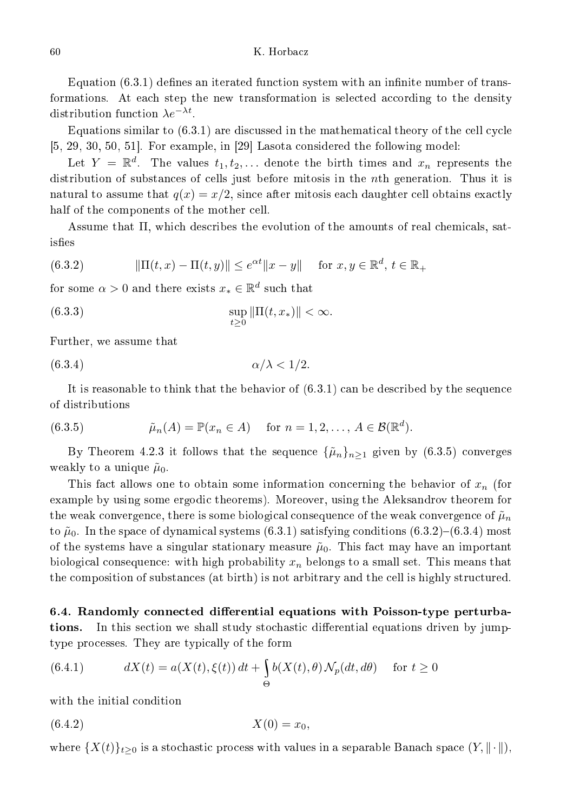## K. Horbacz

Equation  $(6.3.1)$  defines an iterated function system with an infinite number of transformations. At each step the new transformation is selected according to the density distribution function  $\lambda e^{-\lambda t}$ .

Equations similar to  $(6.3.1)$  are discussed in the mathematical theory of the cell cycle  $[5, 29, 30, 50, 51]$ . For example, in  $[29]$  Lasota considered the following model:

Let  $Y = \mathbb{R}^d$ . The values  $t_1, t_2, \ldots$  denote the birth times and  $x_n$  represents the distribution of substan
es of ells just before mitosis in the nth generation. Thus it is natural to assume that  $q(x) = x/2$ , since after mitosis each daughter cell obtains exactly half of the components of the mother cell.

Assume that  $\Pi$ , which describes the evolution of the amounts of real chemicals, satisfies

(6.3.2) 
$$
\|\Pi(t,x) - \Pi(t,y)\| \le e^{\alpha t} \|x - y\| \text{ for } x, y \in \mathbb{R}^d, t \in \mathbb{R}_+
$$

for some  $\alpha > 0$  and there exists  $x_* \in \mathbb{R}^d$  such that

(6.3.3) 
$$
\sup_{t \ge 0} \|\Pi(t, x_*)\| < \infty.
$$

Further, we assume that

$$
\alpha/\lambda < 1/2.
$$

It is reasonable to think that the behavior of (6.3.1) an be des
ribed by the sequen
e of distributions

(6.3.5) 
$$
\tilde{\mu}_n(A) = \mathbb{P}(x_n \in A) \quad \text{for } n = 1, 2, \dots, A \in \mathcal{B}(\mathbb{R}^d).
$$

By Theorem 4.2.3 it follows that the sequence  $\{\tilde{\mu}_n\}_{n>1}$  given by (6.3.5) converges weakly to a unique  $\tilde{\mu}_0$ .

This fact allows one to obtain some information concerning the behavior of  $x_n$  (for example by using some ergodic theorems). Moreover, using the Aleksandrov theorem for the weak convergence, there is some biological consequence of the weak convergence of  $\tilde{\mu}_n$ to  $\tilde{\mu}_0$ . In the space of dynamical systems (6.3.1) satisfying conditions (6.3.2)–(6.3.4) most of the systems have a singular stationary measure  $\tilde{\mu}_0$ . This fact may have an important biological consequence: with high probability  $x_n$  belongs to a small set. This means that the omposition of substan
es (at birth) is not arbitrary and the ell is highly stru
tured.

6.4. Randomly connected differential equations with Poisson-type perturbations. In this section we shall study stochastic differential equations driven by jumptype pro
esses. They are typi
ally of the form

(6.4.1) 
$$
dX(t) = a(X(t), \xi(t)) dt + \int_{\Theta} b(X(t), \theta) \mathcal{N}_p(dt, d\theta) \quad \text{for } t \ge 0
$$

with the initial ondition

$$
(6.4.2) \t\t X(0) = x_0,
$$

where  $\{X(t)\}_{t\geq 0}$  is a stochastic process with values in a separable Banach space  $(Y, \|\cdot\|)$ ,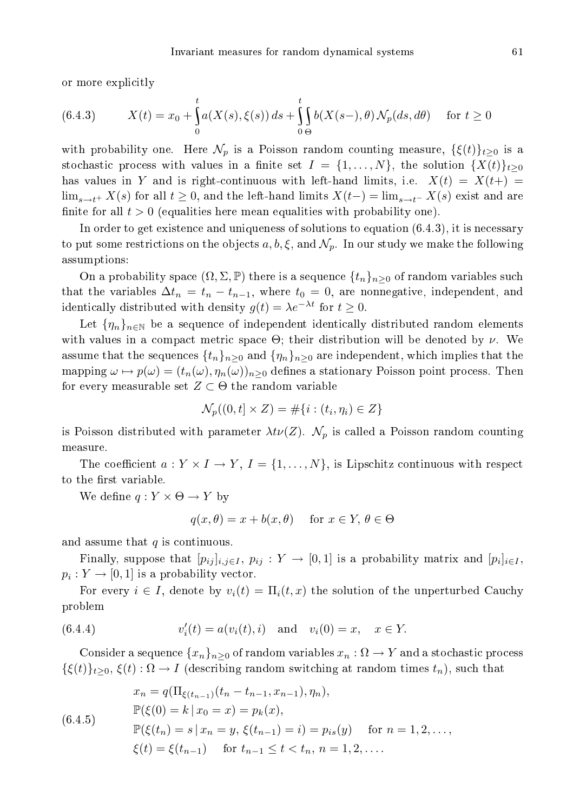or more explicitly

(6.4.3) 
$$
X(t) = x_0 + \int_0^t a(X(s), \xi(s)) ds + \int_0^t \int_0^t b(X(s-), \theta) \mathcal{N}_p(ds, d\theta) \quad \text{for } t \ge 0
$$

with probability one. Here  $\mathcal{N}_p$  is a Poisson random counting measure,  $\{\xi(t)\}_{t>0}$  is a stochastic process with values in a finite set  $I = \{1, \ldots, N\}$ , the solution  $\{X(t)\}_{t>0}$ has values in Y and is right-continuous with left-hand limits, i.e.  $X(t) = X(t+)$  $\lim_{s\to t^+} X(s)$  for all  $t \geq 0$ , and the left-hand limits  $X(t-) = \lim_{s\to t^-} X(s)$  exist and are finite for all  $t > 0$  (equalities here mean equalities with probability one).

In order to get existence and uniqueness of solutions to equation  $(6.4.3)$ , it is necessary to put some restrictions on the objects  $a, b, \xi$ , and  $\mathcal{N}_p$ . In our study we make the following assumptions:

On a probability space  $(\Omega, \Sigma, \mathbb{P})$  there is a sequence  $\{t_n\}_{n>0}$  of random variables such that the variables  $\Delta t_n = t_n - t_{n-1}$ , where  $t_0 = 0$ , are nonnegative, independent, and identically distributed with density  $g(t) = \lambda e^{-\lambda t}$  for  $t \ge 0$ .

Let  $\{\eta_n\}_{n\in\mathbb{N}}$  be a sequence of independent identically distributed random elements with values in a compact metric space  $\Theta$ ; their distribution will be denoted by  $\nu$ . We assume that the sequences  $\{t_n\}_{n\geq 0}$  and  $\{\eta_n\}_{n\geq 0}$  are independent, which implies that the mapping  $\omega \mapsto p(\omega) = (t_n(\omega), \eta_n(\omega))_{n \geq 0}$  defines a stationary Poisson point process. Then for every measurable set  $Z \subset \Theta$  the random variable

$$
\mathcal{N}_p((0,t] \times Z) = \#\{i : (t_i, \eta_i) \in Z\}
$$

is Poisson distributed with parameter  $\lambda t \nu(Z)$ .  $\mathcal{N}_p$  is called a Poisson random counting measure.

The coefficient  $a: Y \times I \rightarrow Y, I = \{1, ..., N\}$ , is Lipschitz continuous with respect to the first variable.

We define  $q: Y \times \Theta \rightarrow Y$  by

$$
q(x,\theta) = x + b(x,\theta) \quad \text{for } x \in Y, \theta \in \Theta
$$

and assume that  $q$  is continuous.

Finally, suppose that  $[p_{ij}]_{i,j\in I}, p_{ij} : Y \to [0,1]$  is a probability matrix and  $[p_i]_{i\in I}$ ,  $p_i: Y \to [0,1]$  is a probability vector.

For every  $i \in I$ , denote by  $v_i(t) = \Pi_i(t, x)$  the solution of the unperturbed Cauchy problem

(6.4.4) 
$$
v'_i(t) = a(v_i(t), i)
$$
 and  $v_i(0) = x, \quad x \in Y.$ 

Consider a sequence  $\{x_n\}_{n\geq 0}$  of random variables  $x_n : \Omega \to Y$  and a stochastic process  $\{\xi(t)\}_{t\geq 0}, \xi(t): \Omega \to I$  (describing random switching at random times  $t_n$ ), such that

$$
x_n = q(\Pi_{\xi(t_{n-1})}(t_n - t_{n-1}, x_{n-1}), \eta_n),
$$
  
\n
$$
\mathbb{P}(\xi(0) = k \mid x_0 = x) = p_k(x),
$$
  
\n
$$
\mathbb{P}(\xi(t_n) = s \mid x_n = y, \xi(t_{n-1}) = i) = p_{is}(y) \quad \text{for } n = 1, 2, ...,
$$
  
\n
$$
\xi(t) = \xi(t_{n-1}) \quad \text{for } t_{n-1} \le t < t_n, n = 1, 2, ...
$$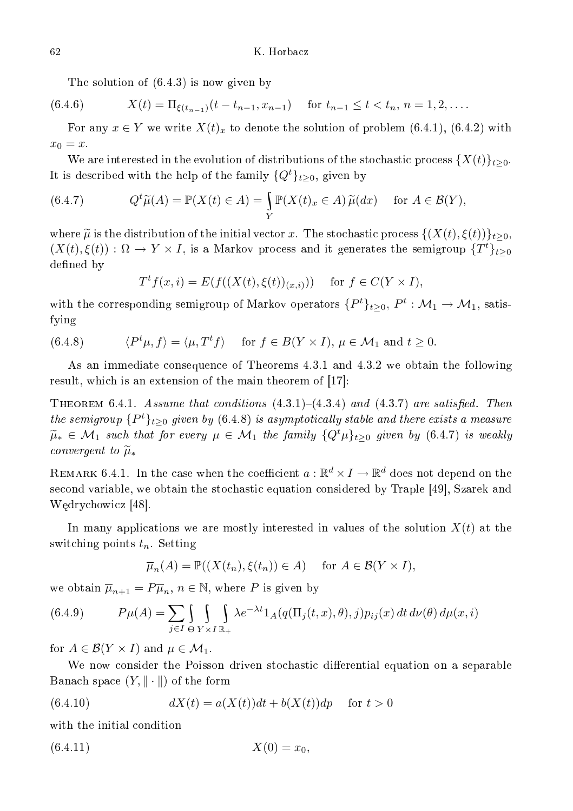The solution of (6.4.3) is now given by

(6.4.6) 
$$
X(t) = \Pi_{\xi(t_{n-1})}(t - t_{n-1}, x_{n-1}) \quad \text{for } t_{n-1} \le t < t_n, n = 1, 2, \dots
$$

For any  $x \in Y$  we write  $X(t)_x$  to denote the solution of problem (6.4.1), (6.4.2) with  $x_0 = x$ .

We are interested in the evolution of distributions of the stochastic process  $\{X(t)\}_{t>0}$ . It is described with the help of the family  $\{Q^t\}_{t>0}$ , given by

(6.4.7) 
$$
Q^t \widetilde{\mu}(A) = \mathbb{P}(X(t) \in A) = \int_Y \mathbb{P}(X(t)_x \in A) \widetilde{\mu}(dx) \quad \text{for } A \in \mathcal{B}(Y),
$$

where  $\tilde{\mu}$  is the distribution of the initial vector x. The stochastic process  $\{(X(t), \xi(t))\}_{t>0}$ ,  $(X(t), \xi(t))$ :  $\Omega \to Y \times I$ , is a Markov process and it generates the semigroup  $\{T^t\}_{t\geq 0}$ defined by

$$
T^t f(x, i) = E(f((X(t), \xi(t))_{(x,i)})) \quad \text{ for } f \in C(Y \times I),
$$

with the corresponding semigroup of Markov operators  $\{P^t\}_{t\geq 0},\,P^t:\mathcal{M}_1\to \mathcal{M}_1,$  satisfying

(6.4.8) 
$$
\langle P^t \mu, f \rangle = \langle \mu, T^t f \rangle \quad \text{for } f \in B(Y \times I), \mu \in \mathcal{M}_1 \text{ and } t \ge 0.
$$

As an immediate onsequen
e of Theorems 4.3.1 and 4.3.2 we obtain the following result, which is an extension of the main theorem of  $[17]$ :

THEOREM 6.4.1. Assume that conditions  $(4.3.1)-(4.3.4)$  and  $(4.3.7)$  are satisfied. Then the semigroup  $\{P^t\}_{t\geq 0}$  given by  $(6.4.8)$  is asymptotically stable and there exists a measure  $\widetilde{\mu}_* \in \mathcal{M}_1$  such that for every  $\mu \in \mathcal{M}_1$  the family  $\{Q^t\mu\}_{t>0}$  given by (6.4.7) is weakly convergent to  $\widetilde{\mu}_*$ 

REMARK 6.4.1. In the case when the coefficient  $a:\mathbb{R}^d \times I \to \mathbb{R}^d$  does not depend on the second variable, we obtain the stochastic equation considered by Traple [49], Szarek and Wędrychowicz [48].

In many applications we are mostly interested in values of the solution  $X(t)$  at the switching points  $t_n$ . Setting

$$
\overline{\mu}_n(A) = \mathbb{P}((X(t_n), \xi(t_n)) \in A) \quad \text{ for } A \in \mathcal{B}(Y \times I),
$$

we obtain  $\overline{\mu}_{n+1} = P\overline{\mu}_n$ ,  $n \in \mathbb{N}$ , where P is given by

(6.4.9) 
$$
P\mu(A) = \sum_{j \in I} \int_{\Theta} \int_{Y \times I} \int_{\mathbb{R}_+} \lambda e^{-\lambda t} 1_A(q(\Pi_j(t, x), \theta), j) p_{ij}(x) dt d\nu(\theta) d\mu(x, i)
$$

for  $A \in \mathcal{B}(Y \times I)$  and  $\mu \in \mathcal{M}_1$ .

We now consider the Poisson driven stochastic differential equation on a separable Banach space  $(Y, \|\cdot\|)$  of the form

(6.4.10) 
$$
dX(t) = a(X(t))dt + b(X(t))dp \text{ for } t > 0
$$

with the initial ondition

$$
(6.4.11) \t\t X(0) = x_0,
$$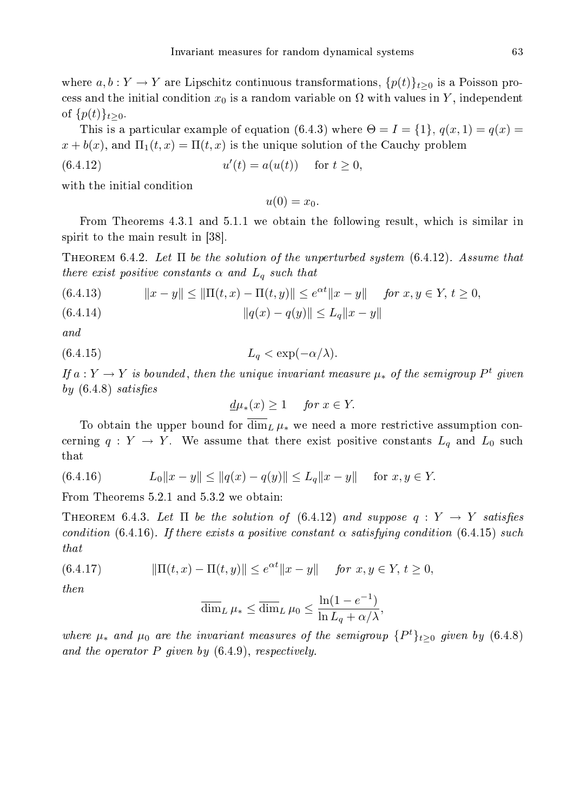where  $a, b: Y \to Y$  are Lipschitz continuous transformations,  $\{p(t)\}_{t\geq 0}$  is a Poisson process and the initial condition  $x_0$  is a random variable on  $\Omega$  with values in Y, independent of  $\{p(t)\}_{t>0}$ .

This is a particular example of equation (6.4.3) where  $\Theta = I = \{1\}$ ,  $q(x, 1) = q(x)$  $x + b(x)$ , and  $\Pi_1(t, x) = \Pi(t, x)$  is the unique solution of the Cauchy problem

(6.4.12) 
$$
u'(t) = a(u(t)) \text{ for } t \ge 0,
$$

with the initial ondition

 $u(0) = x_0$ .

From Theorems 4.3.1 and 5.1.1 we obtain the following result, which is similar in spirit to the main result in [38].

THEOREM 6.4.2. Let  $\Pi$  be the solution of the unperturbed system  $(6.4.12)$ . Assume that there exist positive constants  $\alpha$  and  $L_q$  such that

(6.4.13) 
$$
||x - y|| \le ||\Pi(t, x) - \Pi(t, y)|| \le e^{\alpha t} ||x - y|| \quad \text{for } x, y \in Y, t \ge 0,
$$
  
(6.4.14) 
$$
||q(x) - q(y)|| \le L_q ||x - y||
$$

and

$$
(6.4.15) \t\t\t L_q < \exp(-\alpha/\lambda).
$$

If  $a: Y \to Y$  is bounded, then the unique invariant measure  $\mu_*$  of the semigroup  $P^t$  given by  $(6.4.8)$  satisfies

$$
\underline{d}\mu_*(x) \ge 1 \quad \text{for } x \in Y.
$$

To obtain the upper bound for  $\overline{\dim}_L \mu_*$  we need a more restrictive assumption concerning  $q: Y \to Y$ . We assume that there exist positive constants  $L_q$  and  $L_0$  such that

(6.4.16) 
$$
L_0||x - y|| \le ||q(x) - q(y)|| \le L_q||x - y|| \text{ for } x, y \in Y.
$$

From Theorems 5.2.1 and 5.3.2 we obtain:

THEOREM 6.4.3. Let  $\Pi$  be the solution of (6.4.12) and suppose  $q: Y \to Y$  satisfies condition (6.4.16). If there exists a positive constant  $\alpha$  satisfying condition (6.4.15) such that

(6.4.17) 
$$
\|\Pi(t,x) - \Pi(t,y)\| \le e^{\alpha t} \|x - y\| \quad \text{for } x, y \in Y, t \ge 0,
$$

then

$$
\overline{\dim}_L \,\mu_* \le \overline{\dim}_L \,\mu_0 \le \frac{\ln(1 - e^{-1})}{\ln L_q + \alpha/\lambda},
$$

where  $\mu_*$  and  $\mu_0$  are the invariant measures of the semigroup  $\{P^t\}_{t\geq 0}$  given by  $(6.4.8)$ and the operator  $P$  given by  $(6.4.9)$ , respectively.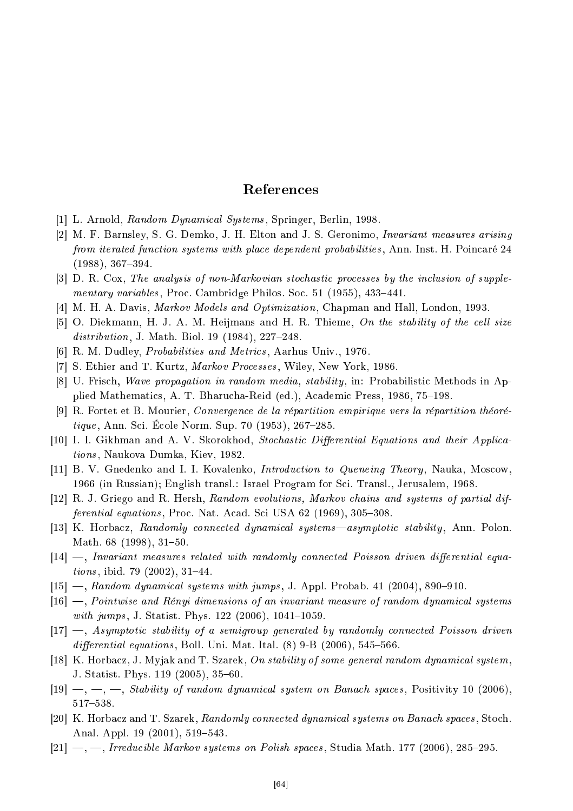# Referen
es

- $|1|$  L. Arnold, Random Dynamical Systems, Springer, Berlin, 1998.
- [2] M. F. Barnsley, S. G. Demko, J. H. Elton and J. S. Geronimo, *Invariant measures arising* from iterated function systems with place dependent probabilities, Ann. Inst. H. Poincaré 24  $(1988), 367-394.$
- [3] D. R. Cox, The analysis of non-Markovian stochastic processes by the inclusion of supplementary variables, Proc. Cambridge Philos. Soc. 51 (1955), 433-441.
- [4] M. H. A. Davis, *Markov Models and Optimization*, Chapman and Hall, London, 1993.
- [5] O. Diekmann, H. J. A. M. Heijmans and H. R. Thieme, On the stability of the cell size  $distribution, J. Math. Biol. 19 (1984), 227-248.$
- [6] R. M. Dudley, *Probabilities and Metrics*, Aarhus Univ., 1976.
- [7] S. Ethier and T. Kurtz, *Markov Processes*, Wiley, New York, 1986.
- [8] U. Frisch, *Wave propagation in random media, stability*, in: Probabilistic Methods in Applied Mathematics, A. T. Bharucha-Reid (ed.), Academic Press, 1986, 75–198.
- [9] R. Fortet et B. Mourier, Convergence de la répartition empirique vers la répartition théoré $tique$ , Ann. Sci. École Norm. Sup. 70 (1953), 267-285.
- [10] I. I. Gikhman and A. V. Skorokhod, Stochastic Differential Equations and their Applications, Naukova Dumka, Kiev, 1982.
- [11] B. V. Gnedenko and I. I. Kovalenko, *Introduction to Queneing Theory*, Nauka, Moscow, 1966 (in Russian); English transl.: Israel Program for S
i. Transl., Jerusalem, 1968.
- [12] R. J. Griego and R. Hersh, Random evolutions, Markov chains and systems of partial dif $ferential\ equations, Proc. Nat. Acad. Sci USA 62 (1969), 305-308.$
- [13] K. Horbacz, Randomly connected dynamical systems—asymptotic stability, Ann. Polon. Math. 68 (1998), 31-50.
- $[14]$   $\rightarrow$ , Invariant measures related with randomly connected Poisson driven differential equa*tions*, ibid. 79  $(2002)$ , 31–44.
- $[15]$  —, Random dynamical systems with jumps, J. Appl. Probab. 41 (2004), 890–910.
- $[16]$  —, Pointwise and Rényi dimensions of an invariant measure of random dynamical systems with jumps, J. Statist. Phys.  $122$  (2006),  $1041-1059$ .
- $[17]$   $\rightarrow$ , Asymptotic stability of a semigroup generated by randomly connected Poisson driven differential equations, Boll. Uni. Mat. Ital.  $(8)$  9-B  $(2006)$ , 545-566.
- [18] K. Horbacz, J. Myjak and T. Szarek, On stability of some general random dynamical system, J. Statist. Phys. 119 (2005), 35–60.
- $[19] \longrightarrow \dots \longrightarrow$  Stability of random dynamical system on Banach spaces, Positivity 10 (2006), 517-538.
- [20] K. Horbacz and T. Szarek, Randomly connected dynamical systems on Banach spaces, Stoch. Anal. Appl.  $19(2001)$ ,  $519-543$ .
- $[21]$  —, —, Irreducible Markov systems on Polish spaces, Studia Math. 177 (2006), 285–295.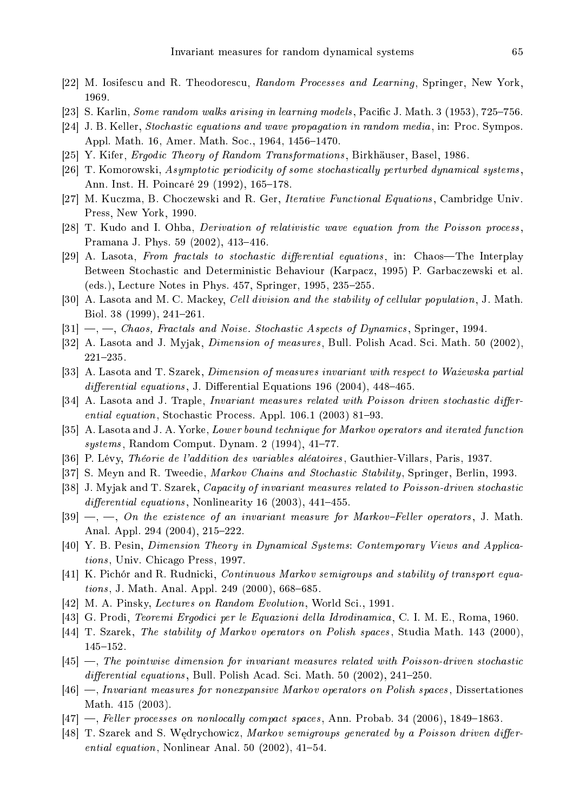- [22] M. Iosifescu and R. Theodorescu, Random Processes and Learning, Springer, New York, 1969.
- [23] S. Karlin, *Some random walks arising in learning models*, Pacific J. Math.  $3(1953)$ ,  $725-756$ .
- [24] J. B. Keller, *Stochastic equations and wave propagation in random media*, in: Proc. Sympos. Appl. Math. 16, Amer. Math. Soc., 1964, 1456-1470.
- [25] Y. Kifer, *Ergodic Theory of Random Transformations*, Birkhäuser, Basel, 1986.
- [26] T. Komorowski, Asymptotic periodicity of some stochastically perturbed dynamical systems. Ann. Inst. H. Poincaré 29 (1992), 165–178.
- [27] M. Kuczma, B. Choczewski and R. Ger, *Iterative Functional Equations*, Cambridge Univ. Press, New York, 1990.
- [28] T. Kudo and I. Ohba, *Derivation of relativistic wave equation from the Poisson process*, Pramana J. Phys. 59 (2002), 413-416.
- [29] A. Lasota, From fractals to stochastic differential equations, in: Chaos—The Interplay Between Stochastic and Deterministic Behaviour (Karpacz, 1995) P. Garbaczewski et al. (eds.), Lecture Notes in Phys. 457, Springer, 1995, 235–255.
- [30] A. Lasota and M. C. Mackey, *Cell division and the stability of cellular population*, J. Math. Biol. 38  $(1999)$ , 241-261.
- $[31]$   $\,\text{---},$  Chaos, Fractals and Noise. Stochastic Aspects of Dynamics, Springer, 1994.
- [32] A. Lasota and J. Myjak, *Dimension of measures*, Bull. Polish Acad. Sci. Math. 50 (2002),  $221 - 235.$
- [33] A. Lasota and T. Szarek, *Dimension of measures invariant with respect to Wazewska partial* differential equations, J. Differential Equations 196 (2004),  $448-465$ .
- $[34]$  A. Lasota and J. Traple, *Invariant measures related with Poisson driven stochastic differ*ential equation, Stochastic Process. Appl.  $106.1$  (2003) 81–93.
- [35] A. Lasota and J. A. Yorke, *Lower bound technique for Markov operators and iterated function*  $systems, Random Comput. Dynam. 2 (1994), 41–77.$
- [36] P. Lévy, Théorie de l'addition des variables aléatoires, Gauthier-Villars, Paris, 1937.
- [37] S. Meyn and R. Tweedie, *Markov Chains and Stochastic Stability*, Springer, Berlin, 1993.
- [38] J. Myjak and T. Szarek, *Capacity of invariant measures related to Poisson-driven stochastic* differential equations, Nonlinearity 16 (2003), 441-455.
- $[39] \longrightarrow \dots$ , On the existence of an invariant measure for Markov-Feller operators, J. Math. Anal. Appl. 294 (2004), 215-222.
- [40] Y. B. Pesin, *Dimension Theory in Dynamical Systems: Contemporary Views and Applica*tions, Univ. Chicago Press, 1997.
- [41] K. Pichór and R. Rudnicki, Continuous Markov semigroups and stability of transport equa $tions, J. Math. Anal. Appl. 249 (2000), 668–685.$
- [42] M. A. Pinsky, *Lectures on Random Evolution*, World Sci., 1991.
- [43] G. Prodi, *Teoremi Ergodici per le Equazioni della Idrodinamica*, C. I. M. E., Roma, 1960.
- [44] T. Szarek, The stability of Markov operators on Polish spaces, Studia Math. 143 (2000), 145-152.
- $[45]$  —, The pointwise dimension for invariant measures related with Poisson-driven stochastic  $differential$  equations, Bull. Polish Acad. Sci. Math. 50 (2002), 241-250.
- $[46]$  —, Invariant measures for nonexpansive Markov operators on Polish spaces, Dissertationes Math. 415 (2003).
- $[47]$  —, Feller processes on nonlocally compact spaces, Ann. Probab. 34 (2006), 1849–1863.
- [48] T. Szarek and S. Wędrychowicz, Markov semigroups generated by a Poisson driven differential equation, Nonlinear Anal. 50 (2002),  $41-54$ .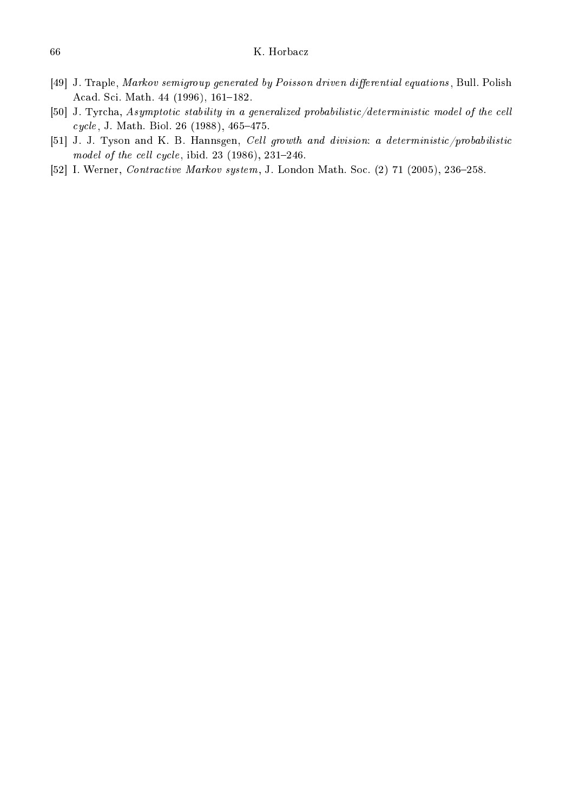- [49] J. Traple, Markov semigroup generated by Poisson driven differential equations, Bull. Polish Acad. Sci. Math. 44 (1996), 161-182.
- [50] J. Tyrcha, Asymptotic stability in a generalized probabilistic/deterministic model of the cell cycle, J. Math. Biol. 26 (1988), 465-475.
- [51] J. J. Tyson and K. B. Hannsgen, Cell growth and division: a deterministic/probabilistic model of the cell cycle, ibid.  $23$  (1986),  $231-246$ .
- [52] I. Werner, *Contractive Markov system*, J. London Math. Soc. (2) 71 (2005), 236-258.